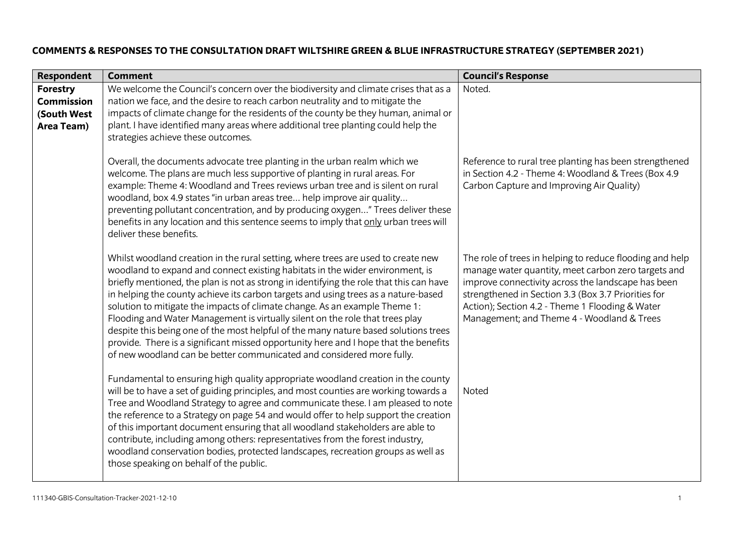## **COMMENTS & RESPONSES TO THE CONSULTATION DRAFT WILTSHIRE GREEN & BLUE INFRASTRUCTURE STRATEGY (SEPTEMBER 2021)**

| <b>Respondent</b>                                                 | <b>Comment</b>                                                                                                                                                                                                                                                                                                                                                                                                                                                                                                                                                                                                                                                                                                                                                             | <b>Council's Response</b>                                                                                                                                                                                                                                                                                                     |
|-------------------------------------------------------------------|----------------------------------------------------------------------------------------------------------------------------------------------------------------------------------------------------------------------------------------------------------------------------------------------------------------------------------------------------------------------------------------------------------------------------------------------------------------------------------------------------------------------------------------------------------------------------------------------------------------------------------------------------------------------------------------------------------------------------------------------------------------------------|-------------------------------------------------------------------------------------------------------------------------------------------------------------------------------------------------------------------------------------------------------------------------------------------------------------------------------|
| <b>Forestry</b><br><b>Commission</b><br>(South West<br>Area Team) | We welcome the Council's concern over the biodiversity and climate crises that as a<br>nation we face, and the desire to reach carbon neutrality and to mitigate the<br>impacts of climate change for the residents of the county be they human, animal or<br>plant. I have identified many areas where additional tree planting could help the<br>strategies achieve these outcomes.                                                                                                                                                                                                                                                                                                                                                                                      | Noted.                                                                                                                                                                                                                                                                                                                        |
|                                                                   | Overall, the documents advocate tree planting in the urban realm which we<br>welcome. The plans are much less supportive of planting in rural areas. For<br>example: Theme 4: Woodland and Trees reviews urban tree and is silent on rural<br>woodland, box 4.9 states "in urban areas tree help improve air quality<br>preventing pollutant concentration, and by producing oxygen" Trees deliver these<br>benefits in any location and this sentence seems to imply that only urban trees will<br>deliver these benefits.                                                                                                                                                                                                                                                | Reference to rural tree planting has been strengthened<br>in Section 4.2 - Theme 4: Woodland & Trees (Box 4.9<br>Carbon Capture and Improving Air Quality)                                                                                                                                                                    |
|                                                                   | Whilst woodland creation in the rural setting, where trees are used to create new<br>woodland to expand and connect existing habitats in the wider environment, is<br>briefly mentioned, the plan is not as strong in identifying the role that this can have<br>in helping the county achieve its carbon targets and using trees as a nature-based<br>solution to mitigate the impacts of climate change. As an example Theme 1:<br>Flooding and Water Management is virtually silent on the role that trees play<br>despite this being one of the most helpful of the many nature based solutions trees<br>provide. There is a significant missed opportunity here and I hope that the benefits<br>of new woodland can be better communicated and considered more fully. | The role of trees in helping to reduce flooding and help<br>manage water quantity, meet carbon zero targets and<br>improve connectivity across the landscape has been<br>strengthened in Section 3.3 (Box 3.7 Priorities for<br>Action); Section 4.2 - Theme 1 Flooding & Water<br>Management; and Theme 4 - Woodland & Trees |
|                                                                   | Fundamental to ensuring high quality appropriate woodland creation in the county<br>will be to have a set of guiding principles, and most counties are working towards a<br>Tree and Woodland Strategy to agree and communicate these. I am pleased to note<br>the reference to a Strategy on page 54 and would offer to help support the creation<br>of this important document ensuring that all woodland stakeholders are able to<br>contribute, including among others: representatives from the forest industry,<br>woodland conservation bodies, protected landscapes, recreation groups as well as<br>those speaking on behalf of the public.                                                                                                                       | <b>Noted</b>                                                                                                                                                                                                                                                                                                                  |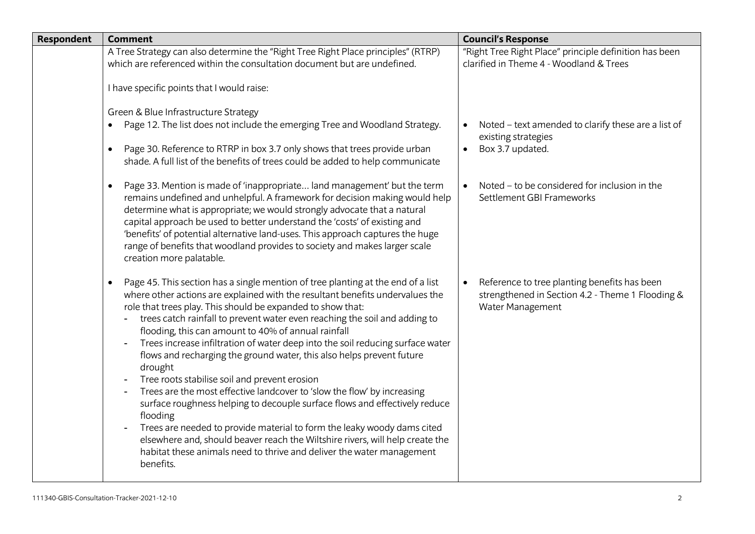| Respondent | <b>Comment</b>                                                                                                                                                                                                                                                                                                                                                                                                                                                                                                                                                                                                                                                                                                                                                                                                                                                                                                                                                                                                                                                       | <b>Council's Response</b>                                                                                                         |
|------------|----------------------------------------------------------------------------------------------------------------------------------------------------------------------------------------------------------------------------------------------------------------------------------------------------------------------------------------------------------------------------------------------------------------------------------------------------------------------------------------------------------------------------------------------------------------------------------------------------------------------------------------------------------------------------------------------------------------------------------------------------------------------------------------------------------------------------------------------------------------------------------------------------------------------------------------------------------------------------------------------------------------------------------------------------------------------|-----------------------------------------------------------------------------------------------------------------------------------|
|            | A Tree Strategy can also determine the "Right Tree Right Place principles" (RTRP)<br>which are referenced within the consultation document but are undefined.                                                                                                                                                                                                                                                                                                                                                                                                                                                                                                                                                                                                                                                                                                                                                                                                                                                                                                        | "Right Tree Right Place" principle definition has been<br>clarified in Theme 4 - Woodland & Trees                                 |
|            | I have specific points that I would raise:                                                                                                                                                                                                                                                                                                                                                                                                                                                                                                                                                                                                                                                                                                                                                                                                                                                                                                                                                                                                                           |                                                                                                                                   |
|            | Green & Blue Infrastructure Strategy<br>Page 12. The list does not include the emerging Tree and Woodland Strategy.<br>Page 30. Reference to RTRP in box 3.7 only shows that trees provide urban<br>$\bullet$                                                                                                                                                                                                                                                                                                                                                                                                                                                                                                                                                                                                                                                                                                                                                                                                                                                        | Noted - text amended to clarify these are a list of<br>existing strategies<br>Box 3.7 updated.<br>$\bullet$                       |
|            | shade. A full list of the benefits of trees could be added to help communicate                                                                                                                                                                                                                                                                                                                                                                                                                                                                                                                                                                                                                                                                                                                                                                                                                                                                                                                                                                                       |                                                                                                                                   |
|            | Page 33. Mention is made of 'inappropriate land management' but the term<br>$\bullet$<br>remains undefined and unhelpful. A framework for decision making would help<br>determine what is appropriate; we would strongly advocate that a natural<br>capital approach be used to better understand the 'costs' of existing and<br>'benefits' of potential alternative land-uses. This approach captures the huge<br>range of benefits that woodland provides to society and makes larger scale<br>creation more palatable.                                                                                                                                                                                                                                                                                                                                                                                                                                                                                                                                            | Noted - to be considered for inclusion in the<br>Settlement GBI Frameworks                                                        |
|            | Page 45. This section has a single mention of tree planting at the end of a list<br>$\bullet$<br>where other actions are explained with the resultant benefits undervalues the<br>role that trees play. This should be expanded to show that:<br>trees catch rainfall to prevent water even reaching the soil and adding to<br>flooding, this can amount to 40% of annual rainfall<br>Trees increase infiltration of water deep into the soil reducing surface water<br>$\blacksquare$<br>flows and recharging the ground water, this also helps prevent future<br>drought<br>Tree roots stabilise soil and prevent erosion<br>Trees are the most effective landcover to 'slow the flow' by increasing<br>surface roughness helping to decouple surface flows and effectively reduce<br>flooding<br>Trees are needed to provide material to form the leaky woody dams cited<br>$\blacksquare$<br>elsewhere and, should beaver reach the Wiltshire rivers, will help create the<br>habitat these animals need to thrive and deliver the water management<br>benefits. | Reference to tree planting benefits has been<br>$\bullet$<br>strengthened in Section 4.2 - Theme 1 Flooding &<br>Water Management |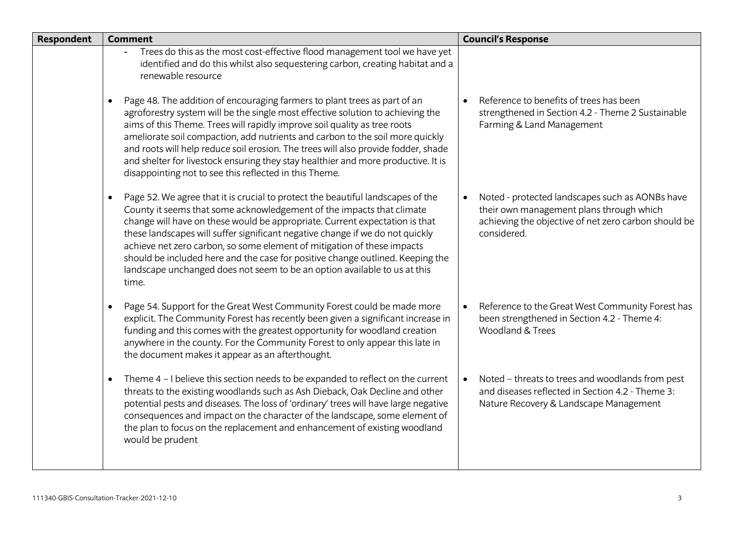| Respondent | <b>Comment</b>                                                                                                                                                                                                                                                                                                                                                                                                                                                                                                                                                                           | <b>Council's Response</b>                                                                                                                                          |
|------------|------------------------------------------------------------------------------------------------------------------------------------------------------------------------------------------------------------------------------------------------------------------------------------------------------------------------------------------------------------------------------------------------------------------------------------------------------------------------------------------------------------------------------------------------------------------------------------------|--------------------------------------------------------------------------------------------------------------------------------------------------------------------|
|            | Trees do this as the most cost-effective flood management tool we have yet<br>identified and do this whilst also sequestering carbon, creating habitat and a<br>renewable resource                                                                                                                                                                                                                                                                                                                                                                                                       |                                                                                                                                                                    |
|            | Page 48. The addition of encouraging farmers to plant trees as part of an<br>agroforestry system will be the single most effective solution to achieving the<br>aims of this Theme. Trees will rapidly improve soil quality as tree roots<br>ameliorate soil compaction, add nutrients and carbon to the soil more quickly<br>and roots will help reduce soil erosion. The trees will also provide fodder, shade<br>and shelter for livestock ensuring they stay healthier and more productive. It is<br>disappointing not to see this reflected in this Theme.                          | Reference to benefits of trees has been<br>strengthened in Section 4.2 - Theme 2 Sustainable<br>Farming & Land Management                                          |
|            | Page 52. We agree that it is crucial to protect the beautiful landscapes of the<br>$\bullet$<br>County it seems that some acknowledgement of the impacts that climate<br>change will have on these would be appropriate. Current expectation is that<br>these landscapes will suffer significant negative change if we do not quickly<br>achieve net zero carbon, so some element of mitigation of these impacts<br>should be included here and the case for positive change outlined. Keeping the<br>landscape unchanged does not seem to be an option available to us at this<br>time. | Noted - protected landscapes such as AONBs have<br>their own management plans through which<br>achieving the objective of net zero carbon should be<br>considered. |
|            | Page 54. Support for the Great West Community Forest could be made more<br>$\bullet$<br>explicit. The Community Forest has recently been given a significant increase in<br>funding and this comes with the greatest opportunity for woodland creation<br>anywhere in the county. For the Community Forest to only appear this late in<br>the document makes it appear as an afterthought.                                                                                                                                                                                               | Reference to the Great West Community Forest has<br>$\bullet$<br>been strengthened in Section 4.2 - Theme 4:<br><b>Woodland &amp; Trees</b>                        |
|            | Theme 4 - I believe this section needs to be expanded to reflect on the current<br>$\bullet$<br>threats to the existing woodlands such as Ash Dieback, Oak Decline and other<br>potential pests and diseases. The loss of 'ordinary' trees will have large negative<br>consequences and impact on the character of the landscape, some element of<br>the plan to focus on the replacement and enhancement of existing woodland<br>would be prudent                                                                                                                                       | Noted - threats to trees and woodlands from pest<br>$\bullet$<br>and diseases reflected in Section 4.2 - Theme 3:<br>Nature Recovery & Landscape Management        |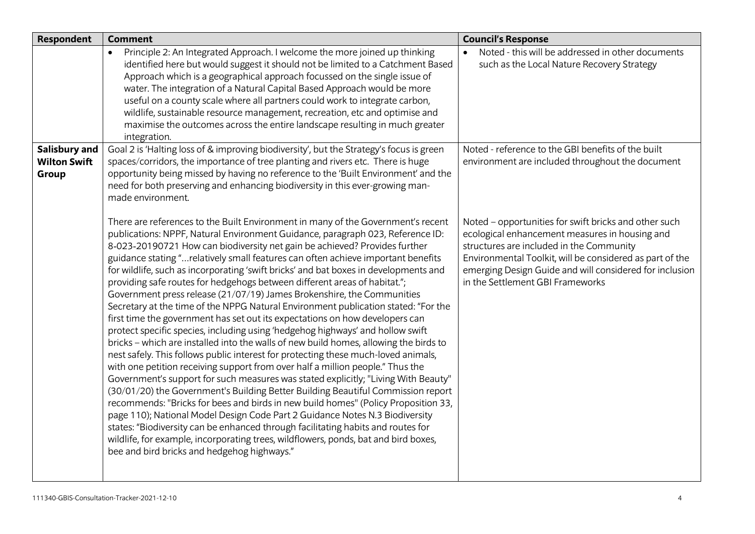| Respondent                                    | <b>Comment</b>                                                                                                                                                                                                                                                                                                                                                                                                                                                                                                                                                                                                                                                                                                                                                                                                                                                                                                                                                                                                                                                                                                                                                                                                                                                                                                                                                                                                                                                                                                                                                                                                                                                                         | <b>Council's Response</b>                                                                                                                                                                                                                                                                                      |
|-----------------------------------------------|----------------------------------------------------------------------------------------------------------------------------------------------------------------------------------------------------------------------------------------------------------------------------------------------------------------------------------------------------------------------------------------------------------------------------------------------------------------------------------------------------------------------------------------------------------------------------------------------------------------------------------------------------------------------------------------------------------------------------------------------------------------------------------------------------------------------------------------------------------------------------------------------------------------------------------------------------------------------------------------------------------------------------------------------------------------------------------------------------------------------------------------------------------------------------------------------------------------------------------------------------------------------------------------------------------------------------------------------------------------------------------------------------------------------------------------------------------------------------------------------------------------------------------------------------------------------------------------------------------------------------------------------------------------------------------------|----------------------------------------------------------------------------------------------------------------------------------------------------------------------------------------------------------------------------------------------------------------------------------------------------------------|
|                                               | Principle 2: An Integrated Approach. I welcome the more joined up thinking<br>identified here but would suggest it should not be limited to a Catchment Based<br>Approach which is a geographical approach focussed on the single issue of<br>water. The integration of a Natural Capital Based Approach would be more<br>useful on a county scale where all partners could work to integrate carbon,<br>wildlife, sustainable resource management, recreation, etc and optimise and<br>maximise the outcomes across the entire landscape resulting in much greater<br>integration.                                                                                                                                                                                                                                                                                                                                                                                                                                                                                                                                                                                                                                                                                                                                                                                                                                                                                                                                                                                                                                                                                                    | Noted - this will be addressed in other documents<br>such as the Local Nature Recovery Strategy                                                                                                                                                                                                                |
| Salisbury and<br><b>Wilton Swift</b><br>Group | Goal 2 is 'Halting loss of & improving biodiversity', but the Strategy's focus is green<br>spaces/corridors, the importance of tree planting and rivers etc. There is huge<br>opportunity being missed by having no reference to the 'Built Environment' and the<br>need for both preserving and enhancing biodiversity in this ever-growing man-<br>made environment.                                                                                                                                                                                                                                                                                                                                                                                                                                                                                                                                                                                                                                                                                                                                                                                                                                                                                                                                                                                                                                                                                                                                                                                                                                                                                                                 | Noted - reference to the GBI benefits of the built<br>environment are included throughout the document                                                                                                                                                                                                         |
|                                               | There are references to the Built Environment in many of the Government's recent<br>publications: NPPF, Natural Environment Guidance, paragraph 023, Reference ID:<br>8-023-20190721 How can biodiversity net gain be achieved? Provides further<br>guidance stating "relatively small features can often achieve important benefits<br>for wildlife, such as incorporating 'swift bricks' and bat boxes in developments and<br>providing safe routes for hedgehogs between different areas of habitat.";<br>Government press release (21/07/19) James Brokenshire, the Communities<br>Secretary at the time of the NPPG Natural Environment publication stated: "For the<br>first time the government has set out its expectations on how developers can<br>protect specific species, including using 'hedgehog highways' and hollow swift<br>bricks - which are installed into the walls of new build homes, allowing the birds to<br>nest safely. This follows public interest for protecting these much-loved animals,<br>with one petition receiving support from over half a million people." Thus the<br>Government's support for such measures was stated explicitly; "Living With Beauty"<br>(30/01/20) the Government's Building Better Building Beautiful Commission report<br>recommends: "Bricks for bees and birds in new build homes" (Policy Proposition 33,<br>page 110); National Model Design Code Part 2 Guidance Notes N.3 Biodiversity<br>states: "Biodiversity can be enhanced through facilitating habits and routes for<br>wildlife, for example, incorporating trees, wildflowers, ponds, bat and bird boxes,<br>bee and bird bricks and hedgehog highways." | Noted - opportunities for swift bricks and other such<br>ecological enhancement measures in housing and<br>structures are included in the Community<br>Environmental Toolkit, will be considered as part of the<br>emerging Design Guide and will considered for inclusion<br>in the Settlement GBI Frameworks |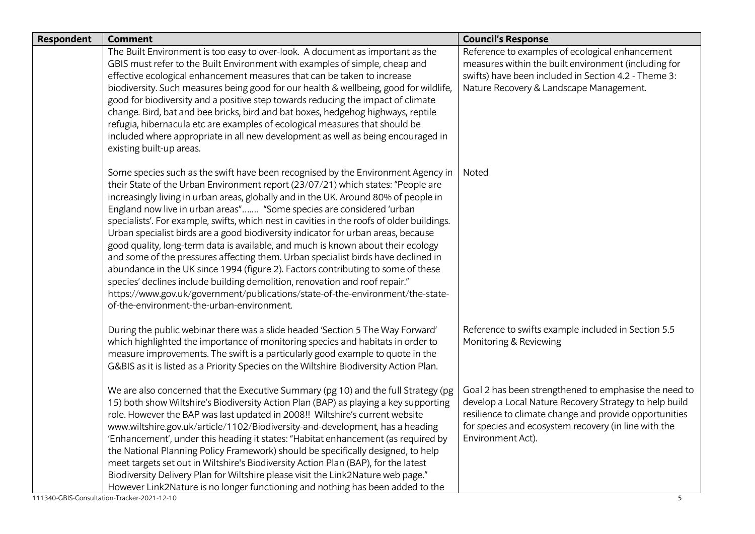| <b>Respondent</b> | <b>Comment</b>                                                                                                                                                                                                                                                                                                                                                                                                                                                                                                                                                                                                                                                                                                                                                                                                                                                                                                                                                                                    | <b>Council's Response</b>                                                                                                                                                                                                                              |
|-------------------|---------------------------------------------------------------------------------------------------------------------------------------------------------------------------------------------------------------------------------------------------------------------------------------------------------------------------------------------------------------------------------------------------------------------------------------------------------------------------------------------------------------------------------------------------------------------------------------------------------------------------------------------------------------------------------------------------------------------------------------------------------------------------------------------------------------------------------------------------------------------------------------------------------------------------------------------------------------------------------------------------|--------------------------------------------------------------------------------------------------------------------------------------------------------------------------------------------------------------------------------------------------------|
|                   | The Built Environment is too easy to over-look. A document as important as the<br>GBIS must refer to the Built Environment with examples of simple, cheap and<br>effective ecological enhancement measures that can be taken to increase<br>biodiversity. Such measures being good for our health & wellbeing, good for wildlife,<br>good for biodiversity and a positive step towards reducing the impact of climate<br>change. Bird, bat and bee bricks, bird and bat boxes, hedgehog highways, reptile<br>refugia, hibernacula etc are examples of ecological measures that should be<br>included where appropriate in all new development as well as being encouraged in<br>existing built-up areas.                                                                                                                                                                                                                                                                                          | Reference to examples of ecological enhancement<br>measures within the built environment (including for<br>swifts) have been included in Section 4.2 - Theme 3:<br>Nature Recovery & Landscape Management.                                             |
|                   | Some species such as the swift have been recognised by the Environment Agency in<br>their State of the Urban Environment report (23/07/21) which states: "People are<br>increasingly living in urban areas, globally and in the UK. Around 80% of people in<br>England now live in urban areas" "Some species are considered 'urban<br>specialists'. For example, swifts, which nest in cavities in the roofs of older buildings.<br>Urban specialist birds are a good biodiversity indicator for urban areas, because<br>good quality, long-term data is available, and much is known about their ecology<br>and some of the pressures affecting them. Urban specialist birds have declined in<br>abundance in the UK since 1994 (figure 2). Factors contributing to some of these<br>species' declines include building demolition, renovation and roof repair."<br>https://www.gov.uk/government/publications/state-of-the-environment/the-state-<br>of-the-environment-the-urban-environment. | <b>Noted</b>                                                                                                                                                                                                                                           |
|                   | During the public webinar there was a slide headed 'Section 5 The Way Forward'<br>which highlighted the importance of monitoring species and habitats in order to<br>measure improvements. The swift is a particularly good example to quote in the<br>G&BIS as it is listed as a Priority Species on the Wiltshire Biodiversity Action Plan.                                                                                                                                                                                                                                                                                                                                                                                                                                                                                                                                                                                                                                                     | Reference to swifts example included in Section 5.5<br>Monitoring & Reviewing                                                                                                                                                                          |
|                   | We are also concerned that the Executive Summary (pg 10) and the full Strategy (pg<br>15) both show Wiltshire's Biodiversity Action Plan (BAP) as playing a key supporting<br>role. However the BAP was last updated in 2008!! Wiltshire's current website<br>www.wiltshire.gov.uk/article/1102/Biodiversity-and-development, has a heading<br>'Enhancement', under this heading it states: "Habitat enhancement (as required by<br>the National Planning Policy Framework) should be specifically designed, to help<br>meet targets set out in Wiltshire's Biodiversity Action Plan (BAP), for the latest<br>Biodiversity Delivery Plan for Wiltshire please visit the Link2Nature web page."<br>However Link2Nature is no longer functioning and nothing has been added to the                                                                                                                                                                                                                  | Goal 2 has been strengthened to emphasise the need to<br>develop a Local Nature Recovery Strategy to help build<br>resilience to climate change and provide opportunities<br>for species and ecosystem recovery (in line with the<br>Environment Act). |
|                   | 111340-GBIS-Consultation-Tracker-2021-12-10                                                                                                                                                                                                                                                                                                                                                                                                                                                                                                                                                                                                                                                                                                                                                                                                                                                                                                                                                       | 5                                                                                                                                                                                                                                                      |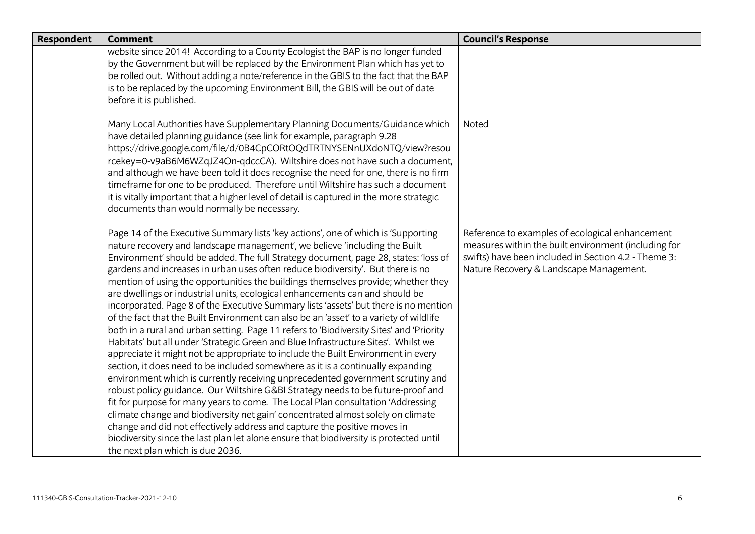| <b>Respondent</b> | <b>Comment</b>                                                                                                                                                                                                                                                                                                                                                                                                                                                                                                                                                                                                                                                                                                                                                                                                                                                                                                                                                                                                                                                                                                                                                                                                                                                                                                                                                                                                                                                                                                                                                                                                 | <b>Council's Response</b>                                                                                                                                                                                  |
|-------------------|----------------------------------------------------------------------------------------------------------------------------------------------------------------------------------------------------------------------------------------------------------------------------------------------------------------------------------------------------------------------------------------------------------------------------------------------------------------------------------------------------------------------------------------------------------------------------------------------------------------------------------------------------------------------------------------------------------------------------------------------------------------------------------------------------------------------------------------------------------------------------------------------------------------------------------------------------------------------------------------------------------------------------------------------------------------------------------------------------------------------------------------------------------------------------------------------------------------------------------------------------------------------------------------------------------------------------------------------------------------------------------------------------------------------------------------------------------------------------------------------------------------------------------------------------------------------------------------------------------------|------------------------------------------------------------------------------------------------------------------------------------------------------------------------------------------------------------|
|                   | website since 2014! According to a County Ecologist the BAP is no longer funded<br>by the Government but will be replaced by the Environment Plan which has yet to<br>be rolled out. Without adding a note/reference in the GBIS to the fact that the BAP<br>is to be replaced by the upcoming Environment Bill, the GBIS will be out of date<br>before it is published.                                                                                                                                                                                                                                                                                                                                                                                                                                                                                                                                                                                                                                                                                                                                                                                                                                                                                                                                                                                                                                                                                                                                                                                                                                       |                                                                                                                                                                                                            |
|                   | Many Local Authorities have Supplementary Planning Documents/Guidance which<br>have detailed planning guidance (see link for example, paragraph 9.28<br>https://drive.google.com/file/d/0B4CpCORtOQdTRTNYSENnUXdoNTQ/view?resou<br>rcekey=0-v9aB6M6WZqJZ4On-qdccCA). Wiltshire does not have such a document,<br>and although we have been told it does recognise the need for one, there is no firm<br>timeframe for one to be produced. Therefore until Wiltshire has such a document<br>it is vitally important that a higher level of detail is captured in the more strategic<br>documents than would normally be necessary.                                                                                                                                                                                                                                                                                                                                                                                                                                                                                                                                                                                                                                                                                                                                                                                                                                                                                                                                                                              | Noted                                                                                                                                                                                                      |
|                   | Page 14 of the Executive Summary lists 'key actions', one of which is 'Supporting<br>nature recovery and landscape management', we believe 'including the Built<br>Environment' should be added. The full Strategy document, page 28, states: 'loss of<br>gardens and increases in urban uses often reduce biodiversity'. But there is no<br>mention of using the opportunities the buildings themselves provide; whether they<br>are dwellings or industrial units, ecological enhancements can and should be<br>incorporated. Page 8 of the Executive Summary lists 'assets' but there is no mention<br>of the fact that the Built Environment can also be an 'asset' to a variety of wildlife<br>both in a rural and urban setting. Page 11 refers to 'Biodiversity Sites' and 'Priority<br>Habitats' but all under 'Strategic Green and Blue Infrastructure Sites'. Whilst we<br>appreciate it might not be appropriate to include the Built Environment in every<br>section, it does need to be included somewhere as it is a continually expanding<br>environment which is currently receiving unprecedented government scrutiny and<br>robust policy guidance. Our Wiltshire G&BI Strategy needs to be future-proof and<br>fit for purpose for many years to come. The Local Plan consultation 'Addressing<br>climate change and biodiversity net gain' concentrated almost solely on climate<br>change and did not effectively address and capture the positive moves in<br>biodiversity since the last plan let alone ensure that biodiversity is protected until<br>the next plan which is due 2036. | Reference to examples of ecological enhancement<br>measures within the built environment (including for<br>swifts) have been included in Section 4.2 - Theme 3:<br>Nature Recovery & Landscape Management. |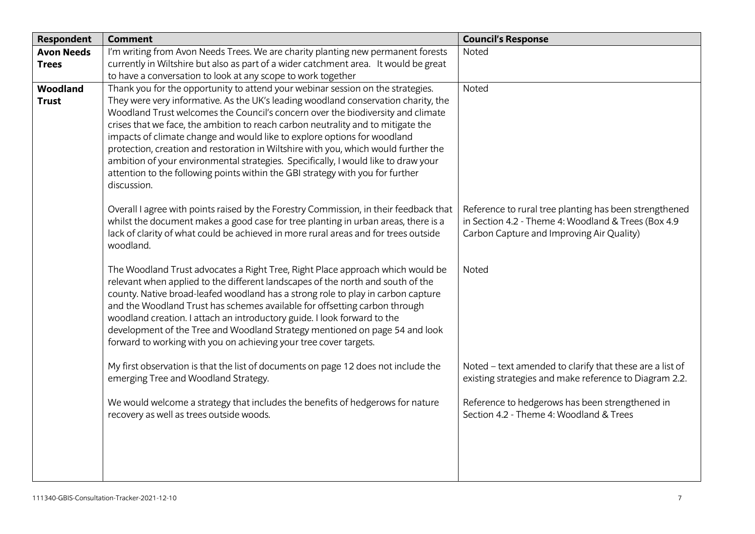| Reference to rural tree planting has been strengthened<br>in Section 4.2 - Theme 4: Woodland & Trees (Box 4.9<br>Carbon Capture and Improving Air Quality) |
|------------------------------------------------------------------------------------------------------------------------------------------------------------|
|                                                                                                                                                            |
| Noted - text amended to clarify that these are a list of<br>existing strategies and make reference to Diagram 2.2.                                         |
| Reference to hedgerows has been strengthened in<br>Section 4.2 - Theme 4: Woodland & Trees                                                                 |
|                                                                                                                                                            |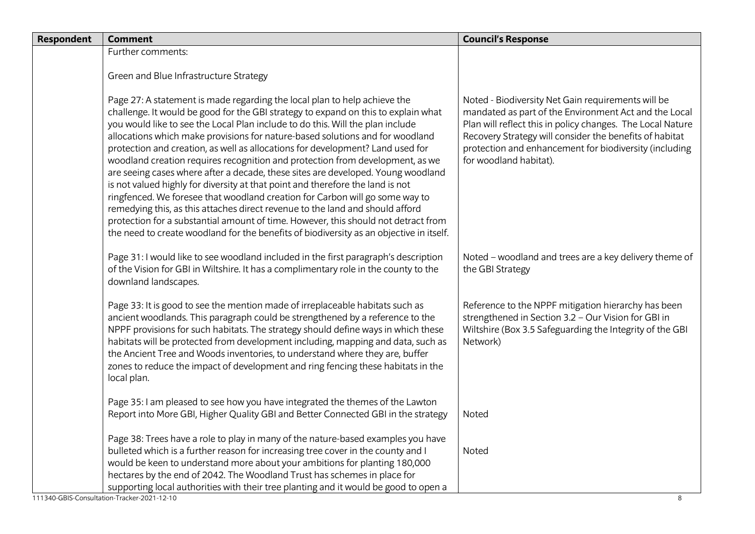| Respondent | <b>Comment</b>                                                                                                                                                                                                                                                                                                                                                                                                                                                                                                                                                                                                                                                                                                                                                                                                                                                                                                                                                                                                                | <b>Council's Response</b>                                                                                                                                                                                                                                                                                                |
|------------|-------------------------------------------------------------------------------------------------------------------------------------------------------------------------------------------------------------------------------------------------------------------------------------------------------------------------------------------------------------------------------------------------------------------------------------------------------------------------------------------------------------------------------------------------------------------------------------------------------------------------------------------------------------------------------------------------------------------------------------------------------------------------------------------------------------------------------------------------------------------------------------------------------------------------------------------------------------------------------------------------------------------------------|--------------------------------------------------------------------------------------------------------------------------------------------------------------------------------------------------------------------------------------------------------------------------------------------------------------------------|
|            | Further comments:                                                                                                                                                                                                                                                                                                                                                                                                                                                                                                                                                                                                                                                                                                                                                                                                                                                                                                                                                                                                             |                                                                                                                                                                                                                                                                                                                          |
|            | Green and Blue Infrastructure Strategy                                                                                                                                                                                                                                                                                                                                                                                                                                                                                                                                                                                                                                                                                                                                                                                                                                                                                                                                                                                        |                                                                                                                                                                                                                                                                                                                          |
|            | Page 27: A statement is made regarding the local plan to help achieve the<br>challenge. It would be good for the GBI strategy to expand on this to explain what<br>you would like to see the Local Plan include to do this. Will the plan include<br>allocations which make provisions for nature-based solutions and for woodland<br>protection and creation, as well as allocations for development? Land used for<br>woodland creation requires recognition and protection from development, as we<br>are seeing cases where after a decade, these sites are developed. Young woodland<br>is not valued highly for diversity at that point and therefore the land is not<br>ringfenced. We foresee that woodland creation for Carbon will go some way to<br>remedying this, as this attaches direct revenue to the land and should afford<br>protection for a substantial amount of time. However, this should not detract from<br>the need to create woodland for the benefits of biodiversity as an objective in itself. | Noted - Biodiversity Net Gain requirements will be<br>mandated as part of the Environment Act and the Local<br>Plan will reflect this in policy changes. The Local Nature<br>Recovery Strategy will consider the benefits of habitat<br>protection and enhancement for biodiversity (including<br>for woodland habitat). |
|            | Page 31: I would like to see woodland included in the first paragraph's description<br>of the Vision for GBI in Wiltshire. It has a complimentary role in the county to the<br>downland landscapes.                                                                                                                                                                                                                                                                                                                                                                                                                                                                                                                                                                                                                                                                                                                                                                                                                           | Noted - woodland and trees are a key delivery theme of<br>the GBI Strategy                                                                                                                                                                                                                                               |
|            | Page 33: It is good to see the mention made of irreplaceable habitats such as<br>ancient woodlands. This paragraph could be strengthened by a reference to the<br>NPPF provisions for such habitats. The strategy should define ways in which these<br>habitats will be protected from development including, mapping and data, such as<br>the Ancient Tree and Woods inventories, to understand where they are, buffer<br>zones to reduce the impact of development and ring fencing these habitats in the<br>local plan.                                                                                                                                                                                                                                                                                                                                                                                                                                                                                                    | Reference to the NPPF mitigation hierarchy has been<br>strengthened in Section 3.2 - Our Vision for GBI in<br>Wiltshire (Box 3.5 Safeguarding the Integrity of the GBI<br>Network)                                                                                                                                       |
|            | Page 35: I am pleased to see how you have integrated the themes of the Lawton<br>Report into More GBI, Higher Quality GBI and Better Connected GBI in the strategy                                                                                                                                                                                                                                                                                                                                                                                                                                                                                                                                                                                                                                                                                                                                                                                                                                                            | Noted                                                                                                                                                                                                                                                                                                                    |
|            | Page 38: Trees have a role to play in many of the nature-based examples you have<br>bulleted which is a further reason for increasing tree cover in the county and I<br>would be keen to understand more about your ambitions for planting 180,000<br>hectares by the end of 2042. The Woodland Trust has schemes in place for<br>supporting local authorities with their tree planting and it would be good to open a<br>111340-GBIS-Consultation-Tracker-2021-12-10                                                                                                                                                                                                                                                                                                                                                                                                                                                                                                                                                         | Noted<br>8                                                                                                                                                                                                                                                                                                               |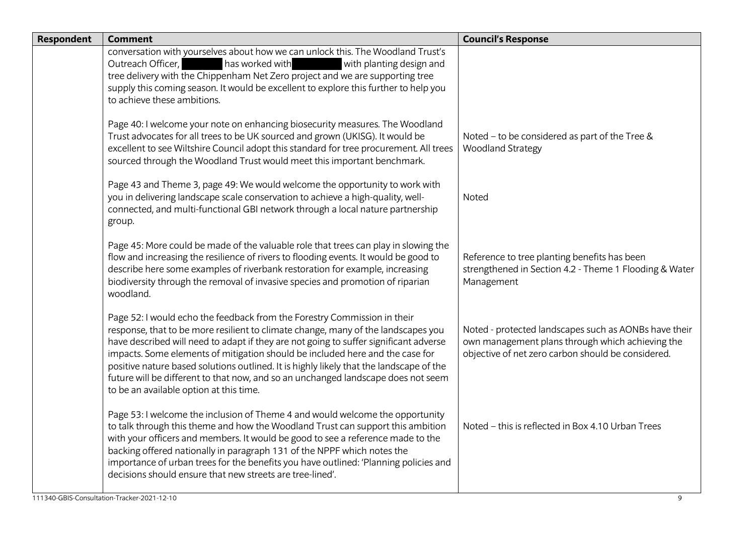| Respondent | <b>Comment</b>                                                                                                                                                                                                                                                                                                                                                                                                                                                                                                                                                     | <b>Council's Response</b>                                                                                                                                       |
|------------|--------------------------------------------------------------------------------------------------------------------------------------------------------------------------------------------------------------------------------------------------------------------------------------------------------------------------------------------------------------------------------------------------------------------------------------------------------------------------------------------------------------------------------------------------------------------|-----------------------------------------------------------------------------------------------------------------------------------------------------------------|
|            | conversation with yourselves about how we can unlock this. The Woodland Trust's<br>has worked with<br>with planting design and<br>Outreach Officer,<br>tree delivery with the Chippenham Net Zero project and we are supporting tree<br>supply this coming season. It would be excellent to explore this further to help you<br>to achieve these ambitions.                                                                                                                                                                                                        |                                                                                                                                                                 |
|            | Page 40: I welcome your note on enhancing biosecurity measures. The Woodland<br>Trust advocates for all trees to be UK sourced and grown (UKISG). It would be<br>excellent to see Wiltshire Council adopt this standard for tree procurement. All trees<br>sourced through the Woodland Trust would meet this important benchmark.                                                                                                                                                                                                                                 | Noted - to be considered as part of the Tree &<br><b>Woodland Strategy</b>                                                                                      |
|            | Page 43 and Theme 3, page 49: We would welcome the opportunity to work with<br>you in delivering landscape scale conservation to achieve a high-quality, well-<br>connected, and multi-functional GBI network through a local nature partnership<br>group.                                                                                                                                                                                                                                                                                                         | Noted                                                                                                                                                           |
|            | Page 45: More could be made of the valuable role that trees can play in slowing the<br>flow and increasing the resilience of rivers to flooding events. It would be good to<br>describe here some examples of riverbank restoration for example, increasing<br>biodiversity through the removal of invasive species and promotion of riparian<br>woodland.                                                                                                                                                                                                         | Reference to tree planting benefits has been<br>strengthened in Section 4.2 - Theme 1 Flooding & Water<br>Management                                            |
|            | Page 52: I would echo the feedback from the Forestry Commission in their<br>response, that to be more resilient to climate change, many of the landscapes you<br>have described will need to adapt if they are not going to suffer significant adverse<br>impacts. Some elements of mitigation should be included here and the case for<br>positive nature based solutions outlined. It is highly likely that the landscape of the<br>future will be different to that now, and so an unchanged landscape does not seem<br>to be an available option at this time. | Noted - protected landscapes such as AONBs have their<br>own management plans through which achieving the<br>objective of net zero carbon should be considered. |
|            | Page 53: I welcome the inclusion of Theme 4 and would welcome the opportunity<br>to talk through this theme and how the Woodland Trust can support this ambition<br>with your officers and members. It would be good to see a reference made to the<br>backing offered nationally in paragraph 131 of the NPPF which notes the<br>importance of urban trees for the benefits you have outlined: 'Planning policies and<br>decisions should ensure that new streets are tree-lined'.                                                                                | Noted - this is reflected in Box 4.10 Urban Trees                                                                                                               |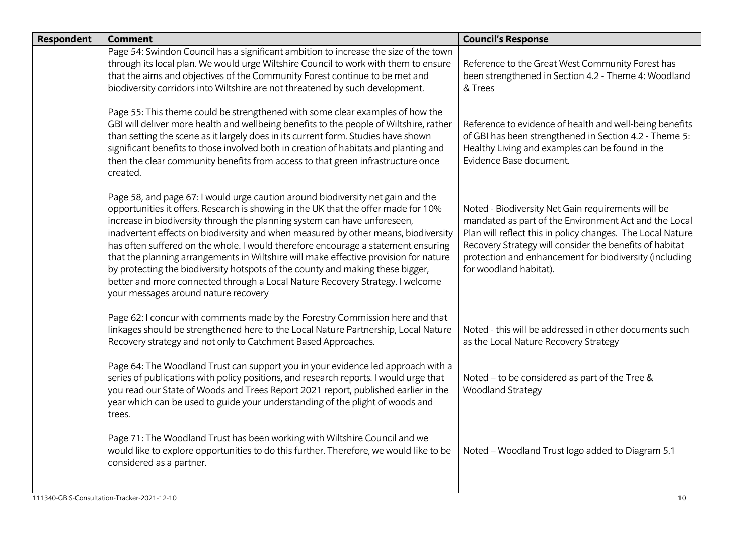| <b>Respondent</b> | <b>Comment</b>                                                                                                                                                                                                                                                                                                                                                                                                                                                                                                                                                                                                                                                                                                                   | <b>Council's Response</b>                                                                                                                                                                                                                                                                                                |
|-------------------|----------------------------------------------------------------------------------------------------------------------------------------------------------------------------------------------------------------------------------------------------------------------------------------------------------------------------------------------------------------------------------------------------------------------------------------------------------------------------------------------------------------------------------------------------------------------------------------------------------------------------------------------------------------------------------------------------------------------------------|--------------------------------------------------------------------------------------------------------------------------------------------------------------------------------------------------------------------------------------------------------------------------------------------------------------------------|
|                   | Page 54: Swindon Council has a significant ambition to increase the size of the town<br>through its local plan. We would urge Wiltshire Council to work with them to ensure<br>that the aims and objectives of the Community Forest continue to be met and<br>biodiversity corridors into Wiltshire are not threatened by such development.                                                                                                                                                                                                                                                                                                                                                                                      | Reference to the Great West Community Forest has<br>been strengthened in Section 4.2 - Theme 4: Woodland<br>& Trees                                                                                                                                                                                                      |
|                   | Page 55: This theme could be strengthened with some clear examples of how the<br>GBI will deliver more health and wellbeing benefits to the people of Wiltshire, rather<br>than setting the scene as it largely does in its current form. Studies have shown<br>significant benefits to those involved both in creation of habitats and planting and<br>then the clear community benefits from access to that green infrastructure once<br>created.                                                                                                                                                                                                                                                                              | Reference to evidence of health and well-being benefits<br>of GBI has been strengthened in Section 4.2 - Theme 5:<br>Healthy Living and examples can be found in the<br>Evidence Base document.                                                                                                                          |
|                   | Page 58, and page 67: I would urge caution around biodiversity net gain and the<br>opportunities it offers. Research is showing in the UK that the offer made for 10%<br>increase in biodiversity through the planning system can have unforeseen,<br>inadvertent effects on biodiversity and when measured by other means, biodiversity<br>has often suffered on the whole. I would therefore encourage a statement ensuring<br>that the planning arrangements in Wiltshire will make effective provision for nature<br>by protecting the biodiversity hotspots of the county and making these bigger,<br>better and more connected through a Local Nature Recovery Strategy. I welcome<br>your messages around nature recovery | Noted - Biodiversity Net Gain requirements will be<br>mandated as part of the Environment Act and the Local<br>Plan will reflect this in policy changes. The Local Nature<br>Recovery Strategy will consider the benefits of habitat<br>protection and enhancement for biodiversity (including<br>for woodland habitat). |
|                   | Page 62: I concur with comments made by the Forestry Commission here and that<br>linkages should be strengthened here to the Local Nature Partnership, Local Nature<br>Recovery strategy and not only to Catchment Based Approaches.                                                                                                                                                                                                                                                                                                                                                                                                                                                                                             | Noted - this will be addressed in other documents such<br>as the Local Nature Recovery Strategy                                                                                                                                                                                                                          |
|                   | Page 64: The Woodland Trust can support you in your evidence led approach with a<br>series of publications with policy positions, and research reports. I would urge that<br>you read our State of Woods and Trees Report 2021 report, published earlier in the<br>year which can be used to guide your understanding of the plight of woods and<br>trees.                                                                                                                                                                                                                                                                                                                                                                       | Noted - to be considered as part of the Tree &<br><b>Woodland Strategy</b>                                                                                                                                                                                                                                               |
|                   | Page 71: The Woodland Trust has been working with Wiltshire Council and we<br>would like to explore opportunities to do this further. Therefore, we would like to be<br>considered as a partner.                                                                                                                                                                                                                                                                                                                                                                                                                                                                                                                                 | Noted - Woodland Trust logo added to Diagram 5.1                                                                                                                                                                                                                                                                         |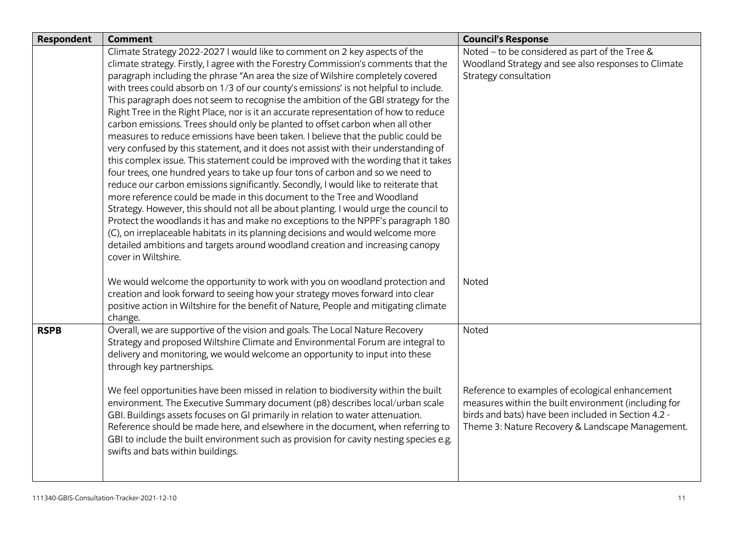| <b>Respondent</b> | <b>Comment</b>                                                                         | <b>Council's Response</b>                            |
|-------------------|----------------------------------------------------------------------------------------|------------------------------------------------------|
|                   | Climate Strategy 2022-2027 I would like to comment on 2 key aspects of the             | Noted - to be considered as part of the Tree &       |
|                   | climate strategy. Firstly, I agree with the Forestry Commission's comments that the    | Woodland Strategy and see also responses to Climate  |
|                   | paragraph including the phrase "An area the size of Wilshire completely covered        | Strategy consultation                                |
|                   | with trees could absorb on 1/3 of our county's emissions' is not helpful to include.   |                                                      |
|                   | This paragraph does not seem to recognise the ambition of the GBI strategy for the     |                                                      |
|                   | Right Tree in the Right Place, nor is it an accurate representation of how to reduce   |                                                      |
|                   | carbon emissions. Trees should only be planted to offset carbon when all other         |                                                      |
|                   | measures to reduce emissions have been taken. I believe that the public could be       |                                                      |
|                   | very confused by this statement, and it does not assist with their understanding of    |                                                      |
|                   | this complex issue. This statement could be improved with the wording that it takes    |                                                      |
|                   | four trees, one hundred years to take up four tons of carbon and so we need to         |                                                      |
|                   | reduce our carbon emissions significantly. Secondly, I would like to reiterate that    |                                                      |
|                   | more reference could be made in this document to the Tree and Woodland                 |                                                      |
|                   | Strategy. However, this should not all be about planting. I would urge the council to  |                                                      |
|                   | Protect the woodlands it has and make no exceptions to the NPPF's paragraph 180        |                                                      |
|                   | (C), on irreplaceable habitats in its planning decisions and would welcome more        |                                                      |
|                   | detailed ambitions and targets around woodland creation and increasing canopy          |                                                      |
|                   | cover in Wiltshire.                                                                    |                                                      |
|                   | We would welcome the opportunity to work with you on woodland protection and           | <b>Noted</b>                                         |
|                   | creation and look forward to seeing how your strategy moves forward into clear         |                                                      |
|                   | positive action in Wiltshire for the benefit of Nature, People and mitigating climate  |                                                      |
|                   | change.                                                                                |                                                      |
| <b>RSPB</b>       | Overall, we are supportive of the vision and goals. The Local Nature Recovery          | Noted                                                |
|                   | Strategy and proposed Wiltshire Climate and Environmental Forum are integral to        |                                                      |
|                   | delivery and monitoring, we would welcome an opportunity to input into these           |                                                      |
|                   | through key partnerships.                                                              |                                                      |
|                   |                                                                                        |                                                      |
|                   | We feel opportunities have been missed in relation to biodiversity within the built    | Reference to examples of ecological enhancement      |
|                   | environment. The Executive Summary document (p8) describes local/urban scale           | measures within the built environment (including for |
|                   | GBI. Buildings assets focuses on GI primarily in relation to water attenuation.        | birds and bats) have been included in Section 4.2 -  |
|                   | Reference should be made here, and elsewhere in the document, when referring to        | Theme 3: Nature Recovery & Landscape Management.     |
|                   | GBI to include the built environment such as provision for cavity nesting species e.g. |                                                      |
|                   | swifts and bats within buildings.                                                      |                                                      |
|                   |                                                                                        |                                                      |
|                   |                                                                                        |                                                      |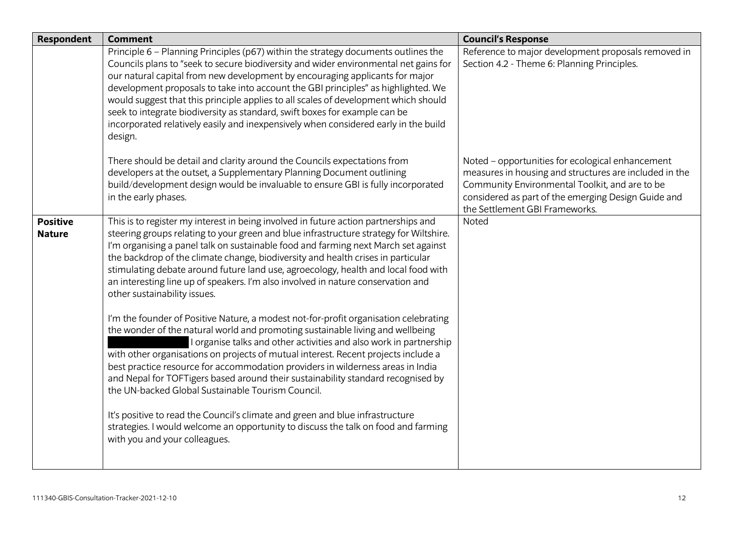| <b>Respondent</b>                | <b>Comment</b>                                                                                                                                                                                                                                                                                                                                                                                                                                                                                                                                                                                                         | <b>Council's Response</b>                                                                                                                                                                                                                             |
|----------------------------------|------------------------------------------------------------------------------------------------------------------------------------------------------------------------------------------------------------------------------------------------------------------------------------------------------------------------------------------------------------------------------------------------------------------------------------------------------------------------------------------------------------------------------------------------------------------------------------------------------------------------|-------------------------------------------------------------------------------------------------------------------------------------------------------------------------------------------------------------------------------------------------------|
|                                  | Principle 6 - Planning Principles (p67) within the strategy documents outlines the<br>Councils plans to "seek to secure biodiversity and wider environmental net gains for<br>our natural capital from new development by encouraging applicants for major<br>development proposals to take into account the GBI principles" as highlighted. We<br>would suggest that this principle applies to all scales of development which should<br>seek to integrate biodiversity as standard, swift boxes for example can be<br>incorporated relatively easily and inexpensively when considered early in the build<br>design. | Reference to major development proposals removed in<br>Section 4.2 - Theme 6: Planning Principles.                                                                                                                                                    |
|                                  | There should be detail and clarity around the Councils expectations from<br>developers at the outset, a Supplementary Planning Document outlining<br>build/development design would be invaluable to ensure GBI is fully incorporated<br>in the early phases.                                                                                                                                                                                                                                                                                                                                                          | Noted - opportunities for ecological enhancement<br>measures in housing and structures are included in the<br>Community Environmental Toolkit, and are to be<br>considered as part of the emerging Design Guide and<br>the Settlement GBI Frameworks. |
| <b>Positive</b><br><b>Nature</b> | This is to register my interest in being involved in future action partnerships and<br>steering groups relating to your green and blue infrastructure strategy for Wiltshire.<br>I'm organising a panel talk on sustainable food and farming next March set against<br>the backdrop of the climate change, biodiversity and health crises in particular<br>stimulating debate around future land use, agroecology, health and local food with<br>an interesting line up of speakers. I'm also involved in nature conservation and<br>other sustainability issues.                                                      | Noted                                                                                                                                                                                                                                                 |
|                                  | I'm the founder of Positive Nature, a modest not-for-profit organisation celebrating<br>the wonder of the natural world and promoting sustainable living and wellbeing<br>I organise talks and other activities and also work in partnership<br>with other organisations on projects of mutual interest. Recent projects include a<br>best practice resource for accommodation providers in wilderness areas in India<br>and Nepal for TOFTigers based around their sustainability standard recognised by<br>the UN-backed Global Sustainable Tourism Council.                                                         |                                                                                                                                                                                                                                                       |
|                                  | It's positive to read the Council's climate and green and blue infrastructure<br>strategies. I would welcome an opportunity to discuss the talk on food and farming<br>with you and your colleagues.                                                                                                                                                                                                                                                                                                                                                                                                                   |                                                                                                                                                                                                                                                       |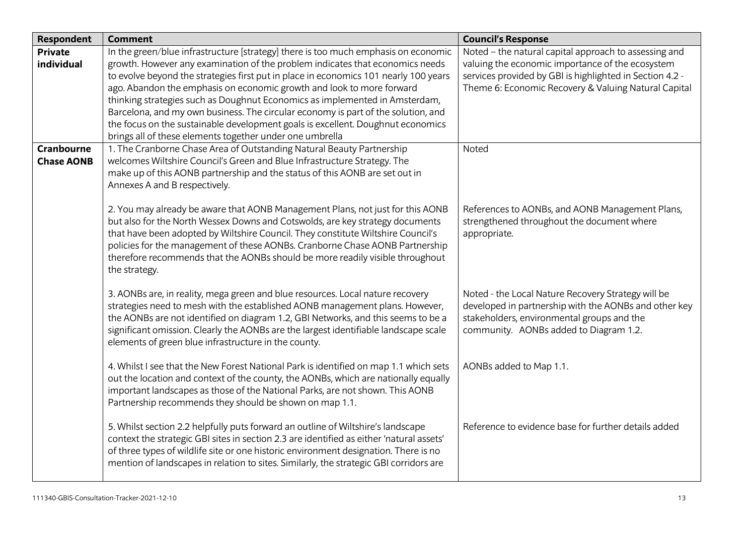| <b>Respondent</b> | <b>Comment</b>                                                                                                                    | <b>Council's Response</b>                                |
|-------------------|-----------------------------------------------------------------------------------------------------------------------------------|----------------------------------------------------------|
| <b>Private</b>    | In the green/blue infrastructure [strategy] there is too much emphasis on economic                                                | Noted - the natural capital approach to assessing and    |
| individual        | growth. However any examination of the problem indicates that economics needs                                                     | valuing the economic importance of the ecosystem         |
|                   | to evolve beyond the strategies first put in place in economics 101 nearly 100 years                                              | services provided by GBI is highlighted in Section 4.2 - |
|                   | ago. Abandon the emphasis on economic growth and look to more forward                                                             | Theme 6: Economic Recovery & Valuing Natural Capital     |
|                   | thinking strategies such as Doughnut Economics as implemented in Amsterdam,                                                       |                                                          |
|                   | Barcelona, and my own business. The circular economy is part of the solution, and                                                 |                                                          |
|                   | the focus on the sustainable development goals is excellent. Doughnut economics                                                   |                                                          |
| <b>Cranbourne</b> | brings all of these elements together under one umbrella<br>1. The Cranborne Chase Area of Outstanding Natural Beauty Partnership | Noted                                                    |
| <b>Chase AONB</b> | welcomes Wiltshire Council's Green and Blue Infrastructure Strategy. The                                                          |                                                          |
|                   | make up of this AONB partnership and the status of this AONB are set out in                                                       |                                                          |
|                   | Annexes A and B respectively.                                                                                                     |                                                          |
|                   |                                                                                                                                   |                                                          |
|                   | 2. You may already be aware that AONB Management Plans, not just for this AONB                                                    | References to AONBs, and AONB Management Plans,          |
|                   | but also for the North Wessex Downs and Cotswolds, are key strategy documents                                                     | strengthened throughout the document where               |
|                   | that have been adopted by Wiltshire Council. They constitute Wiltshire Council's                                                  | appropriate.                                             |
|                   | policies for the management of these AONBs. Cranborne Chase AONB Partnership                                                      |                                                          |
|                   | therefore recommends that the AONBs should be more readily visible throughout                                                     |                                                          |
|                   | the strategy.                                                                                                                     |                                                          |
|                   | 3. AONBs are, in reality, mega green and blue resources. Local nature recovery                                                    | Noted - the Local Nature Recovery Strategy will be       |
|                   | strategies need to mesh with the established AONB management plans. However,                                                      | developed in partnership with the AONBs and other key    |
|                   | the AONBs are not identified on diagram 1.2, GBI Networks, and this seems to be a                                                 | stakeholders, environmental groups and the               |
|                   | significant omission. Clearly the AONBs are the largest identifiable landscape scale                                              | community. AONBs added to Diagram 1.2.                   |
|                   | elements of green blue infrastructure in the county.                                                                              |                                                          |
|                   |                                                                                                                                   |                                                          |
|                   | 4. Whilst I see that the New Forest National Park is identified on map 1.1 which sets                                             | AONBs added to Map 1.1.                                  |
|                   | out the location and context of the county, the AONBs, which are nationally equally                                               |                                                          |
|                   | important landscapes as those of the National Parks, are not shown. This AONB                                                     |                                                          |
|                   | Partnership recommends they should be shown on map 1.1.                                                                           |                                                          |
|                   | 5. Whilst section 2.2 helpfully puts forward an outline of Wiltshire's landscape                                                  | Reference to evidence base for further details added     |
|                   | context the strategic GBI sites in section 2.3 are identified as either 'natural assets'                                          |                                                          |
|                   | of three types of wildlife site or one historic environment designation. There is no                                              |                                                          |
|                   | mention of landscapes in relation to sites. Similarly, the strategic GBI corridors are                                            |                                                          |
|                   |                                                                                                                                   |                                                          |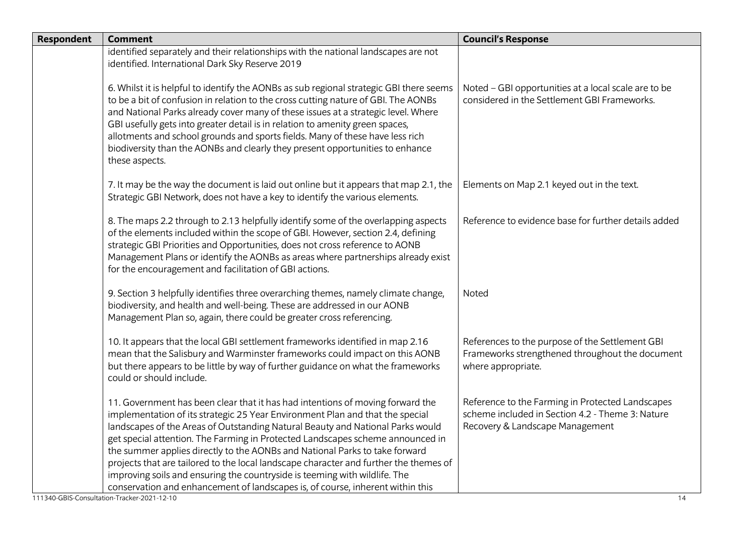| identified separately and their relationships with the national landscapes are not<br>identified. International Dark Sky Reserve 2019                                                                                                                                                                                                                                                                                                                                                                                                                                                                                                                                                                                      |                                                                                                                                               |
|----------------------------------------------------------------------------------------------------------------------------------------------------------------------------------------------------------------------------------------------------------------------------------------------------------------------------------------------------------------------------------------------------------------------------------------------------------------------------------------------------------------------------------------------------------------------------------------------------------------------------------------------------------------------------------------------------------------------------|-----------------------------------------------------------------------------------------------------------------------------------------------|
| 6. Whilst it is helpful to identify the AONBs as sub regional strategic GBI there seems<br>to be a bit of confusion in relation to the cross cutting nature of GBI. The AONBs<br>and National Parks already cover many of these issues at a strategic level. Where<br>GBI usefully gets into greater detail is in relation to amenity green spaces,<br>allotments and school grounds and sports fields. Many of these have less rich<br>biodiversity than the AONBs and clearly they present opportunities to enhance<br>these aspects.                                                                                                                                                                                    | Noted - GBI opportunities at a local scale are to be<br>considered in the Settlement GBI Frameworks.                                          |
| 7. It may be the way the document is laid out online but it appears that map 2.1, the<br>Strategic GBI Network, does not have a key to identify the various elements.                                                                                                                                                                                                                                                                                                                                                                                                                                                                                                                                                      | Elements on Map 2.1 keyed out in the text.                                                                                                    |
| 8. The maps 2.2 through to 2.13 helpfully identify some of the overlapping aspects<br>of the elements included within the scope of GBI. However, section 2.4, defining<br>strategic GBI Priorities and Opportunities, does not cross reference to AONB<br>Management Plans or identify the AONBs as areas where partnerships already exist<br>for the encouragement and facilitation of GBI actions.                                                                                                                                                                                                                                                                                                                       | Reference to evidence base for further details added                                                                                          |
| 9. Section 3 helpfully identifies three overarching themes, namely climate change,<br>biodiversity, and health and well-being. These are addressed in our AONB<br>Management Plan so, again, there could be greater cross referencing.                                                                                                                                                                                                                                                                                                                                                                                                                                                                                     | Noted                                                                                                                                         |
| 10. It appears that the local GBI settlement frameworks identified in map 2.16<br>mean that the Salisbury and Warminster frameworks could impact on this AONB<br>but there appears to be little by way of further guidance on what the frameworks<br>could or should include.                                                                                                                                                                                                                                                                                                                                                                                                                                              | References to the purpose of the Settlement GBI<br>Frameworks strengthened throughout the document<br>where appropriate.                      |
| 11. Government has been clear that it has had intentions of moving forward the<br>implementation of its strategic 25 Year Environment Plan and that the special<br>landscapes of the Areas of Outstanding Natural Beauty and National Parks would<br>get special attention. The Farming in Protected Landscapes scheme announced in<br>the summer applies directly to the AONBs and National Parks to take forward<br>projects that are tailored to the local landscape character and further the themes of<br>improving soils and ensuring the countryside is teeming with wildlife. The<br>conservation and enhancement of landscapes is, of course, inherent within this<br>111340-GBIS-Consultation-Tracker-2021-12-10 | Reference to the Farming in Protected Landscapes<br>scheme included in Section 4.2 - Theme 3: Nature<br>Recovery & Landscape Management<br>14 |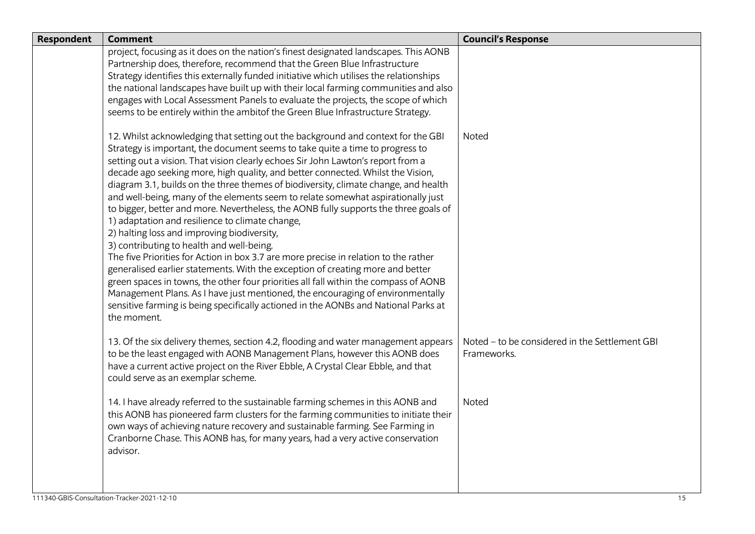| <b>Respondent</b> | <b>Comment</b>                                                                                                                                                                                                                                                                                                                                                                                                                                                                                                                                                                                                                                                                                                                                                                                                                                                                                                                                                                                                                                                                                                                                                                                                       | <b>Council's Response</b>                                     |
|-------------------|----------------------------------------------------------------------------------------------------------------------------------------------------------------------------------------------------------------------------------------------------------------------------------------------------------------------------------------------------------------------------------------------------------------------------------------------------------------------------------------------------------------------------------------------------------------------------------------------------------------------------------------------------------------------------------------------------------------------------------------------------------------------------------------------------------------------------------------------------------------------------------------------------------------------------------------------------------------------------------------------------------------------------------------------------------------------------------------------------------------------------------------------------------------------------------------------------------------------|---------------------------------------------------------------|
|                   | project, focusing as it does on the nation's finest designated landscapes. This AONB<br>Partnership does, therefore, recommend that the Green Blue Infrastructure<br>Strategy identifies this externally funded initiative which utilises the relationships<br>the national landscapes have built up with their local farming communities and also<br>engages with Local Assessment Panels to evaluate the projects, the scope of which<br>seems to be entirely within the ambitof the Green Blue Infrastructure Strategy.                                                                                                                                                                                                                                                                                                                                                                                                                                                                                                                                                                                                                                                                                           |                                                               |
|                   | 12. Whilst acknowledging that setting out the background and context for the GBI<br>Strategy is important, the document seems to take quite a time to progress to<br>setting out a vision. That vision clearly echoes Sir John Lawton's report from a<br>decade ago seeking more, high quality, and better connected. Whilst the Vision,<br>diagram 3.1, builds on the three themes of biodiversity, climate change, and health<br>and well-being, many of the elements seem to relate somewhat aspirationally just<br>to bigger, better and more. Nevertheless, the AONB fully supports the three goals of<br>1) adaptation and resilience to climate change,<br>2) halting loss and improving biodiversity,<br>3) contributing to health and well-being.<br>The five Priorities for Action in box 3.7 are more precise in relation to the rather<br>generalised earlier statements. With the exception of creating more and better<br>green spaces in towns, the other four priorities all fall within the compass of AONB<br>Management Plans. As I have just mentioned, the encouraging of environmentally<br>sensitive farming is being specifically actioned in the AONBs and National Parks at<br>the moment. | Noted                                                         |
|                   | 13. Of the six delivery themes, section 4.2, flooding and water management appears<br>to be the least engaged with AONB Management Plans, however this AONB does<br>have a current active project on the River Ebble, A Crystal Clear Ebble, and that<br>could serve as an exemplar scheme.                                                                                                                                                                                                                                                                                                                                                                                                                                                                                                                                                                                                                                                                                                                                                                                                                                                                                                                          | Noted - to be considered in the Settlement GBI<br>Frameworks. |
|                   | 14. I have already referred to the sustainable farming schemes in this AONB and<br>this AONB has pioneered farm clusters for the farming communities to initiate their<br>own ways of achieving nature recovery and sustainable farming. See Farming in<br>Cranborne Chase. This AONB has, for many years, had a very active conservation<br>advisor.                                                                                                                                                                                                                                                                                                                                                                                                                                                                                                                                                                                                                                                                                                                                                                                                                                                                | Noted                                                         |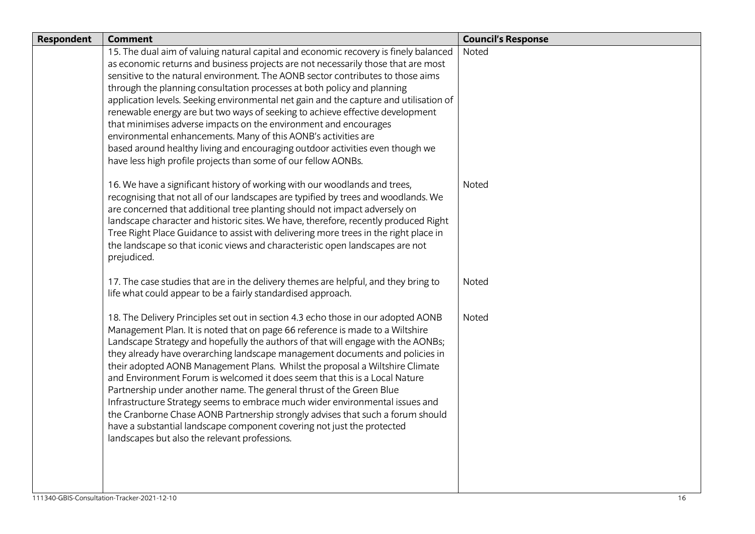| Respondent | <b>Comment</b>                                                                                                                                    | <b>Council's Response</b> |
|------------|---------------------------------------------------------------------------------------------------------------------------------------------------|---------------------------|
|            | 15. The dual aim of valuing natural capital and economic recovery is finely balanced                                                              | Noted                     |
|            | as economic returns and business projects are not necessarily those that are most                                                                 |                           |
|            | sensitive to the natural environment. The AONB sector contributes to those aims                                                                   |                           |
|            | through the planning consultation processes at both policy and planning                                                                           |                           |
|            | application levels. Seeking environmental net gain and the capture and utilisation of                                                             |                           |
|            | renewable energy are but two ways of seeking to achieve effective development<br>that minimises adverse impacts on the environment and encourages |                           |
|            | environmental enhancements. Many of this AONB's activities are                                                                                    |                           |
|            | based around healthy living and encouraging outdoor activities even though we                                                                     |                           |
|            | have less high profile projects than some of our fellow AONBs.                                                                                    |                           |
|            |                                                                                                                                                   |                           |
|            | 16. We have a significant history of working with our woodlands and trees,                                                                        | Noted                     |
|            | recognising that not all of our landscapes are typified by trees and woodlands. We                                                                |                           |
|            | are concerned that additional tree planting should not impact adversely on                                                                        |                           |
|            | landscape character and historic sites. We have, therefore, recently produced Right                                                               |                           |
|            | Tree Right Place Guidance to assist with delivering more trees in the right place in                                                              |                           |
|            | the landscape so that iconic views and characteristic open landscapes are not                                                                     |                           |
|            | prejudiced.                                                                                                                                       |                           |
|            | 17. The case studies that are in the delivery themes are helpful, and they bring to                                                               | Noted                     |
|            | life what could appear to be a fairly standardised approach.                                                                                      |                           |
|            |                                                                                                                                                   |                           |
|            | 18. The Delivery Principles set out in section 4.3 echo those in our adopted AONB                                                                 | Noted                     |
|            | Management Plan. It is noted that on page 66 reference is made to a Wiltshire                                                                     |                           |
|            | Landscape Strategy and hopefully the authors of that will engage with the AONBs;                                                                  |                           |
|            | they already have overarching landscape management documents and policies in                                                                      |                           |
|            | their adopted AONB Management Plans. Whilst the proposal a Wiltshire Climate                                                                      |                           |
|            | and Environment Forum is welcomed it does seem that this is a Local Nature                                                                        |                           |
|            | Partnership under another name. The general thrust of the Green Blue                                                                              |                           |
|            | Infrastructure Strategy seems to embrace much wider environmental issues and                                                                      |                           |
|            | the Cranborne Chase AONB Partnership strongly advises that such a forum should                                                                    |                           |
|            | have a substantial landscape component covering not just the protected                                                                            |                           |
|            | landscapes but also the relevant professions.                                                                                                     |                           |
|            |                                                                                                                                                   |                           |
|            |                                                                                                                                                   |                           |
|            |                                                                                                                                                   |                           |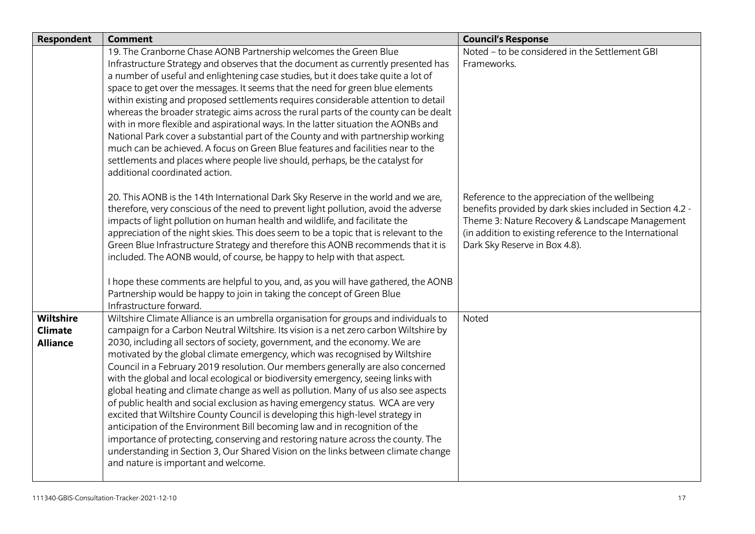| <b>Respondent</b>                              | <b>Comment</b>                                                                                                                                                                                                                                                                                                                                                                                                                                                                                                                                                                                                                                                                                                                                                                                                                                                                                                                                                                                                                                                                   | <b>Council's Response</b>                                                                                                                                                                                                                                  |
|------------------------------------------------|----------------------------------------------------------------------------------------------------------------------------------------------------------------------------------------------------------------------------------------------------------------------------------------------------------------------------------------------------------------------------------------------------------------------------------------------------------------------------------------------------------------------------------------------------------------------------------------------------------------------------------------------------------------------------------------------------------------------------------------------------------------------------------------------------------------------------------------------------------------------------------------------------------------------------------------------------------------------------------------------------------------------------------------------------------------------------------|------------------------------------------------------------------------------------------------------------------------------------------------------------------------------------------------------------------------------------------------------------|
|                                                | 19. The Cranborne Chase AONB Partnership welcomes the Green Blue<br>Infrastructure Strategy and observes that the document as currently presented has<br>a number of useful and enlightening case studies, but it does take quite a lot of<br>space to get over the messages. It seems that the need for green blue elements<br>within existing and proposed settlements requires considerable attention to detail<br>whereas the broader strategic aims across the rural parts of the county can be dealt<br>with in more flexible and aspirational ways. In the latter situation the AONBs and<br>National Park cover a substantial part of the County and with partnership working<br>much can be achieved. A focus on Green Blue features and facilities near to the<br>settlements and places where people live should, perhaps, be the catalyst for<br>additional coordinated action.                                                                                                                                                                                      | Noted - to be considered in the Settlement GBI<br>Frameworks.                                                                                                                                                                                              |
|                                                | 20. This AONB is the 14th International Dark Sky Reserve in the world and we are,<br>therefore, very conscious of the need to prevent light pollution, avoid the adverse<br>impacts of light pollution on human health and wildlife, and facilitate the<br>appreciation of the night skies. This does seem to be a topic that is relevant to the<br>Green Blue Infrastructure Strategy and therefore this AONB recommends that it is<br>included. The AONB would, of course, be happy to help with that aspect.<br>I hope these comments are helpful to you, and, as you will have gathered, the AONB<br>Partnership would be happy to join in taking the concept of Green Blue<br>Infrastructure forward.                                                                                                                                                                                                                                                                                                                                                                       | Reference to the appreciation of the wellbeing<br>benefits provided by dark skies included in Section 4.2 -<br>Theme 3: Nature Recovery & Landscape Management<br>(in addition to existing reference to the International<br>Dark Sky Reserve in Box 4.8). |
| Wiltshire<br><b>Climate</b><br><b>Alliance</b> | Wiltshire Climate Alliance is an umbrella organisation for groups and individuals to<br>campaign for a Carbon Neutral Wiltshire. Its vision is a net zero carbon Wiltshire by<br>2030, including all sectors of society, government, and the economy. We are<br>motivated by the global climate emergency, which was recognised by Wiltshire<br>Council in a February 2019 resolution. Our members generally are also concerned<br>with the global and local ecological or biodiversity emergency, seeing links with<br>global heating and climate change as well as pollution. Many of us also see aspects<br>of public health and social exclusion as having emergency status. WCA are very<br>excited that Wiltshire County Council is developing this high-level strategy in<br>anticipation of the Environment Bill becoming law and in recognition of the<br>importance of protecting, conserving and restoring nature across the county. The<br>understanding in Section 3, Our Shared Vision on the links between climate change<br>and nature is important and welcome. | Noted                                                                                                                                                                                                                                                      |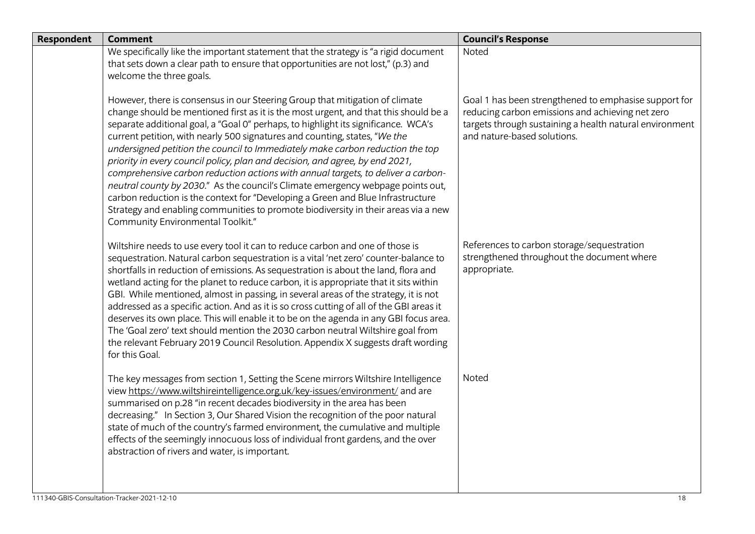| <b>Respondent</b> | <b>Comment</b>                                                                                                                                                                                                                                                                                                                                                                                                                                                                                                                                                                                                                                                                                                                                                                                                                                                                                 | <b>Council's Response</b>                                                                                                                                                                           |
|-------------------|------------------------------------------------------------------------------------------------------------------------------------------------------------------------------------------------------------------------------------------------------------------------------------------------------------------------------------------------------------------------------------------------------------------------------------------------------------------------------------------------------------------------------------------------------------------------------------------------------------------------------------------------------------------------------------------------------------------------------------------------------------------------------------------------------------------------------------------------------------------------------------------------|-----------------------------------------------------------------------------------------------------------------------------------------------------------------------------------------------------|
|                   | We specifically like the important statement that the strategy is "a rigid document<br>that sets down a clear path to ensure that opportunities are not lost," (p.3) and<br>welcome the three goals.                                                                                                                                                                                                                                                                                                                                                                                                                                                                                                                                                                                                                                                                                           | Noted                                                                                                                                                                                               |
|                   | However, there is consensus in our Steering Group that mitigation of climate<br>change should be mentioned first as it is the most urgent, and that this should be a<br>separate additional goal, a "Goal O" perhaps, to highlight its significance. WCA's<br>current petition, with nearly 500 signatures and counting, states, "We the<br>undersigned petition the council to Immediately make carbon reduction the top<br>priority in every council policy, plan and decision, and agree, by end 2021,<br>comprehensive carbon reduction actions with annual targets, to deliver a carbon-<br>neutral county by 2030." As the council's Climate emergency webpage points out,<br>carbon reduction is the context for "Developing a Green and Blue Infrastructure<br>Strategy and enabling communities to promote biodiversity in their areas via a new<br>Community Environmental Toolkit." | Goal 1 has been strengthened to emphasise support for<br>reducing carbon emissions and achieving net zero<br>targets through sustaining a health natural environment<br>and nature-based solutions. |
|                   | Wiltshire needs to use every tool it can to reduce carbon and one of those is<br>sequestration. Natural carbon sequestration is a vital 'net zero' counter-balance to<br>shortfalls in reduction of emissions. As sequestration is about the land, flora and<br>wetland acting for the planet to reduce carbon, it is appropriate that it sits within<br>GBI. While mentioned, almost in passing, in several areas of the strategy, it is not<br>addressed as a specific action. And as it is so cross cutting of all of the GBI areas it<br>deserves its own place. This will enable it to be on the agenda in any GBI focus area.<br>The 'Goal zero' text should mention the 2030 carbon neutral Wiltshire goal from<br>the relevant February 2019 Council Resolution. Appendix X suggests draft wording<br>for this Goal.                                                                   | References to carbon storage/sequestration<br>strengthened throughout the document where<br>appropriate.                                                                                            |
|                   | The key messages from section 1, Setting the Scene mirrors Wiltshire Intelligence<br>view https://www.wiltshireintelligence.org.uk/key-issues/environment/ and are<br>summarised on p.28 "in recent decades biodiversity in the area has been<br>decreasing." In Section 3, Our Shared Vision the recognition of the poor natural<br>state of much of the country's farmed environment, the cumulative and multiple<br>effects of the seemingly innocuous loss of individual front gardens, and the over<br>abstraction of rivers and water, is important.                                                                                                                                                                                                                                                                                                                                     | Noted                                                                                                                                                                                               |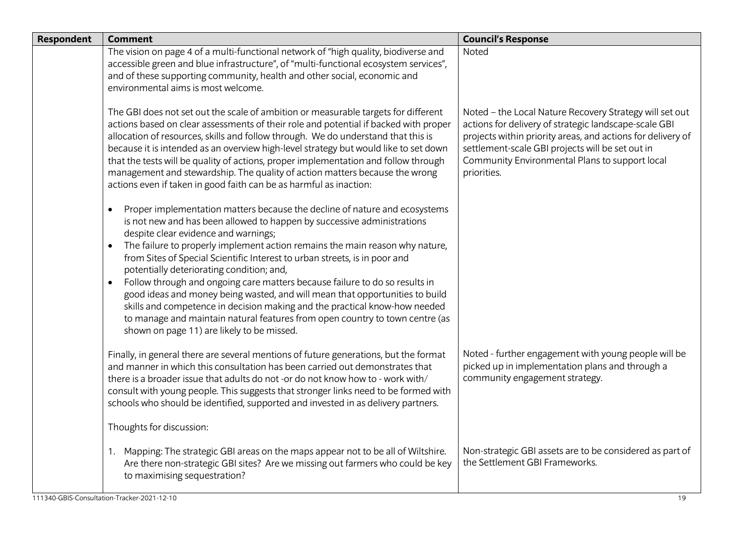| <b>Respondent</b> | <b>Comment</b>                                                                                                                                                                                                                                                                                                                                                                                                                                                                                                                                                                                                                                                                                                                                                                                   | <b>Council's Response</b>                                                                                                                                                                                                                                                                            |
|-------------------|--------------------------------------------------------------------------------------------------------------------------------------------------------------------------------------------------------------------------------------------------------------------------------------------------------------------------------------------------------------------------------------------------------------------------------------------------------------------------------------------------------------------------------------------------------------------------------------------------------------------------------------------------------------------------------------------------------------------------------------------------------------------------------------------------|------------------------------------------------------------------------------------------------------------------------------------------------------------------------------------------------------------------------------------------------------------------------------------------------------|
|                   | The vision on page 4 of a multi-functional network of "high quality, biodiverse and<br>accessible green and blue infrastructure", of "multi-functional ecosystem services",<br>and of these supporting community, health and other social, economic and<br>environmental aims is most welcome.                                                                                                                                                                                                                                                                                                                                                                                                                                                                                                   | Noted                                                                                                                                                                                                                                                                                                |
|                   | The GBI does not set out the scale of ambition or measurable targets for different<br>actions based on clear assessments of their role and potential if backed with proper<br>allocation of resources, skills and follow through. We do understand that this is<br>because it is intended as an overview high-level strategy but would like to set down<br>that the tests will be quality of actions, proper implementation and follow through<br>management and stewardship. The quality of action matters because the wrong<br>actions even if taken in good faith can be as harmful as inaction:                                                                                                                                                                                              | Noted - the Local Nature Recovery Strategy will set out<br>actions for delivery of strategic landscape-scale GBI<br>projects within priority areas, and actions for delivery of<br>settlement-scale GBI projects will be set out in<br>Community Environmental Plans to support local<br>priorities. |
|                   | Proper implementation matters because the decline of nature and ecosystems<br>$\bullet$<br>is not new and has been allowed to happen by successive administrations<br>despite clear evidence and warnings;<br>The failure to properly implement action remains the main reason why nature,<br>from Sites of Special Scientific Interest to urban streets, is in poor and<br>potentially deteriorating condition; and,<br>Follow through and ongoing care matters because failure to do so results in<br>good ideas and money being wasted, and will mean that opportunities to build<br>skills and competence in decision making and the practical know-how needed<br>to manage and maintain natural features from open country to town centre (as<br>shown on page 11) are likely to be missed. |                                                                                                                                                                                                                                                                                                      |
|                   | Finally, in general there are several mentions of future generations, but the format<br>and manner in which this consultation has been carried out demonstrates that<br>there is a broader issue that adults do not-or do not know how to - work with/<br>consult with young people. This suggests that stronger links need to be formed with<br>schools who should be identified, supported and invested in as delivery partners.                                                                                                                                                                                                                                                                                                                                                               | Noted - further engagement with young people will be<br>picked up in implementation plans and through a<br>community engagement strategy.                                                                                                                                                            |
|                   | Thoughts for discussion:                                                                                                                                                                                                                                                                                                                                                                                                                                                                                                                                                                                                                                                                                                                                                                         |                                                                                                                                                                                                                                                                                                      |
|                   | Mapping: The strategic GBI areas on the maps appear not to be all of Wiltshire.<br>1.<br>Are there non-strategic GBI sites? Are we missing out farmers who could be key<br>to maximising sequestration?                                                                                                                                                                                                                                                                                                                                                                                                                                                                                                                                                                                          | Non-strategic GBI assets are to be considered as part of<br>the Settlement GBI Frameworks.                                                                                                                                                                                                           |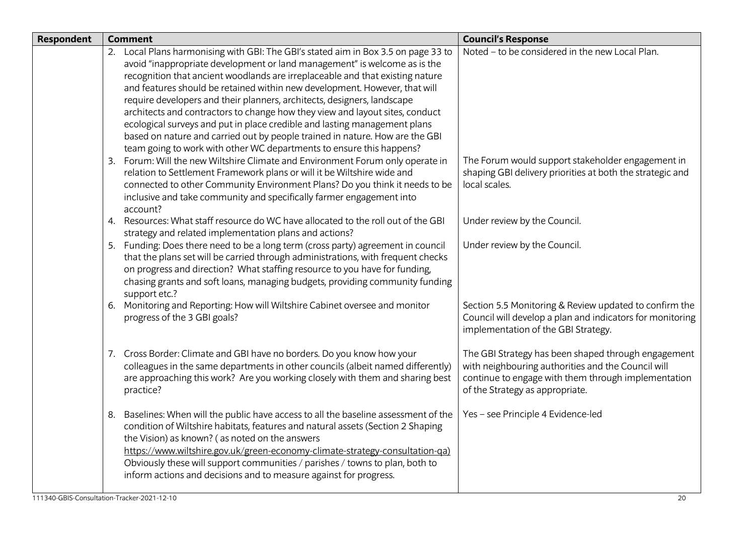| Respondent | <b>Comment</b>                                                                                                                                                                                                                                                                                                                                                                                                                                                                                                                                                                                                                                                                                                                 | <b>Council's Response</b>                                                                                                                                                                           |
|------------|--------------------------------------------------------------------------------------------------------------------------------------------------------------------------------------------------------------------------------------------------------------------------------------------------------------------------------------------------------------------------------------------------------------------------------------------------------------------------------------------------------------------------------------------------------------------------------------------------------------------------------------------------------------------------------------------------------------------------------|-----------------------------------------------------------------------------------------------------------------------------------------------------------------------------------------------------|
|            | 2. Local Plans harmonising with GBI: The GBI's stated aim in Box 3.5 on page 33 to<br>avoid "inappropriate development or land management" is welcome as is the<br>recognition that ancient woodlands are irreplaceable and that existing nature<br>and features should be retained within new development. However, that will<br>require developers and their planners, architects, designers, landscape<br>architects and contractors to change how they view and layout sites, conduct<br>ecological surveys and put in place credible and lasting management plans<br>based on nature and carried out by people trained in nature. How are the GBI<br>team going to work with other WC departments to ensure this happens? | Noted - to be considered in the new Local Plan.                                                                                                                                                     |
|            | 3. Forum: Will the new Wiltshire Climate and Environment Forum only operate in<br>relation to Settlement Framework plans or will it be Wiltshire wide and<br>connected to other Community Environment Plans? Do you think it needs to be<br>inclusive and take community and specifically farmer engagement into<br>account?                                                                                                                                                                                                                                                                                                                                                                                                   | The Forum would support stakeholder engagement in<br>shaping GBI delivery priorities at both the strategic and<br>local scales.                                                                     |
|            | 4. Resources: What staff resource do WC have allocated to the roll out of the GBI<br>strategy and related implementation plans and actions?                                                                                                                                                                                                                                                                                                                                                                                                                                                                                                                                                                                    | Under review by the Council.                                                                                                                                                                        |
|            | 5. Funding: Does there need to be a long term (cross party) agreement in council<br>that the plans set will be carried through administrations, with frequent checks<br>on progress and direction? What staffing resource to you have for funding,<br>chasing grants and soft loans, managing budgets, providing community funding<br>support etc.?                                                                                                                                                                                                                                                                                                                                                                            | Under review by the Council.                                                                                                                                                                        |
|            | 6. Monitoring and Reporting: How will Wiltshire Cabinet oversee and monitor<br>progress of the 3 GBI goals?                                                                                                                                                                                                                                                                                                                                                                                                                                                                                                                                                                                                                    | Section 5.5 Monitoring & Review updated to confirm the<br>Council will develop a plan and indicators for monitoring<br>implementation of the GBI Strategy.                                          |
|            | 7. Cross Border: Climate and GBI have no borders. Do you know how your<br>colleagues in the same departments in other councils (albeit named differently)<br>are approaching this work? Are you working closely with them and sharing best<br>practice?                                                                                                                                                                                                                                                                                                                                                                                                                                                                        | The GBI Strategy has been shaped through engagement<br>with neighbouring authorities and the Council will<br>continue to engage with them through implementation<br>of the Strategy as appropriate. |
|            | Baselines: When will the public have access to all the baseline assessment of the<br>8.<br>condition of Wiltshire habitats, features and natural assets (Section 2 Shaping<br>the Vision) as known? (as noted on the answers<br>https://www.wiltshire.gov.uk/green-economy-climate-strategy-consultation-ga)<br>Obviously these will support communities / parishes / towns to plan, both to<br>inform actions and decisions and to measure against for progress.                                                                                                                                                                                                                                                              | Yes - see Principle 4 Evidence-led                                                                                                                                                                  |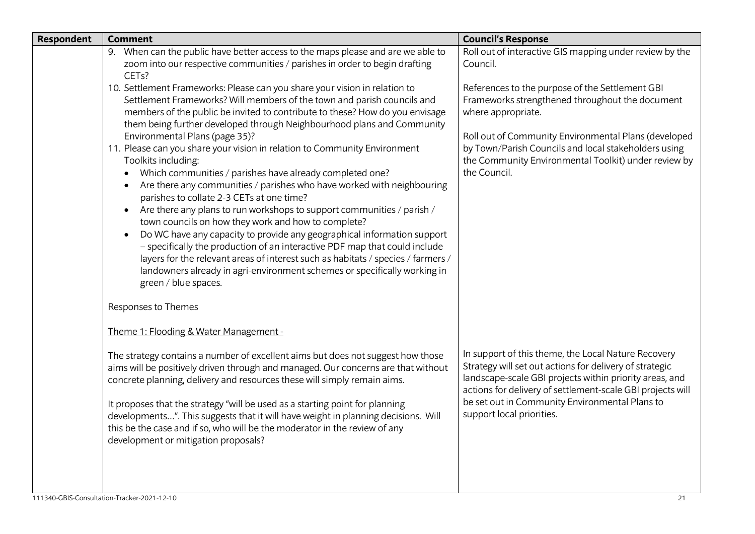| Respondent | <b>Comment</b>                                                                                                                                                                                                                                                                                                                                                                                                                                                                                                                                                                                                                                                                                                                                                                                                                                                                                                                                                                                                                                                                                                                                                                  | <b>Council's Response</b>                                                                                                                                                                                                                                                                                              |
|------------|---------------------------------------------------------------------------------------------------------------------------------------------------------------------------------------------------------------------------------------------------------------------------------------------------------------------------------------------------------------------------------------------------------------------------------------------------------------------------------------------------------------------------------------------------------------------------------------------------------------------------------------------------------------------------------------------------------------------------------------------------------------------------------------------------------------------------------------------------------------------------------------------------------------------------------------------------------------------------------------------------------------------------------------------------------------------------------------------------------------------------------------------------------------------------------|------------------------------------------------------------------------------------------------------------------------------------------------------------------------------------------------------------------------------------------------------------------------------------------------------------------------|
|            | 9. When can the public have better access to the maps please and are we able to<br>zoom into our respective communities / parishes in order to begin drafting<br>CET <sub>s?</sub>                                                                                                                                                                                                                                                                                                                                                                                                                                                                                                                                                                                                                                                                                                                                                                                                                                                                                                                                                                                              | Roll out of interactive GIS mapping under review by the<br>Council.                                                                                                                                                                                                                                                    |
|            | 10. Settlement Frameworks: Please can you share your vision in relation to<br>Settlement Frameworks? Will members of the town and parish councils and<br>members of the public be invited to contribute to these? How do you envisage<br>them being further developed through Neighbourhood plans and Community<br>Environmental Plans (page 35)?<br>11. Please can you share your vision in relation to Community Environment<br>Toolkits including:<br>Which communities / parishes have already completed one?<br>$\bullet$<br>Are there any communities / parishes who have worked with neighbouring<br>$\bullet$<br>parishes to collate 2-3 CETs at one time?<br>Are there any plans to run workshops to support communities / parish /<br>$\bullet$<br>town councils on how they work and how to complete?<br>Do WC have any capacity to provide any geographical information support<br>$\bullet$<br>- specifically the production of an interactive PDF map that could include<br>layers for the relevant areas of interest such as habitats / species / farmers /<br>landowners already in agri-environment schemes or specifically working in<br>green / blue spaces. | References to the purpose of the Settlement GBI<br>Frameworks strengthened throughout the document<br>where appropriate.<br>Roll out of Community Environmental Plans (developed<br>by Town/Parish Councils and local stakeholders using<br>the Community Environmental Toolkit) under review by<br>the Council.       |
|            | Responses to Themes                                                                                                                                                                                                                                                                                                                                                                                                                                                                                                                                                                                                                                                                                                                                                                                                                                                                                                                                                                                                                                                                                                                                                             |                                                                                                                                                                                                                                                                                                                        |
|            | Theme 1: Flooding & Water Management -                                                                                                                                                                                                                                                                                                                                                                                                                                                                                                                                                                                                                                                                                                                                                                                                                                                                                                                                                                                                                                                                                                                                          |                                                                                                                                                                                                                                                                                                                        |
|            | The strategy contains a number of excellent aims but does not suggest how those<br>aims will be positively driven through and managed. Our concerns are that without<br>concrete planning, delivery and resources these will simply remain aims.<br>It proposes that the strategy "will be used as a starting point for planning<br>developments". This suggests that it will have weight in planning decisions. Will<br>this be the case and if so, who will be the moderator in the review of any<br>development or mitigation proposals?                                                                                                                                                                                                                                                                                                                                                                                                                                                                                                                                                                                                                                     | In support of this theme, the Local Nature Recovery<br>Strategy will set out actions for delivery of strategic<br>landscape-scale GBI projects within priority areas, and<br>actions for delivery of settlement-scale GBI projects will<br>be set out in Community Environmental Plans to<br>support local priorities. |
|            |                                                                                                                                                                                                                                                                                                                                                                                                                                                                                                                                                                                                                                                                                                                                                                                                                                                                                                                                                                                                                                                                                                                                                                                 |                                                                                                                                                                                                                                                                                                                        |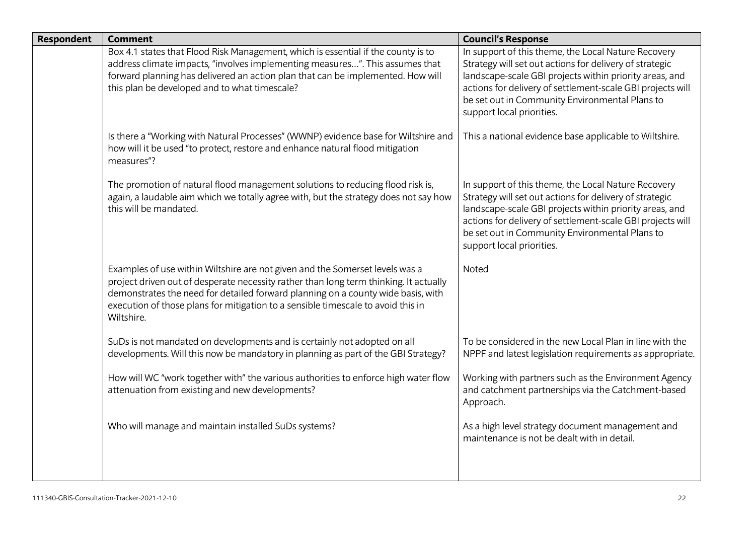| <b>Respondent</b> | <b>Comment</b>                                                                                                                                                                                                                                                                                                                                              | <b>Council's Response</b>                                                                                                                                                                                                                                                                                              |
|-------------------|-------------------------------------------------------------------------------------------------------------------------------------------------------------------------------------------------------------------------------------------------------------------------------------------------------------------------------------------------------------|------------------------------------------------------------------------------------------------------------------------------------------------------------------------------------------------------------------------------------------------------------------------------------------------------------------------|
|                   | Box 4.1 states that Flood Risk Management, which is essential if the county is to<br>address climate impacts, "involves implementing measures". This assumes that<br>forward planning has delivered an action plan that can be implemented. How will<br>this plan be developed and to what timescale?                                                       | In support of this theme, the Local Nature Recovery<br>Strategy will set out actions for delivery of strategic<br>landscape-scale GBI projects within priority areas, and<br>actions for delivery of settlement-scale GBI projects will<br>be set out in Community Environmental Plans to<br>support local priorities. |
|                   | Is there a "Working with Natural Processes" (WWNP) evidence base for Wiltshire and<br>how will it be used "to protect, restore and enhance natural flood mitigation<br>measures"?                                                                                                                                                                           | This a national evidence base applicable to Wiltshire.                                                                                                                                                                                                                                                                 |
|                   | The promotion of natural flood management solutions to reducing flood risk is,<br>again, a laudable aim which we totally agree with, but the strategy does not say how<br>this will be mandated.                                                                                                                                                            | In support of this theme, the Local Nature Recovery<br>Strategy will set out actions for delivery of strategic<br>landscape-scale GBI projects within priority areas, and<br>actions for delivery of settlement-scale GBI projects will<br>be set out in Community Environmental Plans to<br>support local priorities. |
|                   | Examples of use within Wiltshire are not given and the Somerset levels was a<br>project driven out of desperate necessity rather than long term thinking. It actually<br>demonstrates the need for detailed forward planning on a county wide basis, with<br>execution of those plans for mitigation to a sensible timescale to avoid this in<br>Wiltshire. | Noted                                                                                                                                                                                                                                                                                                                  |
|                   | SuDs is not mandated on developments and is certainly not adopted on all<br>developments. Will this now be mandatory in planning as part of the GBI Strategy?                                                                                                                                                                                               | To be considered in the new Local Plan in line with the<br>NPPF and latest legislation requirements as appropriate.                                                                                                                                                                                                    |
|                   | How will WC "work together with" the various authorities to enforce high water flow<br>attenuation from existing and new developments?                                                                                                                                                                                                                      | Working with partners such as the Environment Agency<br>and catchment partnerships via the Catchment-based<br>Approach.                                                                                                                                                                                                |
|                   | Who will manage and maintain installed SuDs systems?                                                                                                                                                                                                                                                                                                        | As a high level strategy document management and<br>maintenance is not be dealt with in detail.                                                                                                                                                                                                                        |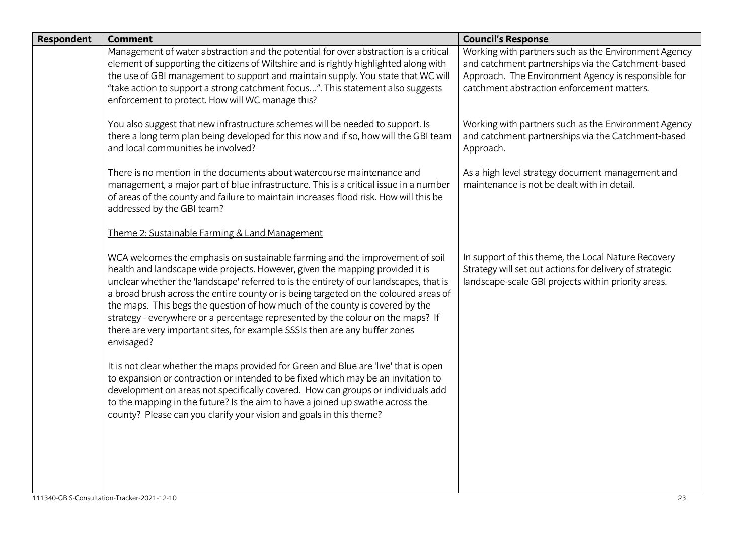| <b>Respondent</b> | <b>Comment</b>                                                                                                                                                                                                                                                                                                                                                                                                                                                                                                                                                                                                  | <b>Council's Response</b>                                                                                                                                                                                       |
|-------------------|-----------------------------------------------------------------------------------------------------------------------------------------------------------------------------------------------------------------------------------------------------------------------------------------------------------------------------------------------------------------------------------------------------------------------------------------------------------------------------------------------------------------------------------------------------------------------------------------------------------------|-----------------------------------------------------------------------------------------------------------------------------------------------------------------------------------------------------------------|
|                   | Management of water abstraction and the potential for over abstraction is a critical<br>element of supporting the citizens of Wiltshire and is rightly highlighted along with<br>the use of GBI management to support and maintain supply. You state that WC will<br>"take action to support a strong catchment focus". This statement also suggests<br>enforcement to protect. How will WC manage this?                                                                                                                                                                                                        | Working with partners such as the Environment Agency<br>and catchment partnerships via the Catchment-based<br>Approach. The Environment Agency is responsible for<br>catchment abstraction enforcement matters. |
|                   | You also suggest that new infrastructure schemes will be needed to support. Is<br>there a long term plan being developed for this now and if so, how will the GBI team<br>and local communities be involved?                                                                                                                                                                                                                                                                                                                                                                                                    | Working with partners such as the Environment Agency<br>and catchment partnerships via the Catchment-based<br>Approach.                                                                                         |
|                   | There is no mention in the documents about watercourse maintenance and<br>management, a major part of blue infrastructure. This is a critical issue in a number<br>of areas of the county and failure to maintain increases flood risk. How will this be<br>addressed by the GBI team?                                                                                                                                                                                                                                                                                                                          | As a high level strategy document management and<br>maintenance is not be dealt with in detail.                                                                                                                 |
|                   | Theme 2: Sustainable Farming & Land Management                                                                                                                                                                                                                                                                                                                                                                                                                                                                                                                                                                  |                                                                                                                                                                                                                 |
|                   | WCA welcomes the emphasis on sustainable farming and the improvement of soil<br>health and landscape wide projects. However, given the mapping provided it is<br>unclear whether the 'landscape' referred to is the entirety of our landscapes, that is<br>a broad brush across the entire county or is being targeted on the coloured areas of<br>the maps. This begs the question of how much of the county is covered by the<br>strategy - everywhere or a percentage represented by the colour on the maps? If<br>there are very important sites, for example SSSIs then are any buffer zones<br>envisaged? | In support of this theme, the Local Nature Recovery<br>Strategy will set out actions for delivery of strategic<br>landscape-scale GBI projects within priority areas.                                           |
|                   | It is not clear whether the maps provided for Green and Blue are 'live' that is open<br>to expansion or contraction or intended to be fixed which may be an invitation to<br>development on areas not specifically covered. How can groups or individuals add<br>to the mapping in the future? Is the aim to have a joined up swathe across the<br>county? Please can you clarify your vision and goals in this theme?                                                                                                                                                                                          |                                                                                                                                                                                                                 |
|                   |                                                                                                                                                                                                                                                                                                                                                                                                                                                                                                                                                                                                                 |                                                                                                                                                                                                                 |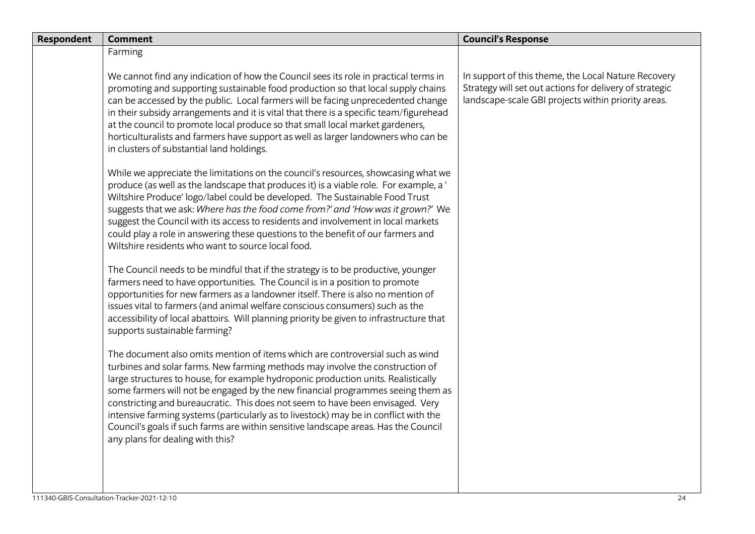| Respondent | <b>Comment</b>                                                                                                                                                                                                                                                                                                                                                                                                                                                                                                                                                                                                                              | <b>Council's Response</b>                                                                                                                                             |
|------------|---------------------------------------------------------------------------------------------------------------------------------------------------------------------------------------------------------------------------------------------------------------------------------------------------------------------------------------------------------------------------------------------------------------------------------------------------------------------------------------------------------------------------------------------------------------------------------------------------------------------------------------------|-----------------------------------------------------------------------------------------------------------------------------------------------------------------------|
|            | Farming                                                                                                                                                                                                                                                                                                                                                                                                                                                                                                                                                                                                                                     |                                                                                                                                                                       |
|            | We cannot find any indication of how the Council sees its role in practical terms in<br>promoting and supporting sustainable food production so that local supply chains<br>can be accessed by the public. Local farmers will be facing unprecedented change<br>in their subsidy arrangements and it is vital that there is a specific team/figurehead<br>at the council to promote local produce so that small local market gardeners,<br>horticulturalists and farmers have support as well as larger landowners who can be<br>in clusters of substantial land holdings.                                                                  | In support of this theme, the Local Nature Recovery<br>Strategy will set out actions for delivery of strategic<br>landscape-scale GBI projects within priority areas. |
|            | While we appreciate the limitations on the council's resources, showcasing what we<br>produce (as well as the landscape that produces it) is a viable role. For example, a '<br>Wiltshire Produce' logo/label could be developed. The Sustainable Food Trust<br>suggests that we ask: Where has the food come from?' and 'How was it grown?' We<br>suggest the Council with its access to residents and involvement in local markets<br>could play a role in answering these questions to the benefit of our farmers and<br>Wiltshire residents who want to source local food.                                                              |                                                                                                                                                                       |
|            | The Council needs to be mindful that if the strategy is to be productive, younger<br>farmers need to have opportunities. The Council is in a position to promote<br>opportunities for new farmers as a landowner itself. There is also no mention of<br>issues vital to farmers (and animal welfare conscious consumers) such as the<br>accessibility of local abattoirs. Will planning priority be given to infrastructure that<br>supports sustainable farming?                                                                                                                                                                           |                                                                                                                                                                       |
|            | The document also omits mention of items which are controversial such as wind<br>turbines and solar farms. New farming methods may involve the construction of<br>large structures to house, for example hydroponic production units. Realistically<br>some farmers will not be engaged by the new financial programmes seeing them as<br>constricting and bureaucratic. This does not seem to have been envisaged. Very<br>intensive farming systems (particularly as to livestock) may be in conflict with the<br>Council's goals if such farms are within sensitive landscape areas. Has the Council<br>any plans for dealing with this? |                                                                                                                                                                       |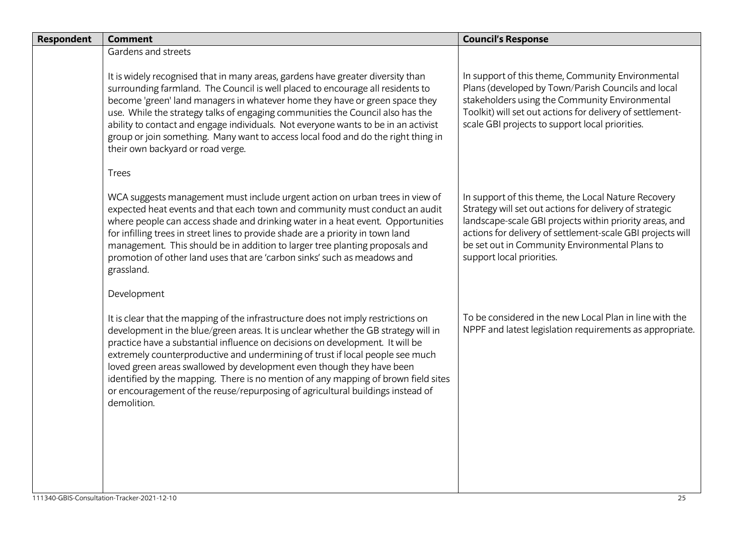| <b>Respondent</b> | <b>Comment</b>                                                                                                                                                                                                                                                                                                                                                                                                                                                                                                                                                                                            | <b>Council's Response</b>                                                                                                                                                                                                                                                                                              |
|-------------------|-----------------------------------------------------------------------------------------------------------------------------------------------------------------------------------------------------------------------------------------------------------------------------------------------------------------------------------------------------------------------------------------------------------------------------------------------------------------------------------------------------------------------------------------------------------------------------------------------------------|------------------------------------------------------------------------------------------------------------------------------------------------------------------------------------------------------------------------------------------------------------------------------------------------------------------------|
|                   | Gardens and streets                                                                                                                                                                                                                                                                                                                                                                                                                                                                                                                                                                                       |                                                                                                                                                                                                                                                                                                                        |
|                   | It is widely recognised that in many areas, gardens have greater diversity than<br>surrounding farmland. The Council is well placed to encourage all residents to<br>become 'green' land managers in whatever home they have or green space they<br>use. While the strategy talks of engaging communities the Council also has the<br>ability to contact and engage individuals. Not everyone wants to be in an activist<br>group or join something. Many want to access local food and do the right thing in<br>their own backyard or road verge.                                                        | In support of this theme, Community Environmental<br>Plans (developed by Town/Parish Councils and local<br>stakeholders using the Community Environmental<br>Toolkit) will set out actions for delivery of settlement-<br>scale GBI projects to support local priorities.                                              |
|                   | Trees                                                                                                                                                                                                                                                                                                                                                                                                                                                                                                                                                                                                     |                                                                                                                                                                                                                                                                                                                        |
|                   | WCA suggests management must include urgent action on urban trees in view of<br>expected heat events and that each town and community must conduct an audit<br>where people can access shade and drinking water in a heat event. Opportunities<br>for infilling trees in street lines to provide shade are a priority in town land<br>management. This should be in addition to larger tree planting proposals and<br>promotion of other land uses that are 'carbon sinks' such as meadows and<br>grassland.                                                                                              | In support of this theme, the Local Nature Recovery<br>Strategy will set out actions for delivery of strategic<br>landscape-scale GBI projects within priority areas, and<br>actions for delivery of settlement-scale GBI projects will<br>be set out in Community Environmental Plans to<br>support local priorities. |
|                   | Development                                                                                                                                                                                                                                                                                                                                                                                                                                                                                                                                                                                               |                                                                                                                                                                                                                                                                                                                        |
|                   | It is clear that the mapping of the infrastructure does not imply restrictions on<br>development in the blue/green areas. It is unclear whether the GB strategy will in<br>practice have a substantial influence on decisions on development. It will be<br>extremely counterproductive and undermining of trust if local people see much<br>loved green areas swallowed by development even though they have been<br>identified by the mapping. There is no mention of any mapping of brown field sites<br>or encouragement of the reuse/repurposing of agricultural buildings instead of<br>demolition. | To be considered in the new Local Plan in line with the<br>NPPF and latest legislation requirements as appropriate.                                                                                                                                                                                                    |
|                   |                                                                                                                                                                                                                                                                                                                                                                                                                                                                                                                                                                                                           |                                                                                                                                                                                                                                                                                                                        |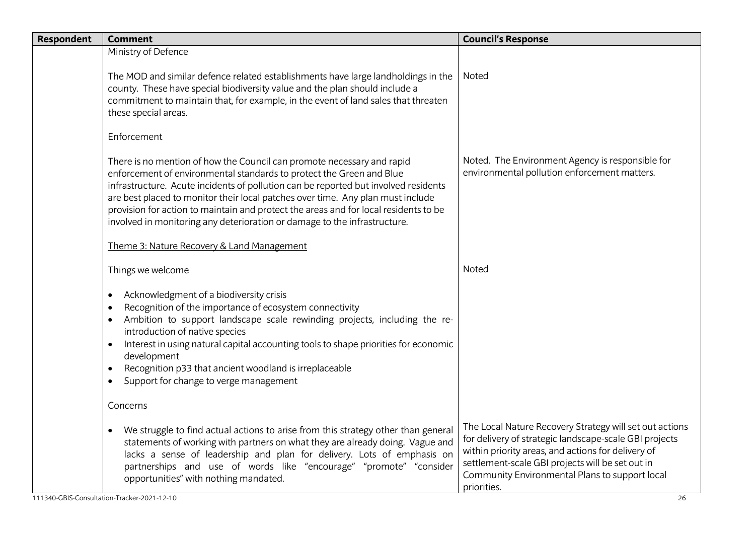| <b>Respondent</b> | <b>Comment</b>                                                                                                                                                                                                                                                                                                                                                                                                                                                                                | <b>Council's Response</b>                                                                                                                                                                                                                                                                    |
|-------------------|-----------------------------------------------------------------------------------------------------------------------------------------------------------------------------------------------------------------------------------------------------------------------------------------------------------------------------------------------------------------------------------------------------------------------------------------------------------------------------------------------|----------------------------------------------------------------------------------------------------------------------------------------------------------------------------------------------------------------------------------------------------------------------------------------------|
|                   | Ministry of Defence                                                                                                                                                                                                                                                                                                                                                                                                                                                                           |                                                                                                                                                                                                                                                                                              |
|                   | The MOD and similar defence related establishments have large landholdings in the<br>county. These have special biodiversity value and the plan should include a<br>commitment to maintain that, for example, in the event of land sales that threaten<br>these special areas.                                                                                                                                                                                                                | Noted                                                                                                                                                                                                                                                                                        |
|                   | Enforcement                                                                                                                                                                                                                                                                                                                                                                                                                                                                                   |                                                                                                                                                                                                                                                                                              |
|                   | There is no mention of how the Council can promote necessary and rapid<br>enforcement of environmental standards to protect the Green and Blue<br>infrastructure. Acute incidents of pollution can be reported but involved residents<br>are best placed to monitor their local patches over time. Any plan must include<br>provision for action to maintain and protect the areas and for local residents to be<br>involved in monitoring any deterioration or damage to the infrastructure. | Noted. The Environment Agency is responsible for<br>environmental pollution enforcement matters.                                                                                                                                                                                             |
|                   | Theme 3: Nature Recovery & Land Management                                                                                                                                                                                                                                                                                                                                                                                                                                                    |                                                                                                                                                                                                                                                                                              |
|                   | Things we welcome                                                                                                                                                                                                                                                                                                                                                                                                                                                                             | Noted                                                                                                                                                                                                                                                                                        |
|                   | Acknowledgment of a biodiversity crisis<br>$\bullet$<br>Recognition of the importance of ecosystem connectivity<br>$\bullet$<br>Ambition to support landscape scale rewinding projects, including the re-<br>introduction of native species<br>Interest in using natural capital accounting tools to shape priorities for economic<br>development<br>Recognition p33 that ancient woodland is irreplaceable<br>Support for change to verge management<br>$\bullet$                            |                                                                                                                                                                                                                                                                                              |
|                   | Concerns                                                                                                                                                                                                                                                                                                                                                                                                                                                                                      |                                                                                                                                                                                                                                                                                              |
|                   | We struggle to find actual actions to arise from this strategy other than general<br>$\bullet$<br>statements of working with partners on what they are already doing. Vague and<br>lacks a sense of leadership and plan for delivery. Lots of emphasis on<br>partnerships and use of words like "encourage" "promote" "consider<br>opportunities" with nothing mandated.                                                                                                                      | The Local Nature Recovery Strategy will set out actions<br>for delivery of strategic landscape-scale GBI projects<br>within priority areas, and actions for delivery of<br>settlement-scale GBI projects will be set out in<br>Community Environmental Plans to support local<br>priorities. |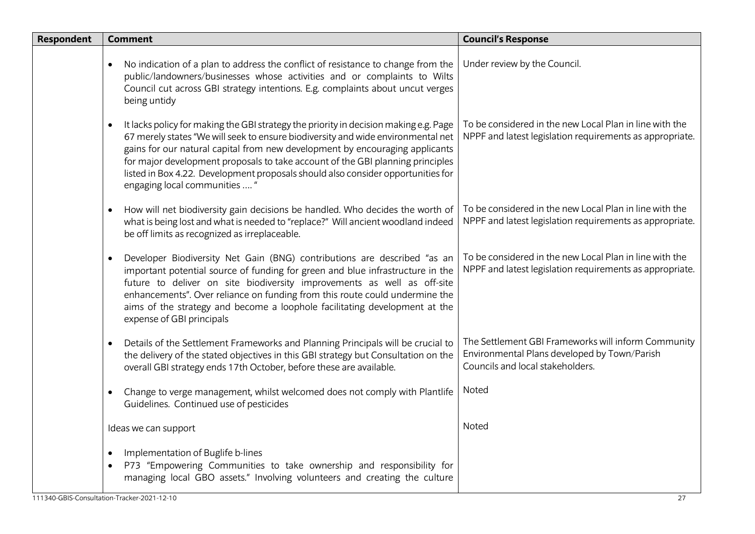| <b>Respondent</b> | <b>Comment</b>                                                                                                                                                                                                                                                                                                                                                                                                                                                                | <b>Council's Response</b>                                                                                                               |
|-------------------|-------------------------------------------------------------------------------------------------------------------------------------------------------------------------------------------------------------------------------------------------------------------------------------------------------------------------------------------------------------------------------------------------------------------------------------------------------------------------------|-----------------------------------------------------------------------------------------------------------------------------------------|
|                   | No indication of a plan to address the conflict of resistance to change from the<br>public/landowners/businesses whose activities and or complaints to Wilts<br>Council cut across GBI strategy intentions. E.g. complaints about uncut verges<br>being untidy                                                                                                                                                                                                                | Under review by the Council.                                                                                                            |
|                   | It lacks policy for making the GBI strategy the priority in decision making e.g. Page<br>$\bullet$<br>67 merely states "We will seek to ensure biodiversity and wide environmental net<br>gains for our natural capital from new development by encouraging applicants<br>for major development proposals to take account of the GBI planning principles<br>listed in Box 4.22. Development proposals should also consider opportunities for<br>engaging local communities  " | To be considered in the new Local Plan in line with the<br>NPPF and latest legislation requirements as appropriate.                     |
|                   | How will net biodiversity gain decisions be handled. Who decides the worth of<br>what is being lost and what is needed to "replace?" Will ancient woodland indeed<br>be off limits as recognized as irreplaceable.                                                                                                                                                                                                                                                            | To be considered in the new Local Plan in line with the<br>NPPF and latest legislation requirements as appropriate.                     |
|                   | Developer Biodiversity Net Gain (BNG) contributions are described "as an<br>$\bullet$<br>important potential source of funding for green and blue infrastructure in the<br>future to deliver on site biodiversity improvements as well as off-site<br>enhancements". Over reliance on funding from this route could undermine the<br>aims of the strategy and become a loophole facilitating development at the<br>expense of GBI principals                                  | To be considered in the new Local Plan in line with the<br>NPPF and latest legislation requirements as appropriate.                     |
|                   | Details of the Settlement Frameworks and Planning Principals will be crucial to<br>the delivery of the stated objectives in this GBI strategy but Consultation on the<br>overall GBI strategy ends 17th October, before these are available.                                                                                                                                                                                                                                  | The Settlement GBI Frameworks will inform Community<br>Environmental Plans developed by Town/Parish<br>Councils and local stakeholders. |
|                   | Change to verge management, whilst welcomed does not comply with Plantlife<br>$\bullet$<br>Guidelines. Continued use of pesticides                                                                                                                                                                                                                                                                                                                                            | Noted                                                                                                                                   |
|                   | Ideas we can support                                                                                                                                                                                                                                                                                                                                                                                                                                                          | Noted                                                                                                                                   |
|                   | Implementation of Buglife b-lines<br>$\bullet$<br>P73 "Empowering Communities to take ownership and responsibility for<br>$\bullet$<br>managing local GBO assets." Involving volunteers and creating the culture                                                                                                                                                                                                                                                              |                                                                                                                                         |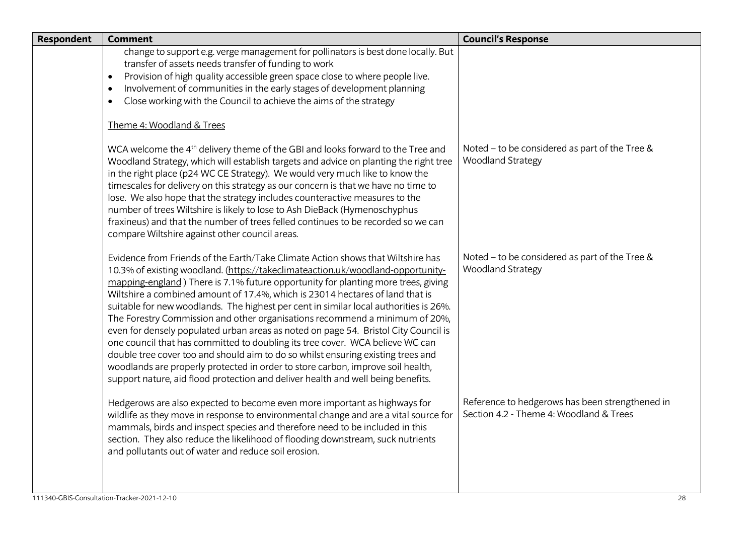| Respondent | <b>Comment</b>                                                                                                                                                                                                                                                                                                                                                                                                                                                                                                                                                                                                                                                                                                                                                                                                                                                                                                                                      | <b>Council's Response</b>                                                                  |
|------------|-----------------------------------------------------------------------------------------------------------------------------------------------------------------------------------------------------------------------------------------------------------------------------------------------------------------------------------------------------------------------------------------------------------------------------------------------------------------------------------------------------------------------------------------------------------------------------------------------------------------------------------------------------------------------------------------------------------------------------------------------------------------------------------------------------------------------------------------------------------------------------------------------------------------------------------------------------|--------------------------------------------------------------------------------------------|
|            | change to support e.g. verge management for pollinators is best done locally. But<br>transfer of assets needs transfer of funding to work<br>Provision of high quality accessible green space close to where people live.<br>$\bullet$<br>Involvement of communities in the early stages of development planning<br>$\bullet$<br>Close working with the Council to achieve the aims of the strategy<br>$\bullet$                                                                                                                                                                                                                                                                                                                                                                                                                                                                                                                                    |                                                                                            |
|            | Theme 4: Woodland & Trees                                                                                                                                                                                                                                                                                                                                                                                                                                                                                                                                                                                                                                                                                                                                                                                                                                                                                                                           |                                                                                            |
|            | WCA welcome the 4 <sup>th</sup> delivery theme of the GBI and looks forward to the Tree and<br>Woodland Strategy, which will establish targets and advice on planting the right tree<br>in the right place (p24 WC CE Strategy). We would very much like to know the<br>timescales for delivery on this strategy as our concern is that we have no time to<br>lose. We also hope that the strategy includes counteractive measures to the<br>number of trees Wiltshire is likely to lose to Ash DieBack (Hymenoschyphus<br>fraxineus) and that the number of trees felled continues to be recorded so we can<br>compare Wiltshire against other council areas.                                                                                                                                                                                                                                                                                      | Noted - to be considered as part of the Tree &<br><b>Woodland Strategy</b>                 |
|            | Evidence from Friends of the Earth/Take Climate Action shows that Wiltshire has<br>10.3% of existing woodland. (https://takeclimateaction.uk/woodland-opportunity-<br>mapping-england) There is 7.1% future opportunity for planting more trees, giving<br>Wiltshire a combined amount of 17.4%, which is 23014 hectares of land that is<br>suitable for new woodlands. The highest per cent in similar local authorities is 26%.<br>The Forestry Commission and other organisations recommend a minimum of 20%,<br>even for densely populated urban areas as noted on page 54. Bristol City Council is<br>one council that has committed to doubling its tree cover. WCA believe WC can<br>double tree cover too and should aim to do so whilst ensuring existing trees and<br>woodlands are properly protected in order to store carbon, improve soil health,<br>support nature, aid flood protection and deliver health and well being benefits. | Noted - to be considered as part of the Tree &<br><b>Woodland Strategy</b>                 |
|            | Hedgerows are also expected to become even more important as highways for<br>wildlife as they move in response to environmental change and are a vital source for<br>mammals, birds and inspect species and therefore need to be included in this<br>section. They also reduce the likelihood of flooding downstream, suck nutrients<br>and pollutants out of water and reduce soil erosion.                                                                                                                                                                                                                                                                                                                                                                                                                                                                                                                                                        | Reference to hedgerows has been strengthened in<br>Section 4.2 - Theme 4: Woodland & Trees |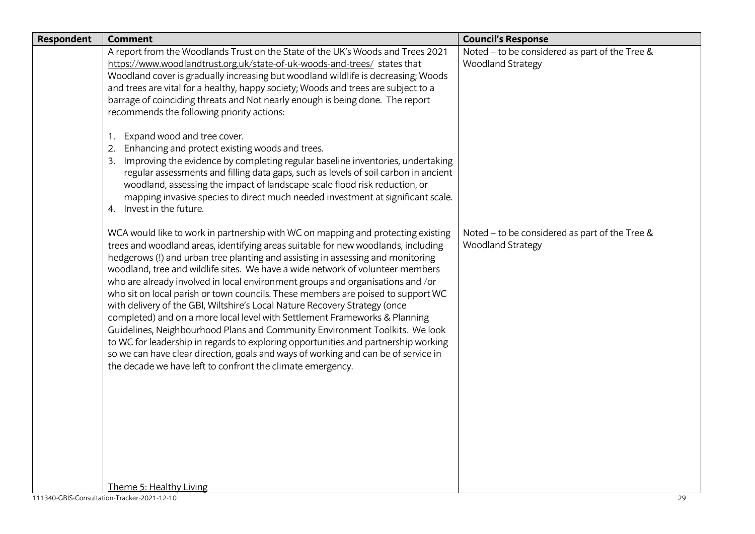| Noted - to be considered as part of the Tree &<br>A report from the Woodlands Trust on the State of the UK's Woods and Trees 2021<br><b>Woodland Strategy</b><br>https://www.woodlandtrust.org.uk/state-of-uk-woods-and-trees/ states that<br>Woodland cover is gradually increasing but woodland wildlife is decreasing; Woods<br>and trees are vital for a healthy, happy society; Woods and trees are subject to a<br>barrage of coinciding threats and Not nearly enough is being done. The report<br>recommends the following priority actions:<br>Expand wood and tree cover.<br>1.<br>Enhancing and protect existing woods and trees.<br>Improving the evidence by completing regular baseline inventories, undertaking<br>3.<br>regular assessments and filling data gaps, such as levels of soil carbon in ancient<br>woodland, assessing the impact of landscape-scale flood risk reduction, or<br>mapping invasive species to direct much needed investment at significant scale.<br>Invest in the future.<br>4.<br>Noted - to be considered as part of the Tree &<br>WCA would like to work in partnership with WC on mapping and protecting existing<br>trees and woodland areas, identifying areas suitable for new woodlands, including<br><b>Woodland Strategy</b><br>hedgerows (!) and urban tree planting and assisting in assessing and monitoring<br>woodland, tree and wildlife sites. We have a wide network of volunteer members<br>who are already involved in local environment groups and organisations and /or<br>who sit on local parish or town councils. These members are poised to support WC<br>with delivery of the GBI, Wiltshire's Local Nature Recovery Strategy (once<br>completed) and on a more local level with Settlement Frameworks & Planning<br>Guidelines, Neighbourhood Plans and Community Environment Toolkits. We look<br>to WC for leadership in regards to exploring opportunities and partnership working<br>so we can have clear direction, goals and ways of working and can be of service in<br>the decade we have left to confront the climate emergency.<br>Theme 5: Healthy Living<br>111340-GBIS-Consultation-Tracker-2021-12-10<br>29 | <b>Respondent</b> | <b>Comment</b> | <b>Council's Response</b> |
|----------------------------------------------------------------------------------------------------------------------------------------------------------------------------------------------------------------------------------------------------------------------------------------------------------------------------------------------------------------------------------------------------------------------------------------------------------------------------------------------------------------------------------------------------------------------------------------------------------------------------------------------------------------------------------------------------------------------------------------------------------------------------------------------------------------------------------------------------------------------------------------------------------------------------------------------------------------------------------------------------------------------------------------------------------------------------------------------------------------------------------------------------------------------------------------------------------------------------------------------------------------------------------------------------------------------------------------------------------------------------------------------------------------------------------------------------------------------------------------------------------------------------------------------------------------------------------------------------------------------------------------------------------------------------------------------------------------------------------------------------------------------------------------------------------------------------------------------------------------------------------------------------------------------------------------------------------------------------------------------------------------------------------------------------------------------------------------------------------------------------------------------------------------------------------------------------|-------------------|----------------|---------------------------|
|                                                                                                                                                                                                                                                                                                                                                                                                                                                                                                                                                                                                                                                                                                                                                                                                                                                                                                                                                                                                                                                                                                                                                                                                                                                                                                                                                                                                                                                                                                                                                                                                                                                                                                                                                                                                                                                                                                                                                                                                                                                                                                                                                                                                    |                   |                |                           |
|                                                                                                                                                                                                                                                                                                                                                                                                                                                                                                                                                                                                                                                                                                                                                                                                                                                                                                                                                                                                                                                                                                                                                                                                                                                                                                                                                                                                                                                                                                                                                                                                                                                                                                                                                                                                                                                                                                                                                                                                                                                                                                                                                                                                    |                   |                |                           |
|                                                                                                                                                                                                                                                                                                                                                                                                                                                                                                                                                                                                                                                                                                                                                                                                                                                                                                                                                                                                                                                                                                                                                                                                                                                                                                                                                                                                                                                                                                                                                                                                                                                                                                                                                                                                                                                                                                                                                                                                                                                                                                                                                                                                    |                   |                |                           |
|                                                                                                                                                                                                                                                                                                                                                                                                                                                                                                                                                                                                                                                                                                                                                                                                                                                                                                                                                                                                                                                                                                                                                                                                                                                                                                                                                                                                                                                                                                                                                                                                                                                                                                                                                                                                                                                                                                                                                                                                                                                                                                                                                                                                    |                   |                |                           |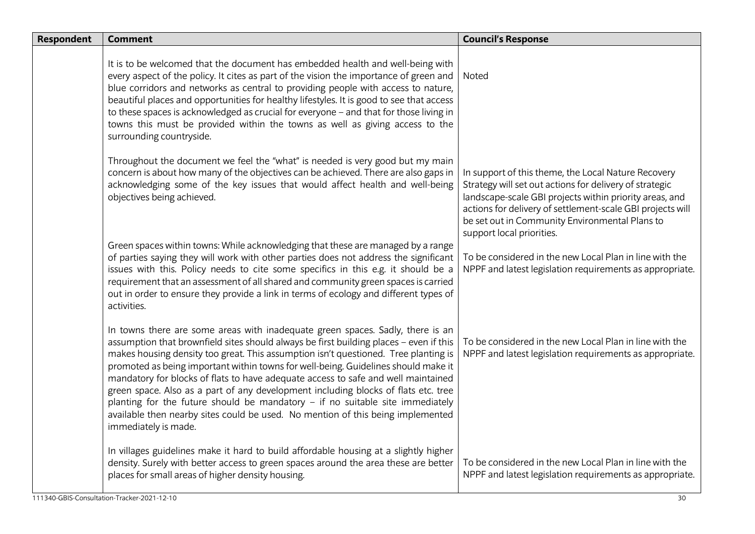| <b>Respondent</b> | <b>Comment</b>                                                                                                                                                                                                                                                                                                                                                                                                                                                                                                                                                                                                                                                                                                                 | <b>Council's Response</b>                                                                                                                                                                                                                                                                                              |
|-------------------|--------------------------------------------------------------------------------------------------------------------------------------------------------------------------------------------------------------------------------------------------------------------------------------------------------------------------------------------------------------------------------------------------------------------------------------------------------------------------------------------------------------------------------------------------------------------------------------------------------------------------------------------------------------------------------------------------------------------------------|------------------------------------------------------------------------------------------------------------------------------------------------------------------------------------------------------------------------------------------------------------------------------------------------------------------------|
|                   | It is to be welcomed that the document has embedded health and well-being with<br>every aspect of the policy. It cites as part of the vision the importance of green and<br>blue corridors and networks as central to providing people with access to nature,<br>beautiful places and opportunities for healthy lifestyles. It is good to see that access<br>to these spaces is acknowledged as crucial for everyone - and that for those living in<br>towns this must be provided within the towns as well as giving access to the<br>surrounding countryside.                                                                                                                                                                | Noted                                                                                                                                                                                                                                                                                                                  |
|                   | Throughout the document we feel the "what" is needed is very good but my main<br>concern is about how many of the objectives can be achieved. There are also gaps in<br>acknowledging some of the key issues that would affect health and well-being<br>objectives being achieved.                                                                                                                                                                                                                                                                                                                                                                                                                                             | In support of this theme, the Local Nature Recovery<br>Strategy will set out actions for delivery of strategic<br>landscape-scale GBI projects within priority areas, and<br>actions for delivery of settlement-scale GBI projects will<br>be set out in Community Environmental Plans to<br>support local priorities. |
|                   | Green spaces within towns: While acknowledging that these are managed by a range<br>of parties saying they will work with other parties does not address the significant<br>issues with this. Policy needs to cite some specifics in this e.g. it should be a<br>requirement that an assessment of all shared and community green spaces is carried<br>out in order to ensure they provide a link in terms of ecology and different types of<br>activities.                                                                                                                                                                                                                                                                    | To be considered in the new Local Plan in line with the<br>NPPF and latest legislation requirements as appropriate.                                                                                                                                                                                                    |
|                   | In towns there are some areas with inadequate green spaces. Sadly, there is an<br>assumption that brownfield sites should always be first building places - even if this<br>makes housing density too great. This assumption isn't questioned. Tree planting is<br>promoted as being important within towns for well-being. Guidelines should make it<br>mandatory for blocks of flats to have adequate access to safe and well maintained<br>green space. Also as a part of any development including blocks of flats etc. tree<br>planting for the future should be mandatory $-$ if no suitable site immediately<br>available then nearby sites could be used. No mention of this being implemented<br>immediately is made. | To be considered in the new Local Plan in line with the<br>NPPF and latest legislation requirements as appropriate.                                                                                                                                                                                                    |
|                   | In villages guidelines make it hard to build affordable housing at a slightly higher<br>density. Surely with better access to green spaces around the area these are better<br>places for small areas of higher density housing.                                                                                                                                                                                                                                                                                                                                                                                                                                                                                               | To be considered in the new Local Plan in line with the<br>NPPF and latest legislation requirements as appropriate.                                                                                                                                                                                                    |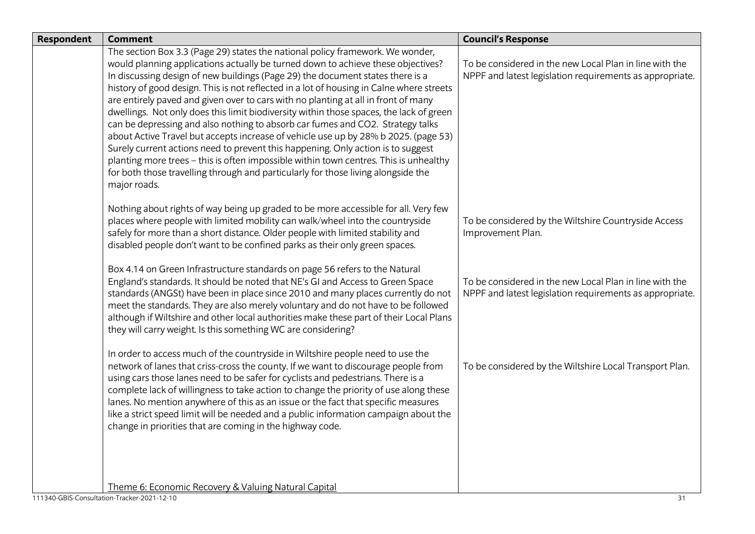| <b>Respondent</b> | <b>Comment</b>                                                                                                                                                                                                                                                                                                                                                                                                                                                                                                                                                                                                                                                                                                                                                                                                                                                                                                                                                                               | <b>Council's Response</b>                                                                                           |
|-------------------|----------------------------------------------------------------------------------------------------------------------------------------------------------------------------------------------------------------------------------------------------------------------------------------------------------------------------------------------------------------------------------------------------------------------------------------------------------------------------------------------------------------------------------------------------------------------------------------------------------------------------------------------------------------------------------------------------------------------------------------------------------------------------------------------------------------------------------------------------------------------------------------------------------------------------------------------------------------------------------------------|---------------------------------------------------------------------------------------------------------------------|
|                   | The section Box 3.3 (Page 29) states the national policy framework. We wonder,<br>would planning applications actually be turned down to achieve these objectives?<br>In discussing design of new buildings (Page 29) the document states there is a<br>history of good design. This is not reflected in a lot of housing in Calne where streets<br>are entirely paved and given over to cars with no planting at all in front of many<br>dwellings. Not only does this limit biodiversity within those spaces, the lack of green<br>can be depressing and also nothing to absorb car fumes and CO2. Strategy talks<br>about Active Travel but accepts increase of vehicle use up by 28% b 2025. (page 53)<br>Surely current actions need to prevent this happening. Only action is to suggest<br>planting more trees - this is often impossible within town centres. This is unhealthy<br>for both those travelling through and particularly for those living alongside the<br>major roads. | To be considered in the new Local Plan in line with the<br>NPPF and latest legislation requirements as appropriate. |
|                   | Nothing about rights of way being up graded to be more accessible for all. Very few<br>places where people with limited mobility can walk/wheel into the countryside<br>safely for more than a short distance. Older people with limited stability and<br>disabled people don't want to be confined parks as their only green spaces.                                                                                                                                                                                                                                                                                                                                                                                                                                                                                                                                                                                                                                                        | To be considered by the Wiltshire Countryside Access<br>Improvement Plan.                                           |
|                   | Box 4.14 on Green Infrastructure standards on page 56 refers to the Natural<br>England's standards. It should be noted that NE's GI and Access to Green Space<br>standards (ANGSt) have been in place since 2010 and many places currently do not<br>meet the standards. They are also merely voluntary and do not have to be followed<br>although if Wiltshire and other local authorities make these part of their Local Plans<br>they will carry weight. Is this something WC are considering?                                                                                                                                                                                                                                                                                                                                                                                                                                                                                            | To be considered in the new Local Plan in line with the<br>NPPF and latest legislation requirements as appropriate. |
|                   | In order to access much of the countryside in Wiltshire people need to use the<br>network of lanes that criss-cross the county. If we want to discourage people from<br>using cars those lanes need to be safer for cyclists and pedestrians. There is a<br>complete lack of willingness to take action to change the priority of use along these<br>lanes. No mention anywhere of this as an issue or the fact that specific measures<br>like a strict speed limit will be needed and a public information campaign about the<br>change in priorities that are coming in the highway code.                                                                                                                                                                                                                                                                                                                                                                                                  | To be considered by the Wiltshire Local Transport Plan.                                                             |
|                   | Theme 6: Economic Recovery & Valuing Natural Capital                                                                                                                                                                                                                                                                                                                                                                                                                                                                                                                                                                                                                                                                                                                                                                                                                                                                                                                                         |                                                                                                                     |
|                   | 111340-GBIS-Consultation-Tracker-2021-12-10                                                                                                                                                                                                                                                                                                                                                                                                                                                                                                                                                                                                                                                                                                                                                                                                                                                                                                                                                  | 31                                                                                                                  |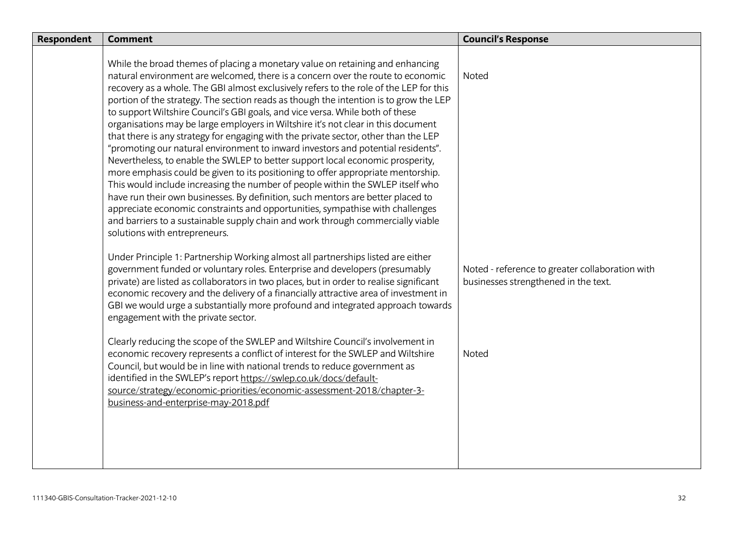| <b>Respondent</b> | <b>Comment</b>                                                                                                                                                                                                                                                                                                                                                                                                                                                                                                                                                                                                                                                                                                                                                                                                                                                                                                                                                                                                                                                                                                                                                                                                                                       | <b>Council's Response</b>                                                               |
|-------------------|------------------------------------------------------------------------------------------------------------------------------------------------------------------------------------------------------------------------------------------------------------------------------------------------------------------------------------------------------------------------------------------------------------------------------------------------------------------------------------------------------------------------------------------------------------------------------------------------------------------------------------------------------------------------------------------------------------------------------------------------------------------------------------------------------------------------------------------------------------------------------------------------------------------------------------------------------------------------------------------------------------------------------------------------------------------------------------------------------------------------------------------------------------------------------------------------------------------------------------------------------|-----------------------------------------------------------------------------------------|
|                   | While the broad themes of placing a monetary value on retaining and enhancing<br>natural environment are welcomed, there is a concern over the route to economic<br>recovery as a whole. The GBI almost exclusively refers to the role of the LEP for this<br>portion of the strategy. The section reads as though the intention is to grow the LEP<br>to support Wiltshire Council's GBI goals, and vice versa. While both of these<br>organisations may be large employers in Wiltshire it's not clear in this document<br>that there is any strategy for engaging with the private sector, other than the LEP<br>"promoting our natural environment to inward investors and potential residents".<br>Nevertheless, to enable the SWLEP to better support local economic prosperity,<br>more emphasis could be given to its positioning to offer appropriate mentorship.<br>This would include increasing the number of people within the SWLEP itself who<br>have run their own businesses. By definition, such mentors are better placed to<br>appreciate economic constraints and opportunities, sympathise with challenges<br>and barriers to a sustainable supply chain and work through commercially viable<br>solutions with entrepreneurs. | Noted                                                                                   |
|                   | Under Principle 1: Partnership Working almost all partnerships listed are either<br>government funded or voluntary roles. Enterprise and developers (presumably<br>private) are listed as collaborators in two places, but in order to realise significant<br>economic recovery and the delivery of a financially attractive area of investment in<br>GBI we would urge a substantially more profound and integrated approach towards<br>engagement with the private sector.                                                                                                                                                                                                                                                                                                                                                                                                                                                                                                                                                                                                                                                                                                                                                                         | Noted - reference to greater collaboration with<br>businesses strengthened in the text. |
|                   | Clearly reducing the scope of the SWLEP and Wiltshire Council's involvement in<br>economic recovery represents a conflict of interest for the SWLEP and Wiltshire<br>Council, but would be in line with national trends to reduce government as<br>identified in the SWLEP's report https://swlep.co.uk/docs/default-<br>source/strategy/economic-priorities/economic-assessment-2018/chapter-3-<br>business-and-enterprise-may-2018.pdf                                                                                                                                                                                                                                                                                                                                                                                                                                                                                                                                                                                                                                                                                                                                                                                                             | Noted                                                                                   |
|                   |                                                                                                                                                                                                                                                                                                                                                                                                                                                                                                                                                                                                                                                                                                                                                                                                                                                                                                                                                                                                                                                                                                                                                                                                                                                      |                                                                                         |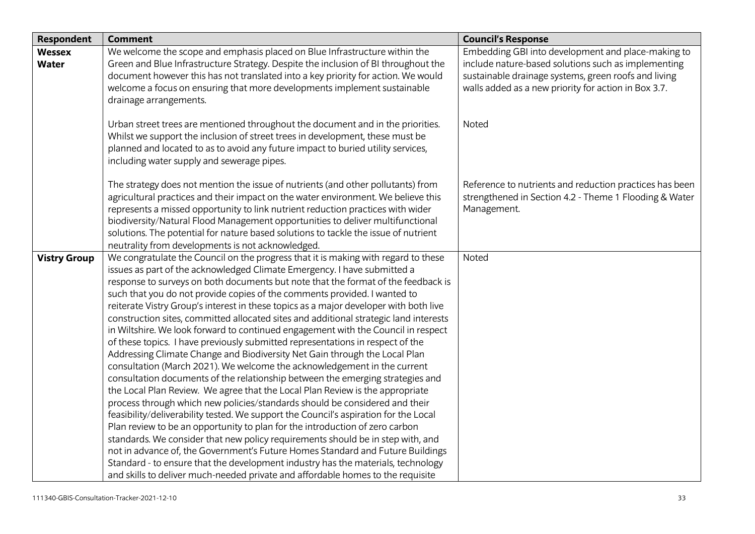| Respondent          | <b>Comment</b>                                                                                                                                                   | <b>Council's Response</b>                               |
|---------------------|------------------------------------------------------------------------------------------------------------------------------------------------------------------|---------------------------------------------------------|
| <b>Wessex</b>       | We welcome the scope and emphasis placed on Blue Infrastructure within the                                                                                       | Embedding GBI into development and place-making to      |
| <b>Water</b>        | Green and Blue Infrastructure Strategy. Despite the inclusion of BI throughout the                                                                               | include nature-based solutions such as implementing     |
|                     | document however this has not translated into a key priority for action. We would                                                                                | sustainable drainage systems, green roofs and living    |
|                     | welcome a focus on ensuring that more developments implement sustainable                                                                                         | walls added as a new priority for action in Box 3.7.    |
|                     | drainage arrangements.                                                                                                                                           |                                                         |
|                     |                                                                                                                                                                  |                                                         |
|                     | Urban street trees are mentioned throughout the document and in the priorities.<br>Whilst we support the inclusion of street trees in development, these must be | Noted                                                   |
|                     | planned and located to as to avoid any future impact to buried utility services,                                                                                 |                                                         |
|                     | including water supply and sewerage pipes.                                                                                                                       |                                                         |
|                     |                                                                                                                                                                  |                                                         |
|                     | The strategy does not mention the issue of nutrients (and other pollutants) from                                                                                 | Reference to nutrients and reduction practices has been |
|                     | agricultural practices and their impact on the water environment. We believe this                                                                                | strengthened in Section 4.2 - Theme 1 Flooding & Water  |
|                     | represents a missed opportunity to link nutrient reduction practices with wider                                                                                  | Management.                                             |
|                     | biodiversity/Natural Flood Management opportunities to deliver multifunctional                                                                                   |                                                         |
|                     | solutions. The potential for nature based solutions to tackle the issue of nutrient                                                                              |                                                         |
|                     | neutrality from developments is not acknowledged.                                                                                                                |                                                         |
| <b>Vistry Group</b> | We congratulate the Council on the progress that it is making with regard to these                                                                               | Noted                                                   |
|                     | issues as part of the acknowledged Climate Emergency. I have submitted a                                                                                         |                                                         |
|                     | response to surveys on both documents but note that the format of the feedback is                                                                                |                                                         |
|                     | such that you do not provide copies of the comments provided. I wanted to                                                                                        |                                                         |
|                     | reiterate Vistry Group's interest in these topics as a major developer with both live                                                                            |                                                         |
|                     | construction sites, committed allocated sites and additional strategic land interests                                                                            |                                                         |
|                     | in Wiltshire. We look forward to continued engagement with the Council in respect                                                                                |                                                         |
|                     | of these topics. I have previously submitted representations in respect of the                                                                                   |                                                         |
|                     | Addressing Climate Change and Biodiversity Net Gain through the Local Plan                                                                                       |                                                         |
|                     | consultation (March 2021). We welcome the acknowledgement in the current                                                                                         |                                                         |
|                     | consultation documents of the relationship between the emerging strategies and<br>the Local Plan Review. We agree that the Local Plan Review is the appropriate  |                                                         |
|                     | process through which new policies/standards should be considered and their                                                                                      |                                                         |
|                     | feasibility/deliverability tested. We support the Council's aspiration for the Local                                                                             |                                                         |
|                     | Plan review to be an opportunity to plan for the introduction of zero carbon                                                                                     |                                                         |
|                     | standards. We consider that new policy requirements should be in step with, and                                                                                  |                                                         |
|                     | not in advance of, the Government's Future Homes Standard and Future Buildings                                                                                   |                                                         |
|                     | Standard - to ensure that the development industry has the materials, technology                                                                                 |                                                         |
|                     | and skills to deliver much-needed private and affordable homes to the requisite                                                                                  |                                                         |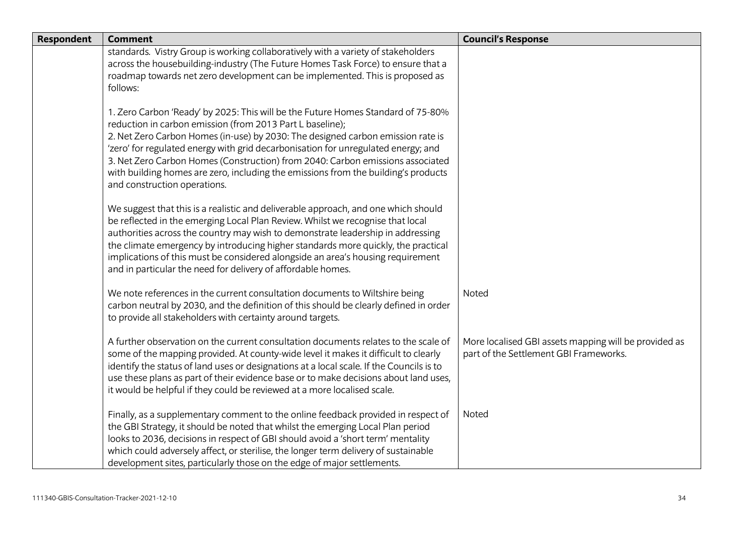| <b>Respondent</b> | <b>Comment</b>                                                                                                                                                                                                                                                                                                                                                                                                                                                                                                                | <b>Council's Response</b>                                                                       |
|-------------------|-------------------------------------------------------------------------------------------------------------------------------------------------------------------------------------------------------------------------------------------------------------------------------------------------------------------------------------------------------------------------------------------------------------------------------------------------------------------------------------------------------------------------------|-------------------------------------------------------------------------------------------------|
|                   | standards. Vistry Group is working collaboratively with a variety of stakeholders<br>across the housebuilding-industry (The Future Homes Task Force) to ensure that a<br>roadmap towards net zero development can be implemented. This is proposed as<br>follows:                                                                                                                                                                                                                                                             |                                                                                                 |
|                   | 1. Zero Carbon 'Ready' by 2025: This will be the Future Homes Standard of 75-80%<br>reduction in carbon emission (from 2013 Part L baseline);<br>2. Net Zero Carbon Homes (in-use) by 2030: The designed carbon emission rate is<br>'zero' for regulated energy with grid decarbonisation for unregulated energy; and<br>3. Net Zero Carbon Homes (Construction) from 2040: Carbon emissions associated<br>with building homes are zero, including the emissions from the building's products<br>and construction operations. |                                                                                                 |
|                   | We suggest that this is a realistic and deliverable approach, and one which should<br>be reflected in the emerging Local Plan Review. Whilst we recognise that local<br>authorities across the country may wish to demonstrate leadership in addressing<br>the climate emergency by introducing higher standards more quickly, the practical<br>implications of this must be considered alongside an area's housing requirement<br>and in particular the need for delivery of affordable homes.                               |                                                                                                 |
|                   | We note references in the current consultation documents to Wiltshire being<br>carbon neutral by 2030, and the definition of this should be clearly defined in order<br>to provide all stakeholders with certainty around targets.                                                                                                                                                                                                                                                                                            | Noted                                                                                           |
|                   | A further observation on the current consultation documents relates to the scale of<br>some of the mapping provided. At county-wide level it makes it difficult to clearly<br>identify the status of land uses or designations at a local scale. If the Councils is to<br>use these plans as part of their evidence base or to make decisions about land uses,<br>it would be helpful if they could be reviewed at a more localised scale.                                                                                    | More localised GBI assets mapping will be provided as<br>part of the Settlement GBI Frameworks. |
|                   | Finally, as a supplementary comment to the online feedback provided in respect of<br>the GBI Strategy, it should be noted that whilst the emerging Local Plan period<br>looks to 2036, decisions in respect of GBI should avoid a 'short term' mentality<br>which could adversely affect, or sterilise, the longer term delivery of sustainable<br>development sites, particularly those on the edge of major settlements.                                                                                                    | Noted                                                                                           |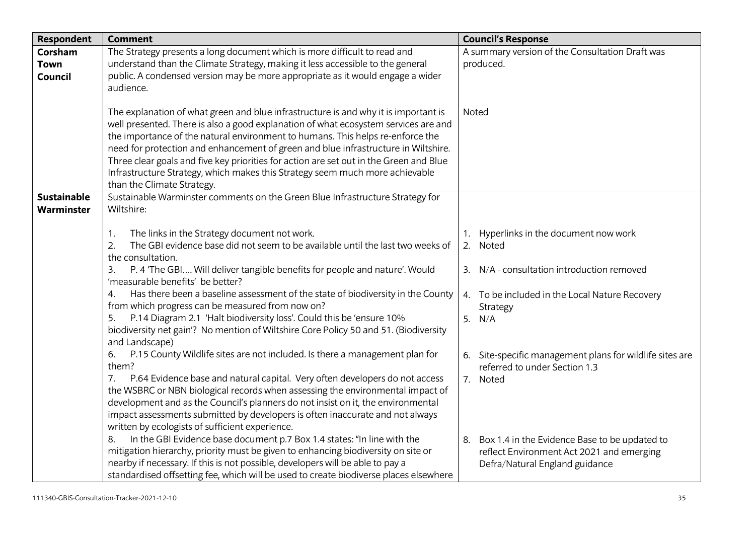| <b>Respondent</b>      | <b>Comment</b>                                                                                                                                                                                                                                                                                                                                                                                                                                                                                                                                                                                                                                                                                                                | <b>Council's Response</b>                                                                                                                                                                                                           |
|------------------------|-------------------------------------------------------------------------------------------------------------------------------------------------------------------------------------------------------------------------------------------------------------------------------------------------------------------------------------------------------------------------------------------------------------------------------------------------------------------------------------------------------------------------------------------------------------------------------------------------------------------------------------------------------------------------------------------------------------------------------|-------------------------------------------------------------------------------------------------------------------------------------------------------------------------------------------------------------------------------------|
| Corsham<br><b>Town</b> | The Strategy presents a long document which is more difficult to read and<br>understand than the Climate Strategy, making it less accessible to the general                                                                                                                                                                                                                                                                                                                                                                                                                                                                                                                                                                   | A summary version of the Consultation Draft was<br>produced.                                                                                                                                                                        |
| Council                | public. A condensed version may be more appropriate as it would engage a wider<br>audience.                                                                                                                                                                                                                                                                                                                                                                                                                                                                                                                                                                                                                                   |                                                                                                                                                                                                                                     |
|                        | The explanation of what green and blue infrastructure is and why it is important is<br>well presented. There is also a good explanation of what ecosystem services are and<br>the importance of the natural environment to humans. This helps re-enforce the<br>need for protection and enhancement of green and blue infrastructure in Wiltshire.<br>Three clear goals and five key priorities for action are set out in the Green and Blue<br>Infrastructure Strategy, which makes this Strategy seem much more achievable<br>than the Climate Strategy.                                                                                                                                                                    | Noted                                                                                                                                                                                                                               |
| <b>Sustainable</b>     | Sustainable Warminster comments on the Green Blue Infrastructure Strategy for                                                                                                                                                                                                                                                                                                                                                                                                                                                                                                                                                                                                                                                 |                                                                                                                                                                                                                                     |
| Warminster             | Wiltshire:                                                                                                                                                                                                                                                                                                                                                                                                                                                                                                                                                                                                                                                                                                                    |                                                                                                                                                                                                                                     |
|                        | The links in the Strategy document not work.<br>$\mathbf{1}$ .<br>The GBI evidence base did not seem to be available until the last two weeks of<br>2.<br>the consultation.<br>P. 4 'The GBI Will deliver tangible benefits for people and nature'. Would<br>3.<br>'measurable benefits' be better?<br>Has there been a baseline assessment of the state of biodiversity in the County<br>4.<br>from which progress can be measured from now on?<br>P.14 Diagram 2.1 'Halt biodiversity loss'. Could this be 'ensure 10%<br>5.<br>biodiversity net gain'? No mention of Wiltshire Core Policy 50 and 51. (Biodiversity<br>and Landscape)<br>P.15 County Wildlife sites are not included. Is there a management plan for<br>6. | Hyperlinks in the document now work<br>2. Noted<br>3. N/A - consultation introduction removed<br>4. To be included in the Local Nature Recovery<br>Strategy<br>5. $N/A$<br>6. Site-specific management plans for wildlife sites are |
|                        | them?<br>P.64 Evidence base and natural capital. Very often developers do not access<br>7.<br>the WSBRC or NBN biological records when assessing the environmental impact of<br>development and as the Council's planners do not insist on it, the environmental<br>impact assessments submitted by developers is often inaccurate and not always<br>written by ecologists of sufficient experience.<br>In the GBI Evidence base document p.7 Box 1.4 states: "In line with the<br>8.<br>mitigation hierarchy, priority must be given to enhancing biodiversity on site or<br>nearby if necessary. If this is not possible, developers will be able to pay a                                                                  | referred to under Section 1.3<br>7. Noted<br>8. Box 1.4 in the Evidence Base to be updated to<br>reflect Environment Act 2021 and emerging<br>Defra/Natural England guidance                                                        |
|                        | standardised offsetting fee, which will be used to create biodiverse places elsewhere                                                                                                                                                                                                                                                                                                                                                                                                                                                                                                                                                                                                                                         |                                                                                                                                                                                                                                     |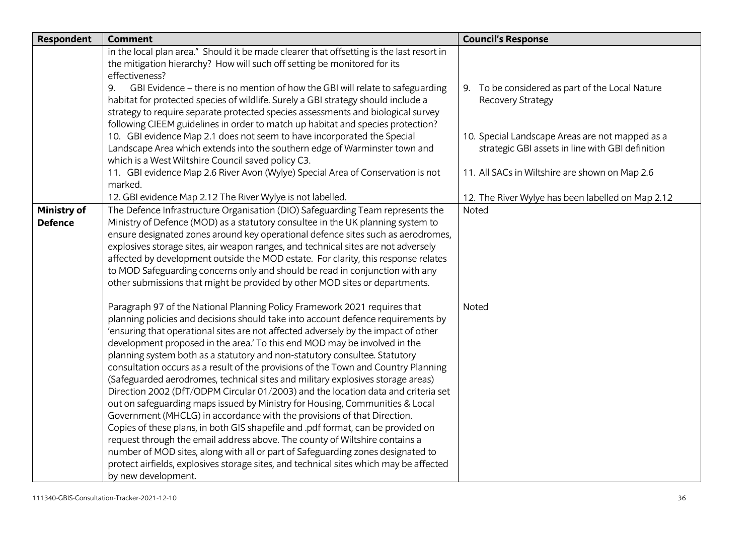| <b>Respondent</b>                    | <b>Comment</b>                                                                                                                                                                                                                                                                                                                                                                                                                                                                                                                                                                                                                                                                                                                                                                                                                                                                                                                                                                                                                                                                                                                                                                                                 | <b>Council's Response</b>                                                                           |
|--------------------------------------|----------------------------------------------------------------------------------------------------------------------------------------------------------------------------------------------------------------------------------------------------------------------------------------------------------------------------------------------------------------------------------------------------------------------------------------------------------------------------------------------------------------------------------------------------------------------------------------------------------------------------------------------------------------------------------------------------------------------------------------------------------------------------------------------------------------------------------------------------------------------------------------------------------------------------------------------------------------------------------------------------------------------------------------------------------------------------------------------------------------------------------------------------------------------------------------------------------------|-----------------------------------------------------------------------------------------------------|
|                                      | in the local plan area." Should it be made clearer that offsetting is the last resort in<br>the mitigation hierarchy? How will such off setting be monitored for its<br>effectiveness?                                                                                                                                                                                                                                                                                                                                                                                                                                                                                                                                                                                                                                                                                                                                                                                                                                                                                                                                                                                                                         |                                                                                                     |
|                                      | GBI Evidence - there is no mention of how the GBI will relate to safeguarding<br>9.<br>habitat for protected species of wildlife. Surely a GBI strategy should include a<br>strategy to require separate protected species assessments and biological survey<br>following CIEEM guidelines in order to match up habitat and species protection?                                                                                                                                                                                                                                                                                                                                                                                                                                                                                                                                                                                                                                                                                                                                                                                                                                                                | 9. To be considered as part of the Local Nature<br>Recovery Strategy                                |
|                                      | 10. GBI evidence Map 2.1 does not seem to have incorporated the Special<br>Landscape Area which extends into the southern edge of Warminster town and<br>which is a West Wiltshire Council saved policy C3.                                                                                                                                                                                                                                                                                                                                                                                                                                                                                                                                                                                                                                                                                                                                                                                                                                                                                                                                                                                                    | 10. Special Landscape Areas are not mapped as a<br>strategic GBI assets in line with GBI definition |
|                                      | 11. GBI evidence Map 2.6 River Avon (Wylye) Special Area of Conservation is not<br>marked.                                                                                                                                                                                                                                                                                                                                                                                                                                                                                                                                                                                                                                                                                                                                                                                                                                                                                                                                                                                                                                                                                                                     | 11. All SACs in Wiltshire are shown on Map 2.6                                                      |
|                                      | 12. GBI evidence Map 2.12 The River Wylye is not labelled.                                                                                                                                                                                                                                                                                                                                                                                                                                                                                                                                                                                                                                                                                                                                                                                                                                                                                                                                                                                                                                                                                                                                                     | 12. The River Wylye has been labelled on Map 2.12                                                   |
| <b>Ministry of</b><br><b>Defence</b> | The Defence Infrastructure Organisation (DIO) Safeguarding Team represents the<br>Ministry of Defence (MOD) as a statutory consultee in the UK planning system to<br>ensure designated zones around key operational defence sites such as aerodromes,<br>explosives storage sites, air weapon ranges, and technical sites are not adversely<br>affected by development outside the MOD estate. For clarity, this response relates<br>to MOD Safeguarding concerns only and should be read in conjunction with any<br>other submissions that might be provided by other MOD sites or departments.                                                                                                                                                                                                                                                                                                                                                                                                                                                                                                                                                                                                               | Noted                                                                                               |
|                                      | Paragraph 97 of the National Planning Policy Framework 2021 requires that<br>planning policies and decisions should take into account defence requirements by<br>'ensuring that operational sites are not affected adversely by the impact of other<br>development proposed in the area.' To this end MOD may be involved in the<br>planning system both as a statutory and non-statutory consultee. Statutory<br>consultation occurs as a result of the provisions of the Town and Country Planning<br>(Safeguarded aerodromes, technical sites and military explosives storage areas)<br>Direction 2002 (DfT/ODPM Circular 01/2003) and the location data and criteria set<br>out on safeguarding maps issued by Ministry for Housing, Communities & Local<br>Government (MHCLG) in accordance with the provisions of that Direction.<br>Copies of these plans, in both GIS shapefile and .pdf format, can be provided on<br>request through the email address above. The county of Wiltshire contains a<br>number of MOD sites, along with all or part of Safeguarding zones designated to<br>protect airfields, explosives storage sites, and technical sites which may be affected<br>by new development. | Noted                                                                                               |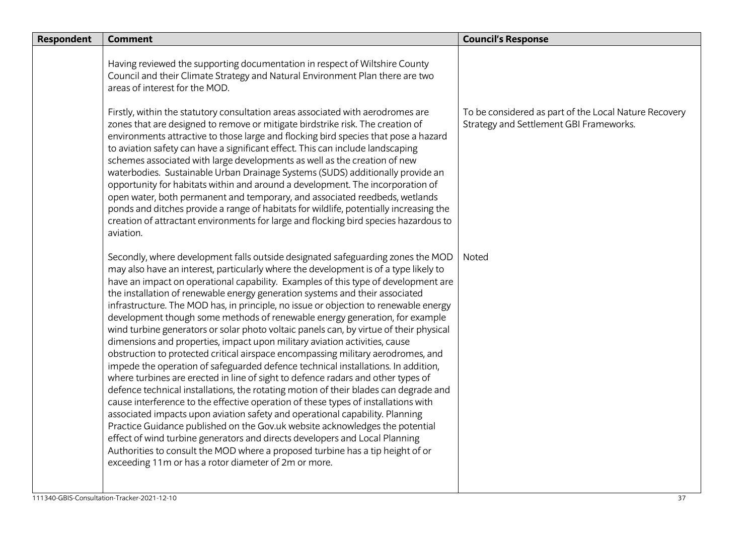| <b>Respondent</b> | <b>Comment</b>                                                                                                                                                                                                                                                                                                                                                                                                                                                                                                                                                                                                                                                                                                                                                                                                                                                                                                                                                                                                                                                                                                                                                                                                                                                                                                                                                                                                                                                                                                                   | <b>Council's Response</b>                                                                        |
|-------------------|----------------------------------------------------------------------------------------------------------------------------------------------------------------------------------------------------------------------------------------------------------------------------------------------------------------------------------------------------------------------------------------------------------------------------------------------------------------------------------------------------------------------------------------------------------------------------------------------------------------------------------------------------------------------------------------------------------------------------------------------------------------------------------------------------------------------------------------------------------------------------------------------------------------------------------------------------------------------------------------------------------------------------------------------------------------------------------------------------------------------------------------------------------------------------------------------------------------------------------------------------------------------------------------------------------------------------------------------------------------------------------------------------------------------------------------------------------------------------------------------------------------------------------|--------------------------------------------------------------------------------------------------|
|                   | Having reviewed the supporting documentation in respect of Wiltshire County<br>Council and their Climate Strategy and Natural Environment Plan there are two<br>areas of interest for the MOD.                                                                                                                                                                                                                                                                                                                                                                                                                                                                                                                                                                                                                                                                                                                                                                                                                                                                                                                                                                                                                                                                                                                                                                                                                                                                                                                                   |                                                                                                  |
|                   | Firstly, within the statutory consultation areas associated with aerodromes are<br>zones that are designed to remove or mitigate birdstrike risk. The creation of<br>environments attractive to those large and flocking bird species that pose a hazard<br>to aviation safety can have a significant effect. This can include landscaping<br>schemes associated with large developments as well as the creation of new<br>waterbodies. Sustainable Urban Drainage Systems (SUDS) additionally provide an<br>opportunity for habitats within and around a development. The incorporation of<br>open water, both permanent and temporary, and associated reedbeds, wetlands<br>ponds and ditches provide a range of habitats for wildlife, potentially increasing the<br>creation of attractant environments for large and flocking bird species hazardous to<br>aviation.                                                                                                                                                                                                                                                                                                                                                                                                                                                                                                                                                                                                                                                        | To be considered as part of the Local Nature Recovery<br>Strategy and Settlement GBI Frameworks. |
|                   | Secondly, where development falls outside designated safeguarding zones the MOD<br>may also have an interest, particularly where the development is of a type likely to<br>have an impact on operational capability. Examples of this type of development are<br>the installation of renewable energy generation systems and their associated<br>infrastructure. The MOD has, in principle, no issue or objection to renewable energy<br>development though some methods of renewable energy generation, for example<br>wind turbine generators or solar photo voltaic panels can, by virtue of their physical<br>dimensions and properties, impact upon military aviation activities, cause<br>obstruction to protected critical airspace encompassing military aerodromes, and<br>impede the operation of safeguarded defence technical installations. In addition,<br>where turbines are erected in line of sight to defence radars and other types of<br>defence technical installations, the rotating motion of their blades can degrade and<br>cause interference to the effective operation of these types of installations with<br>associated impacts upon aviation safety and operational capability. Planning<br>Practice Guidance published on the Gov.uk website acknowledges the potential<br>effect of wind turbine generators and directs developers and Local Planning<br>Authorities to consult the MOD where a proposed turbine has a tip height of or<br>exceeding 11m or has a rotor diameter of 2m or more. | Noted                                                                                            |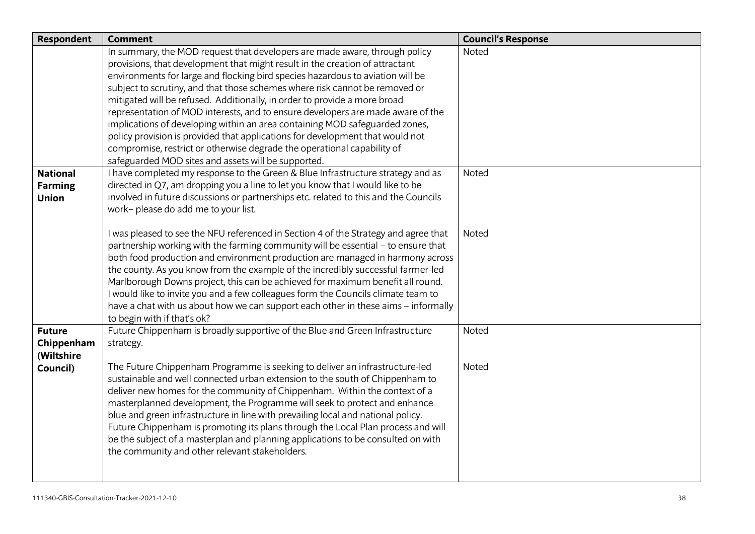| Respondent                     | <b>Comment</b>                                                                                                                         | <b>Council's Response</b> |
|--------------------------------|----------------------------------------------------------------------------------------------------------------------------------------|---------------------------|
|                                | In summary, the MOD request that developers are made aware, through policy                                                             | Noted                     |
|                                | provisions, that development that might result in the creation of attractant                                                           |                           |
|                                | environments for large and flocking bird species hazardous to aviation will be                                                         |                           |
|                                | subject to scrutiny, and that those schemes where risk cannot be removed or                                                            |                           |
|                                | mitigated will be refused. Additionally, in order to provide a more broad                                                              |                           |
|                                | representation of MOD interests, and to ensure developers are made aware of the                                                        |                           |
|                                | implications of developing within an area containing MOD safeguarded zones,                                                            |                           |
|                                | policy provision is provided that applications for development that would not                                                          |                           |
|                                | compromise, restrict or otherwise degrade the operational capability of                                                                |                           |
| <b>National</b>                | safeguarded MOD sites and assets will be supported.<br>I have completed my response to the Green & Blue Infrastructure strategy and as | Noted                     |
|                                | directed in Q7, am dropping you a line to let you know that I would like to be                                                         |                           |
| <b>Farming</b><br><b>Union</b> | involved in future discussions or partnerships etc. related to this and the Councils                                                   |                           |
|                                | work- please do add me to your list.                                                                                                   |                           |
|                                |                                                                                                                                        |                           |
|                                | I was pleased to see the NFU referenced in Section 4 of the Strategy and agree that                                                    | Noted                     |
|                                | partnership working with the farming community will be essential - to ensure that                                                      |                           |
|                                | both food production and environment production are managed in harmony across                                                          |                           |
|                                | the county. As you know from the example of the incredibly successful farmer-led                                                       |                           |
|                                | Marlborough Downs project, this can be achieved for maximum benefit all round.                                                         |                           |
|                                | I would like to invite you and a few colleagues form the Councils climate team to                                                      |                           |
|                                | have a chat with us about how we can support each other in these aims - informally                                                     |                           |
|                                | to begin with if that's ok?                                                                                                            |                           |
| <b>Future</b>                  | Future Chippenham is broadly supportive of the Blue and Green Infrastructure                                                           | Noted                     |
| Chippenham                     | strategy.                                                                                                                              |                           |
| (Wiltshire                     |                                                                                                                                        |                           |
| Council)                       | The Future Chippenham Programme is seeking to deliver an infrastructure-led                                                            | Noted                     |
|                                | sustainable and well connected urban extension to the south of Chippenham to                                                           |                           |
|                                | deliver new homes for the community of Chippenham. Within the context of a                                                             |                           |
|                                | masterplanned development, the Programme will seek to protect and enhance                                                              |                           |
|                                | blue and green infrastructure in line with prevailing local and national policy.                                                       |                           |
|                                | Future Chippenham is promoting its plans through the Local Plan process and will                                                       |                           |
|                                | be the subject of a masterplan and planning applications to be consulted on with                                                       |                           |
|                                | the community and other relevant stakeholders.                                                                                         |                           |
|                                |                                                                                                                                        |                           |
|                                |                                                                                                                                        |                           |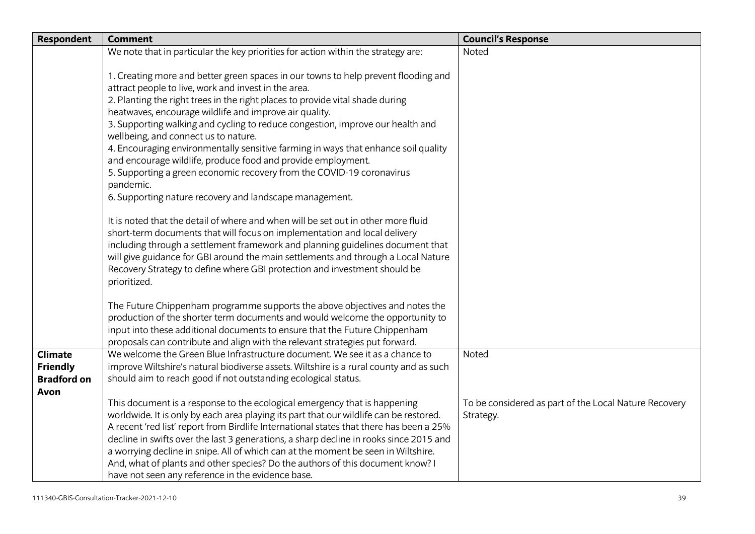| <b>Respondent</b>  | <b>Comment</b>                                                                                                                                               | <b>Council's Response</b>                             |
|--------------------|--------------------------------------------------------------------------------------------------------------------------------------------------------------|-------------------------------------------------------|
|                    | We note that in particular the key priorities for action within the strategy are:                                                                            | Noted                                                 |
|                    |                                                                                                                                                              |                                                       |
|                    | 1. Creating more and better green spaces in our towns to help prevent flooding and                                                                           |                                                       |
|                    | attract people to live, work and invest in the area.                                                                                                         |                                                       |
|                    | 2. Planting the right trees in the right places to provide vital shade during                                                                                |                                                       |
|                    | heatwaves, encourage wildlife and improve air quality.                                                                                                       |                                                       |
|                    | 3. Supporting walking and cycling to reduce congestion, improve our health and                                                                               |                                                       |
|                    | wellbeing, and connect us to nature.<br>4. Encouraging environmentally sensitive farming in ways that enhance soil quality                                   |                                                       |
|                    | and encourage wildlife, produce food and provide employment.                                                                                                 |                                                       |
|                    | 5. Supporting a green economic recovery from the COVID-19 coronavirus                                                                                        |                                                       |
|                    | pandemic.                                                                                                                                                    |                                                       |
|                    | 6. Supporting nature recovery and landscape management.                                                                                                      |                                                       |
|                    |                                                                                                                                                              |                                                       |
|                    | It is noted that the detail of where and when will be set out in other more fluid                                                                            |                                                       |
|                    | short-term documents that will focus on implementation and local delivery                                                                                    |                                                       |
|                    | including through a settlement framework and planning guidelines document that                                                                               |                                                       |
|                    | will give guidance for GBI around the main settlements and through a Local Nature                                                                            |                                                       |
|                    | Recovery Strategy to define where GBI protection and investment should be                                                                                    |                                                       |
|                    | prioritized.                                                                                                                                                 |                                                       |
|                    |                                                                                                                                                              |                                                       |
|                    | The Future Chippenham programme supports the above objectives and notes the<br>production of the shorter term documents and would welcome the opportunity to |                                                       |
|                    | input into these additional documents to ensure that the Future Chippenham                                                                                   |                                                       |
|                    | proposals can contribute and align with the relevant strategies put forward.                                                                                 |                                                       |
| <b>Climate</b>     | We welcome the Green Blue Infrastructure document. We see it as a chance to                                                                                  | Noted                                                 |
| <b>Friendly</b>    | improve Wiltshire's natural biodiverse assets. Wiltshire is a rural county and as such                                                                       |                                                       |
| <b>Bradford on</b> | should aim to reach good if not outstanding ecological status.                                                                                               |                                                       |
| Avon               |                                                                                                                                                              |                                                       |
|                    | This document is a response to the ecological emergency that is happening                                                                                    | To be considered as part of the Local Nature Recovery |
|                    | worldwide. It is only by each area playing its part that our wildlife can be restored.                                                                       | Strategy.                                             |
|                    | A recent 'red list' report from Birdlife International states that there has been a 25%                                                                      |                                                       |
|                    | decline in swifts over the last 3 generations, a sharp decline in rooks since 2015 and                                                                       |                                                       |
|                    | a worrying decline in snipe. All of which can at the moment be seen in Wiltshire.                                                                            |                                                       |
|                    | And, what of plants and other species? Do the authors of this document know? I                                                                               |                                                       |
|                    | have not seen any reference in the evidence base.                                                                                                            |                                                       |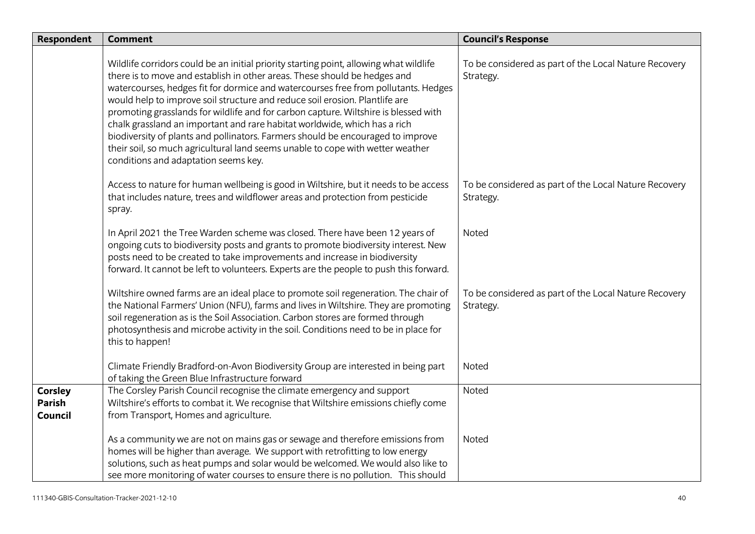| <b>Respondent</b>                   | <b>Comment</b>                                                                                                                                                                                                                                                                                                                                                                                                                                                                                                                                                                                                                                                                                                            | <b>Council's Response</b>                                          |
|-------------------------------------|---------------------------------------------------------------------------------------------------------------------------------------------------------------------------------------------------------------------------------------------------------------------------------------------------------------------------------------------------------------------------------------------------------------------------------------------------------------------------------------------------------------------------------------------------------------------------------------------------------------------------------------------------------------------------------------------------------------------------|--------------------------------------------------------------------|
|                                     | Wildlife corridors could be an initial priority starting point, allowing what wildlife<br>there is to move and establish in other areas. These should be hedges and<br>watercourses, hedges fit for dormice and watercourses free from pollutants. Hedges<br>would help to improve soil structure and reduce soil erosion. Plantlife are<br>promoting grasslands for wildlife and for carbon capture. Wiltshire is blessed with<br>chalk grassland an important and rare habitat worldwide, which has a rich<br>biodiversity of plants and pollinators. Farmers should be encouraged to improve<br>their soil, so much agricultural land seems unable to cope with wetter weather<br>conditions and adaptation seems key. | To be considered as part of the Local Nature Recovery<br>Strategy. |
|                                     | Access to nature for human wellbeing is good in Wiltshire, but it needs to be access<br>that includes nature, trees and wildflower areas and protection from pesticide<br>spray.                                                                                                                                                                                                                                                                                                                                                                                                                                                                                                                                          | To be considered as part of the Local Nature Recovery<br>Strategy. |
|                                     | In April 2021 the Tree Warden scheme was closed. There have been 12 years of<br>ongoing cuts to biodiversity posts and grants to promote biodiversity interest. New<br>posts need to be created to take improvements and increase in biodiversity<br>forward. It cannot be left to volunteers. Experts are the people to push this forward.                                                                                                                                                                                                                                                                                                                                                                               | Noted                                                              |
|                                     | Wiltshire owned farms are an ideal place to promote soil regeneration. The chair of<br>the National Farmers' Union (NFU), farms and lives in Wiltshire. They are promoting<br>soil regeneration as is the Soil Association. Carbon stores are formed through<br>photosynthesis and microbe activity in the soil. Conditions need to be in place for<br>this to happen!                                                                                                                                                                                                                                                                                                                                                    | To be considered as part of the Local Nature Recovery<br>Strategy. |
|                                     | Climate Friendly Bradford-on-Avon Biodiversity Group are interested in being part<br>of taking the Green Blue Infrastructure forward                                                                                                                                                                                                                                                                                                                                                                                                                                                                                                                                                                                      | Noted                                                              |
| <b>Corsley</b><br>Parish<br>Council | The Corsley Parish Council recognise the climate emergency and support<br>Wiltshire's efforts to combat it. We recognise that Wiltshire emissions chiefly come<br>from Transport, Homes and agriculture.                                                                                                                                                                                                                                                                                                                                                                                                                                                                                                                  | Noted                                                              |
|                                     | As a community we are not on mains gas or sewage and therefore emissions from<br>homes will be higher than average. We support with retrofitting to low energy<br>solutions, such as heat pumps and solar would be welcomed. We would also like to<br>see more monitoring of water courses to ensure there is no pollution. This should                                                                                                                                                                                                                                                                                                                                                                                   | Noted                                                              |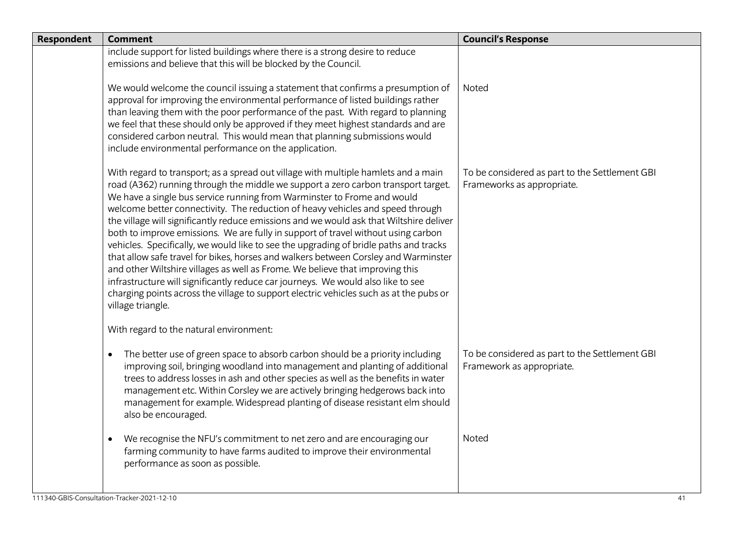| <b>Respondent</b> | <b>Comment</b>                                                                                                                                                                                                                                                                                                                                                                                                                                                                                                                                                                                                                                                                                                                                                                                                                                                                                                                                                                           | <b>Council's Response</b>                                                    |
|-------------------|------------------------------------------------------------------------------------------------------------------------------------------------------------------------------------------------------------------------------------------------------------------------------------------------------------------------------------------------------------------------------------------------------------------------------------------------------------------------------------------------------------------------------------------------------------------------------------------------------------------------------------------------------------------------------------------------------------------------------------------------------------------------------------------------------------------------------------------------------------------------------------------------------------------------------------------------------------------------------------------|------------------------------------------------------------------------------|
|                   | include support for listed buildings where there is a strong desire to reduce<br>emissions and believe that this will be blocked by the Council.                                                                                                                                                                                                                                                                                                                                                                                                                                                                                                                                                                                                                                                                                                                                                                                                                                         |                                                                              |
|                   | We would welcome the council issuing a statement that confirms a presumption of<br>approval for improving the environmental performance of listed buildings rather<br>than leaving them with the poor performance of the past. With regard to planning<br>we feel that these should only be approved if they meet highest standards and are<br>considered carbon neutral. This would mean that planning submissions would<br>include environmental performance on the application.                                                                                                                                                                                                                                                                                                                                                                                                                                                                                                       | Noted                                                                        |
|                   | With regard to transport; as a spread out village with multiple hamlets and a main<br>road (A362) running through the middle we support a zero carbon transport target.<br>We have a single bus service running from Warminster to Frome and would<br>welcome better connectivity. The reduction of heavy vehicles and speed through<br>the village will significantly reduce emissions and we would ask that Wiltshire deliver<br>both to improve emissions. We are fully in support of travel without using carbon<br>vehicles. Specifically, we would like to see the upgrading of bridle paths and tracks<br>that allow safe travel for bikes, horses and walkers between Corsley and Warminster<br>and other Wiltshire villages as well as Frome. We believe that improving this<br>infrastructure will significantly reduce car journeys. We would also like to see<br>charging points across the village to support electric vehicles such as at the pubs or<br>village triangle. | To be considered as part to the Settlement GBI<br>Frameworks as appropriate. |
|                   | With regard to the natural environment:                                                                                                                                                                                                                                                                                                                                                                                                                                                                                                                                                                                                                                                                                                                                                                                                                                                                                                                                                  |                                                                              |
|                   | The better use of green space to absorb carbon should be a priority including<br>$\bullet$<br>improving soil, bringing woodland into management and planting of additional<br>trees to address losses in ash and other species as well as the benefits in water<br>management etc. Within Corsley we are actively bringing hedgerows back into<br>management for example. Widespread planting of disease resistant elm should<br>also be encouraged.                                                                                                                                                                                                                                                                                                                                                                                                                                                                                                                                     | To be considered as part to the Settlement GBI<br>Framework as appropriate.  |
|                   | We recognise the NFU's commitment to net zero and are encouraging our<br>$\bullet$<br>farming community to have farms audited to improve their environmental<br>performance as soon as possible.                                                                                                                                                                                                                                                                                                                                                                                                                                                                                                                                                                                                                                                                                                                                                                                         | Noted                                                                        |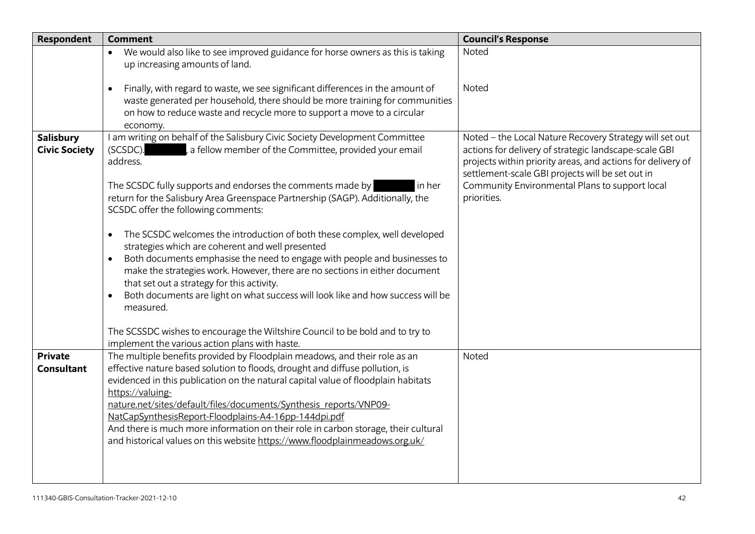| <b>Respondent</b>                        | <b>Comment</b>                                                                                                                                                                                                                                                                                                                                                                                                                                                                                                                                                                                                                                                                                                                                                                                                                                                                                           | <b>Council's Response</b>                                                                                                                                                                                                                                                                            |
|------------------------------------------|----------------------------------------------------------------------------------------------------------------------------------------------------------------------------------------------------------------------------------------------------------------------------------------------------------------------------------------------------------------------------------------------------------------------------------------------------------------------------------------------------------------------------------------------------------------------------------------------------------------------------------------------------------------------------------------------------------------------------------------------------------------------------------------------------------------------------------------------------------------------------------------------------------|------------------------------------------------------------------------------------------------------------------------------------------------------------------------------------------------------------------------------------------------------------------------------------------------------|
|                                          | We would also like to see improved guidance for horse owners as this is taking<br>up increasing amounts of land.                                                                                                                                                                                                                                                                                                                                                                                                                                                                                                                                                                                                                                                                                                                                                                                         | Noted                                                                                                                                                                                                                                                                                                |
|                                          | Finally, with regard to waste, we see significant differences in the amount of<br>$\bullet$<br>waste generated per household, there should be more training for communities<br>on how to reduce waste and recycle more to support a move to a circular<br>economy.                                                                                                                                                                                                                                                                                                                                                                                                                                                                                                                                                                                                                                       | Noted                                                                                                                                                                                                                                                                                                |
| <b>Salisbury</b><br><b>Civic Society</b> | I am writing on behalf of the Salisbury Civic Society Development Committee<br>, a fellow member of the Committee, provided your email<br>(SCSDC).<br>address.<br>The SCSDC fully supports and endorses the comments made by<br>in her<br>return for the Salisbury Area Greenspace Partnership (SAGP). Additionally, the<br>SCSDC offer the following comments:<br>The SCSDC welcomes the introduction of both these complex, well developed<br>$\bullet$<br>strategies which are coherent and well presented<br>Both documents emphasise the need to engage with people and businesses to<br>make the strategies work. However, there are no sections in either document<br>that set out a strategy for this activity.<br>Both documents are light on what success will look like and how success will be<br>measured.<br>The SCSSDC wishes to encourage the Wiltshire Council to be bold and to try to | Noted - the Local Nature Recovery Strategy will set out<br>actions for delivery of strategic landscape-scale GBI<br>projects within priority areas, and actions for delivery of<br>settlement-scale GBI projects will be set out in<br>Community Environmental Plans to support local<br>priorities. |
| <b>Private</b>                           | implement the various action plans with haste.<br>The multiple benefits provided by Floodplain meadows, and their role as an                                                                                                                                                                                                                                                                                                                                                                                                                                                                                                                                                                                                                                                                                                                                                                             | Noted                                                                                                                                                                                                                                                                                                |
| <b>Consultant</b>                        | effective nature based solution to floods, drought and diffuse pollution, is<br>evidenced in this publication on the natural capital value of floodplain habitats<br>https://valuing-<br>nature.net/sites/default/files/documents/Synthesis_reports/VNP09-<br>NatCapSynthesisReport-Floodplains-A4-16pp-144dpi.pdf<br>And there is much more information on their role in carbon storage, their cultural<br>and historical values on this website https://www.floodplainmeadows.org.uk/                                                                                                                                                                                                                                                                                                                                                                                                                  |                                                                                                                                                                                                                                                                                                      |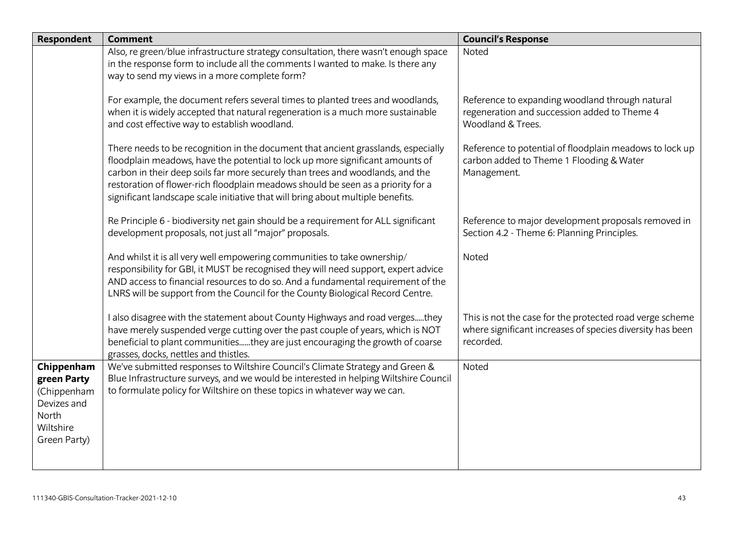| <b>Respondent</b>                                                                             | <b>Comment</b>                                                                                                                                                                                                                                                                                                                                                                                                              | <b>Council's Response</b>                                                                                                          |
|-----------------------------------------------------------------------------------------------|-----------------------------------------------------------------------------------------------------------------------------------------------------------------------------------------------------------------------------------------------------------------------------------------------------------------------------------------------------------------------------------------------------------------------------|------------------------------------------------------------------------------------------------------------------------------------|
|                                                                                               | Also, re green/blue infrastructure strategy consultation, there wasn't enough space<br>in the response form to include all the comments I wanted to make. Is there any                                                                                                                                                                                                                                                      | Noted                                                                                                                              |
|                                                                                               | way to send my views in a more complete form?                                                                                                                                                                                                                                                                                                                                                                               |                                                                                                                                    |
|                                                                                               | For example, the document refers several times to planted trees and woodlands,<br>when it is widely accepted that natural regeneration is a much more sustainable<br>and cost effective way to establish woodland.                                                                                                                                                                                                          | Reference to expanding woodland through natural<br>regeneration and succession added to Theme 4<br>Woodland & Trees.               |
|                                                                                               | There needs to be recognition in the document that ancient grasslands, especially<br>floodplain meadows, have the potential to lock up more significant amounts of<br>carbon in their deep soils far more securely than trees and woodlands, and the<br>restoration of flower-rich floodplain meadows should be seen as a priority for a<br>significant landscape scale initiative that will bring about multiple benefits. | Reference to potential of floodplain meadows to lock up<br>carbon added to Theme 1 Flooding & Water<br>Management.                 |
|                                                                                               | Re Principle 6 - biodiversity net gain should be a requirement for ALL significant<br>development proposals, not just all "major" proposals.                                                                                                                                                                                                                                                                                | Reference to major development proposals removed in<br>Section 4.2 - Theme 6: Planning Principles.                                 |
|                                                                                               | And whilst it is all very well empowering communities to take ownership/<br>responsibility for GBI, it MUST be recognised they will need support, expert advice<br>AND access to financial resources to do so. And a fundamental requirement of the<br>LNRS will be support from the Council for the County Biological Record Centre.                                                                                       | <b>Noted</b>                                                                                                                       |
|                                                                                               | I also disagree with the statement about County Highways and road vergesthey<br>have merely suspended verge cutting over the past couple of years, which is NOT<br>beneficial to plant communitiesthey are just encouraging the growth of coarse<br>grasses, docks, nettles and thistles.                                                                                                                                   | This is not the case for the protected road verge scheme<br>where significant increases of species diversity has been<br>recorded. |
| Chippenham<br>green Party<br>(Chippenham<br>Devizes and<br>North<br>Wiltshire<br>Green Party) | We've submitted responses to Wiltshire Council's Climate Strategy and Green &<br>Blue Infrastructure surveys, and we would be interested in helping Wiltshire Council<br>to formulate policy for Wiltshire on these topics in whatever way we can.                                                                                                                                                                          | Noted                                                                                                                              |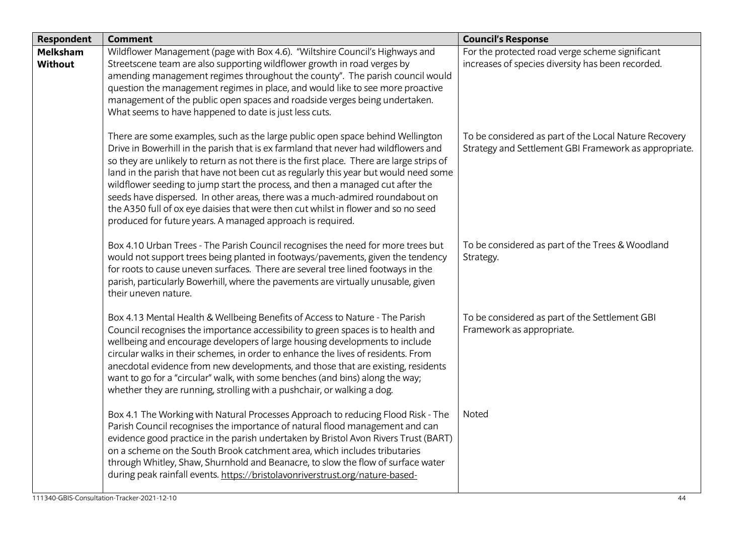| <b>Respondent</b>          | <b>Comment</b>                                                                                                                                                                                                                                                                                                                                                                                                                                                                                                                                                                                                                                                                   | <b>Council's Response</b>                                                                                      |
|----------------------------|----------------------------------------------------------------------------------------------------------------------------------------------------------------------------------------------------------------------------------------------------------------------------------------------------------------------------------------------------------------------------------------------------------------------------------------------------------------------------------------------------------------------------------------------------------------------------------------------------------------------------------------------------------------------------------|----------------------------------------------------------------------------------------------------------------|
| Melksham<br><b>Without</b> | Wildflower Management (page with Box 4.6). "Wiltshire Council's Highways and<br>Streetscene team are also supporting wildflower growth in road verges by<br>amending management regimes throughout the county". The parish council would<br>question the management regimes in place, and would like to see more proactive<br>management of the public open spaces and roadside verges being undertaken.<br>What seems to have happened to date is just less cuts.                                                                                                                                                                                                               | For the protected road verge scheme significant<br>increases of species diversity has been recorded.           |
|                            | There are some examples, such as the large public open space behind Wellington<br>Drive in Bowerhill in the parish that is ex farmland that never had wildflowers and<br>so they are unlikely to return as not there is the first place. There are large strips of<br>land in the parish that have not been cut as regularly this year but would need some<br>wildflower seeding to jump start the process, and then a managed cut after the<br>seeds have dispersed. In other areas, there was a much-admired roundabout on<br>the A350 full of ox eye daisies that were then cut whilst in flower and so no seed<br>produced for future years. A managed approach is required. | To be considered as part of the Local Nature Recovery<br>Strategy and Settlement GBI Framework as appropriate. |
|                            | Box 4.10 Urban Trees - The Parish Council recognises the need for more trees but<br>would not support trees being planted in footways/pavements, given the tendency<br>for roots to cause uneven surfaces. There are several tree lined footways in the<br>parish, particularly Bowerhill, where the pavements are virtually unusable, given<br>their uneven nature.                                                                                                                                                                                                                                                                                                             | To be considered as part of the Trees & Woodland<br>Strategy.                                                  |
|                            | Box 4.13 Mental Health & Wellbeing Benefits of Access to Nature - The Parish<br>Council recognises the importance accessibility to green spaces is to health and<br>wellbeing and encourage developers of large housing developments to include<br>circular walks in their schemes, in order to enhance the lives of residents. From<br>anecdotal evidence from new developments, and those that are existing, residents<br>want to go for a "circular" walk, with some benches (and bins) along the way;<br>whether they are running, strolling with a pushchair, or walking a dog.                                                                                             | To be considered as part of the Settlement GBI<br>Framework as appropriate.                                    |
|                            | Box 4.1 The Working with Natural Processes Approach to reducing Flood Risk - The<br>Parish Council recognises the importance of natural flood management and can<br>evidence good practice in the parish undertaken by Bristol Avon Rivers Trust (BART)<br>on a scheme on the South Brook catchment area, which includes tributaries<br>through Whitley, Shaw, Shurnhold and Beanacre, to slow the flow of surface water<br>during peak rainfall events. https://bristolavonriverstrust.org/nature-based-                                                                                                                                                                        | Noted                                                                                                          |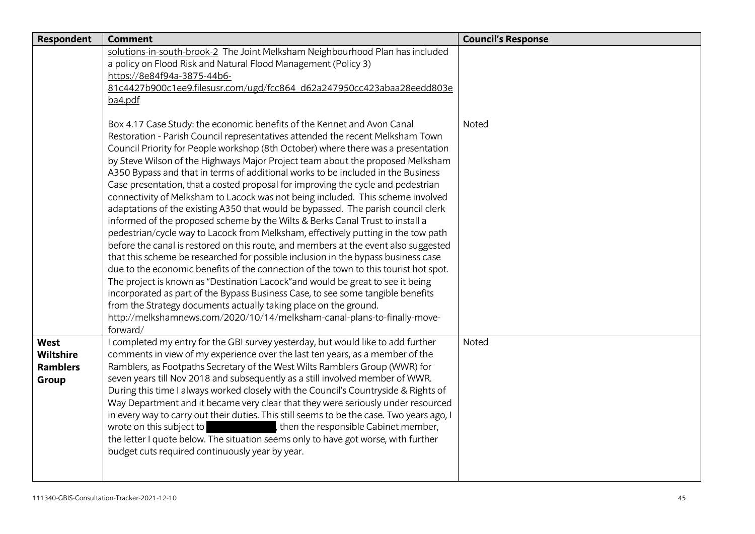| <b>Respondent</b> | <b>Comment</b>                                                                                                                                      | <b>Council's Response</b> |
|-------------------|-----------------------------------------------------------------------------------------------------------------------------------------------------|---------------------------|
|                   | solutions-in-south-brook-2 The Joint Melksham Neighbourhood Plan has included                                                                       |                           |
|                   | a policy on Flood Risk and Natural Flood Management (Policy 3)                                                                                      |                           |
|                   | https://8e84f94a-3875-44b6-                                                                                                                         |                           |
|                   | 81c4427b900c1ee9.filesusr.com/ugd/fcc864_d62a247950cc423abaa28eedd803e                                                                              |                           |
|                   | ba4.pdf                                                                                                                                             |                           |
|                   | Box 4.17 Case Study: the economic benefits of the Kennet and Avon Canal                                                                             | <b>Noted</b>              |
|                   | Restoration - Parish Council representatives attended the recent Melksham Town                                                                      |                           |
|                   | Council Priority for People workshop (8th October) where there was a presentation                                                                   |                           |
|                   | by Steve Wilson of the Highways Major Project team about the proposed Melksham                                                                      |                           |
|                   | A350 Bypass and that in terms of additional works to be included in the Business                                                                    |                           |
|                   | Case presentation, that a costed proposal for improving the cycle and pedestrian                                                                    |                           |
|                   | connectivity of Melksham to Lacock was not being included. This scheme involved                                                                     |                           |
|                   | adaptations of the existing A350 that would be bypassed. The parish council clerk                                                                   |                           |
|                   | informed of the proposed scheme by the Wilts & Berks Canal Trust to install a                                                                       |                           |
|                   | pedestrian/cycle way to Lacock from Melksham, effectively putting in the tow path                                                                   |                           |
|                   | before the canal is restored on this route, and members at the event also suggested                                                                 |                           |
|                   | that this scheme be researched for possible inclusion in the bypass business case                                                                   |                           |
|                   | due to the economic benefits of the connection of the town to this tourist hot spot.                                                                |                           |
|                   | The project is known as "Destination Lacock" and would be great to see it being                                                                     |                           |
|                   | incorporated as part of the Bypass Business Case, to see some tangible benefits<br>from the Strategy documents actually taking place on the ground. |                           |
|                   | http://melkshamnews.com/2020/10/14/melksham-canal-plans-to-finally-move-                                                                            |                           |
|                   | forward/                                                                                                                                            |                           |
| <b>West</b>       | I completed my entry for the GBI survey yesterday, but would like to add further                                                                    | Noted                     |
| <b>Wiltshire</b>  | comments in view of my experience over the last ten years, as a member of the                                                                       |                           |
| <b>Ramblers</b>   | Ramblers, as Footpaths Secretary of the West Wilts Ramblers Group (WWR) for                                                                         |                           |
| Group             | seven years till Nov 2018 and subsequently as a still involved member of WWR.                                                                       |                           |
|                   | During this time I always worked closely with the Council's Countryside & Rights of                                                                 |                           |
|                   | Way Department and it became very clear that they were seriously under resourced                                                                    |                           |
|                   | in every way to carry out their duties. This still seems to be the case. Two years ago, I                                                           |                           |
|                   | , then the responsible Cabinet member,<br>wrote on this subject to                                                                                  |                           |
|                   | the letter I quote below. The situation seems only to have got worse, with further                                                                  |                           |
|                   | budget cuts required continuously year by year.                                                                                                     |                           |
|                   |                                                                                                                                                     |                           |
|                   |                                                                                                                                                     |                           |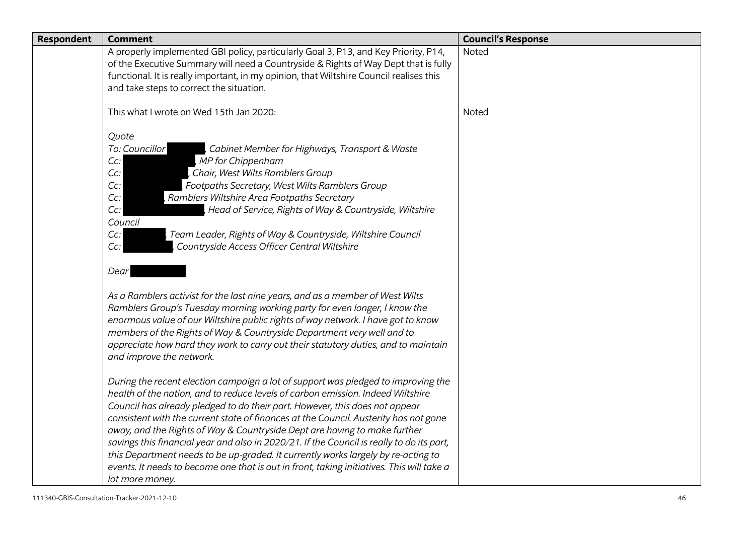| Respondent | <b>Comment</b>                                                                                                                                                                                                                                                                                                                                                                                                                                                                                                                                                                                                                                                                                                             | <b>Council's Response</b> |
|------------|----------------------------------------------------------------------------------------------------------------------------------------------------------------------------------------------------------------------------------------------------------------------------------------------------------------------------------------------------------------------------------------------------------------------------------------------------------------------------------------------------------------------------------------------------------------------------------------------------------------------------------------------------------------------------------------------------------------------------|---------------------------|
|            | A properly implemented GBI policy, particularly Goal 3, P13, and Key Priority, P14,<br>of the Executive Summary will need a Countryside & Rights of Way Dept that is fully<br>functional. It is really important, in my opinion, that Wiltshire Council realises this<br>and take steps to correct the situation.                                                                                                                                                                                                                                                                                                                                                                                                          | Noted                     |
|            | This what I wrote on Wed 15th Jan 2020:                                                                                                                                                                                                                                                                                                                                                                                                                                                                                                                                                                                                                                                                                    | Noted                     |
|            | Quote<br>To: Councillor<br>Cabinet Member for Highways, Transport & Waste<br>MP for Chippenham<br>Cc:<br>Chair, West Wilts Ramblers Group<br>Cc:<br>Footpaths Secretary, West Wilts Ramblers Group<br>Cc<br>Ramblers Wiltshire Area Footpaths Secretary<br>Cc<br>Head of Service, Rights of Way & Countryside, Wiltshire<br>Cc:<br>Council<br>Team Leader, Rights of Way & Countryside, Wiltshire Council<br>Cc:<br>Countryside Access Officer Central Wiltshire<br>$Cc$ :<br>Dear                                                                                                                                                                                                                                         |                           |
|            | As a Ramblers activist for the last nine years, and as a member of West Wilts<br>Ramblers Group's Tuesday morning working party for even longer, I know the<br>enormous value of our Wiltshire public rights of way network. I have got to know<br>members of the Rights of Way & Countryside Department very well and to<br>appreciate how hard they work to carry out their statutory duties, and to maintain<br>and improve the network.                                                                                                                                                                                                                                                                                |                           |
|            | During the recent election campaign a lot of support was pledged to improving the<br>health of the nation, and to reduce levels of carbon emission. Indeed Wiltshire<br>Council has already pledged to do their part. However, this does not appear<br>consistent with the current state of finances at the Council. Austerity has not gone<br>away, and the Rights of Way & Countryside Dept are having to make further<br>savings this financial year and also in 2020/21. If the Council is really to do its part,<br>this Department needs to be up-graded. It currently works largely by re-acting to<br>events. It needs to become one that is out in front, taking initiatives. This will take a<br>lot more money. |                           |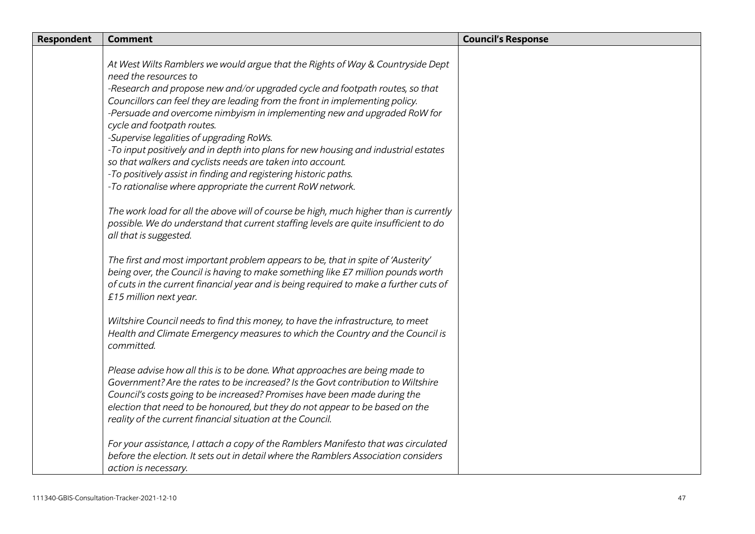| Respondent | <b>Comment</b>                                                                                                                                                                                                                                                                                                                                                                                                                                                                                                                                                                      | <b>Council's Response</b> |
|------------|-------------------------------------------------------------------------------------------------------------------------------------------------------------------------------------------------------------------------------------------------------------------------------------------------------------------------------------------------------------------------------------------------------------------------------------------------------------------------------------------------------------------------------------------------------------------------------------|---------------------------|
|            | At West Wilts Ramblers we would argue that the Rights of Way & Countryside Dept<br>need the resources to<br>-Research and propose new and/or upgraded cycle and footpath routes, so that<br>Councillors can feel they are leading from the front in implementing policy.<br>-Persuade and overcome nimbyism in implementing new and upgraded RoW for<br>cycle and footpath routes.<br>-Supervise legalities of upgrading RoWs.<br>-To input positively and in depth into plans for new housing and industrial estates<br>so that walkers and cyclists needs are taken into account. |                           |
|            | -To positively assist in finding and registering historic paths.<br>-To rationalise where appropriate the current RoW network.<br>The work load for all the above will of course be high, much higher than is currently<br>possible. We do understand that current staffing levels are quite insufficient to do<br>all that is suggested.                                                                                                                                                                                                                                           |                           |
|            | The first and most important problem appears to be, that in spite of 'Austerity'<br>being over, the Council is having to make something like £7 million pounds worth<br>of cuts in the current financial year and is being required to make a further cuts of<br>£15 million next year.                                                                                                                                                                                                                                                                                             |                           |
|            | Wiltshire Council needs to find this money, to have the infrastructure, to meet<br>Health and Climate Emergency measures to which the Country and the Council is<br>committed.                                                                                                                                                                                                                                                                                                                                                                                                      |                           |
|            | Please advise how all this is to be done. What approaches are being made to<br>Government? Are the rates to be increased? Is the Govt contribution to Wiltshire<br>Council's costs going to be increased? Promises have been made during the<br>election that need to be honoured, but they do not appear to be based on the<br>reality of the current financial situation at the Council.                                                                                                                                                                                          |                           |
|            | For your assistance, I attach a copy of the Ramblers Manifesto that was circulated<br>before the election. It sets out in detail where the Ramblers Association considers<br>action is necessary.                                                                                                                                                                                                                                                                                                                                                                                   |                           |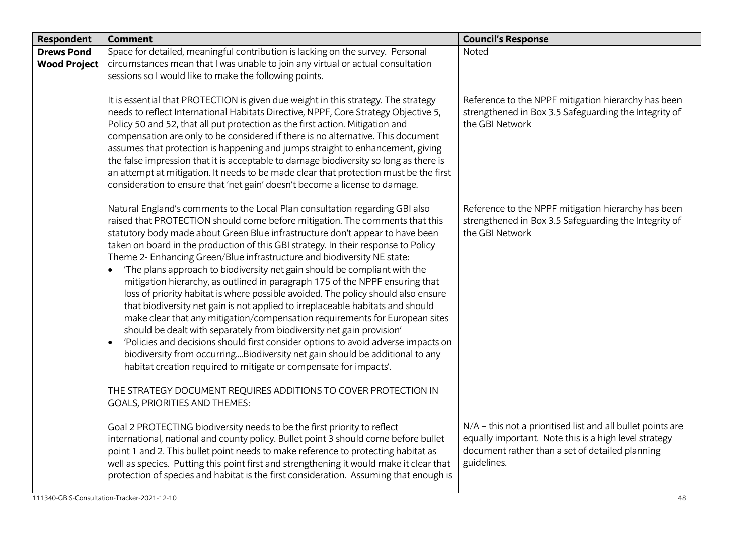| <b>Respondent</b>                        | <b>Comment</b>                                                                                                                                                                                                                                                                                                                                                                                                                                                                                                                                                                                                                                                                                                                                                                                                                                                                                                                                                                                                                                                                                                                                                                                                                                                 | <b>Council's Response</b>                                                                                                                                                              |
|------------------------------------------|----------------------------------------------------------------------------------------------------------------------------------------------------------------------------------------------------------------------------------------------------------------------------------------------------------------------------------------------------------------------------------------------------------------------------------------------------------------------------------------------------------------------------------------------------------------------------------------------------------------------------------------------------------------------------------------------------------------------------------------------------------------------------------------------------------------------------------------------------------------------------------------------------------------------------------------------------------------------------------------------------------------------------------------------------------------------------------------------------------------------------------------------------------------------------------------------------------------------------------------------------------------|----------------------------------------------------------------------------------------------------------------------------------------------------------------------------------------|
| <b>Drews Pond</b><br><b>Wood Project</b> | Space for detailed, meaningful contribution is lacking on the survey. Personal<br>circumstances mean that I was unable to join any virtual or actual consultation<br>sessions so I would like to make the following points.                                                                                                                                                                                                                                                                                                                                                                                                                                                                                                                                                                                                                                                                                                                                                                                                                                                                                                                                                                                                                                    | Noted                                                                                                                                                                                  |
|                                          | It is essential that PROTECTION is given due weight in this strategy. The strategy<br>needs to reflect International Habitats Directive, NPPF, Core Strategy Objective 5,<br>Policy 50 and 52, that all put protection as the first action. Mitigation and<br>compensation are only to be considered if there is no alternative. This document<br>assumes that protection is happening and jumps straight to enhancement, giving<br>the false impression that it is acceptable to damage biodiversity so long as there is<br>an attempt at mitigation. It needs to be made clear that protection must be the first<br>consideration to ensure that 'net gain' doesn't become a license to damage.                                                                                                                                                                                                                                                                                                                                                                                                                                                                                                                                                              | Reference to the NPPF mitigation hierarchy has been<br>strengthened in Box 3.5 Safeguarding the Integrity of<br>the GBI Network                                                        |
|                                          | Natural England's comments to the Local Plan consultation regarding GBI also<br>raised that PROTECTION should come before mitigation. The comments that this<br>statutory body made about Green Blue infrastructure don't appear to have been<br>taken on board in the production of this GBI strategy. In their response to Policy<br>Theme 2- Enhancing Green/Blue infrastructure and biodiversity NE state:<br>The plans approach to biodiversity net gain should be compliant with the<br>mitigation hierarchy, as outlined in paragraph 175 of the NPPF ensuring that<br>loss of priority habitat is where possible avoided. The policy should also ensure<br>that biodiversity net gain is not applied to irreplaceable habitats and should<br>make clear that any mitigation/compensation requirements for European sites<br>should be dealt with separately from biodiversity net gain provision'<br>'Policies and decisions should first consider options to avoid adverse impacts on<br>biodiversity from occurringBiodiversity net gain should be additional to any<br>habitat creation required to mitigate or compensate for impacts'.<br>THE STRATEGY DOCUMENT REQUIRES ADDITIONS TO COVER PROTECTION IN<br><b>GOALS, PRIORITIES AND THEMES:</b> | Reference to the NPPF mitigation hierarchy has been<br>strengthened in Box 3.5 Safeguarding the Integrity of<br>the GBI Network                                                        |
|                                          | Goal 2 PROTECTING biodiversity needs to be the first priority to reflect<br>international, national and county policy. Bullet point 3 should come before bullet<br>point 1 and 2. This bullet point needs to make reference to protecting habitat as<br>well as species. Putting this point first and strengthening it would make it clear that<br>protection of species and habitat is the first consideration. Assuming that enough is                                                                                                                                                                                                                                                                                                                                                                                                                                                                                                                                                                                                                                                                                                                                                                                                                       | N/A – this not a prioritised list and all bullet points are<br>equally important. Note this is a high level strategy<br>document rather than a set of detailed planning<br>guidelines. |
|                                          | 111340-GBIS-Consultation-Tracker-2021-12-10                                                                                                                                                                                                                                                                                                                                                                                                                                                                                                                                                                                                                                                                                                                                                                                                                                                                                                                                                                                                                                                                                                                                                                                                                    | 48                                                                                                                                                                                     |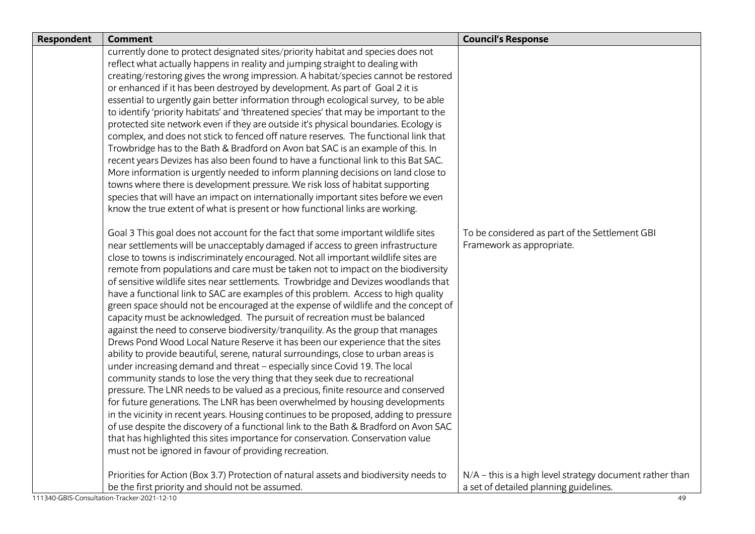| <b>Respondent</b> | <b>Comment</b>                                                                                                                                                                                                                                                                                                                                                                                                                                                                                                                                                                                                                                                                                                                                                                                                                                                                                                                                                                                                                                                                                                                                                                                                                                                                                                                                                                                                                                                                                                                                                                                                                                                                                                                                                                                                                                                                                                                                                                                                                                                                                                                                                                                                                                                                                                                                                                                                                                                                                                                                                                                                                                                                                                                                                                                    | <b>Council's Response</b>                                                   |
|-------------------|---------------------------------------------------------------------------------------------------------------------------------------------------------------------------------------------------------------------------------------------------------------------------------------------------------------------------------------------------------------------------------------------------------------------------------------------------------------------------------------------------------------------------------------------------------------------------------------------------------------------------------------------------------------------------------------------------------------------------------------------------------------------------------------------------------------------------------------------------------------------------------------------------------------------------------------------------------------------------------------------------------------------------------------------------------------------------------------------------------------------------------------------------------------------------------------------------------------------------------------------------------------------------------------------------------------------------------------------------------------------------------------------------------------------------------------------------------------------------------------------------------------------------------------------------------------------------------------------------------------------------------------------------------------------------------------------------------------------------------------------------------------------------------------------------------------------------------------------------------------------------------------------------------------------------------------------------------------------------------------------------------------------------------------------------------------------------------------------------------------------------------------------------------------------------------------------------------------------------------------------------------------------------------------------------------------------------------------------------------------------------------------------------------------------------------------------------------------------------------------------------------------------------------------------------------------------------------------------------------------------------------------------------------------------------------------------------------------------------------------------------------------------------------------------------|-----------------------------------------------------------------------------|
|                   | currently done to protect designated sites/priority habitat and species does not<br>reflect what actually happens in reality and jumping straight to dealing with<br>creating/restoring gives the wrong impression. A habitat/species cannot be restored<br>or enhanced if it has been destroyed by development. As part of Goal 2 it is<br>essential to urgently gain better information through ecological survey, to be able<br>to identify 'priority habitats' and 'threatened species' that may be important to the<br>protected site network even if they are outside it's physical boundaries. Ecology is<br>complex, and does not stick to fenced off nature reserves. The functional link that<br>Trowbridge has to the Bath & Bradford on Avon bat SAC is an example of this. In<br>recent years Devizes has also been found to have a functional link to this Bat SAC.<br>More information is urgently needed to inform planning decisions on land close to<br>towns where there is development pressure. We risk loss of habitat supporting<br>species that will have an impact on internationally important sites before we even<br>know the true extent of what is present or how functional links are working.<br>Goal 3 This goal does not account for the fact that some important wildlife sites<br>near settlements will be unacceptably damaged if access to green infrastructure<br>close to towns is indiscriminately encouraged. Not all important wildlife sites are<br>remote from populations and care must be taken not to impact on the biodiversity<br>of sensitive wildlife sites near settlements. Trowbridge and Devizes woodlands that<br>have a functional link to SAC are examples of this problem. Access to high quality<br>green space should not be encouraged at the expense of wildlife and the concept of<br>capacity must be acknowledged. The pursuit of recreation must be balanced<br>against the need to conserve biodiversity/tranquility. As the group that manages<br>Drews Pond Wood Local Nature Reserve it has been our experience that the sites<br>ability to provide beautiful, serene, natural surroundings, close to urban areas is<br>under increasing demand and threat - especially since Covid 19. The local<br>community stands to lose the very thing that they seek due to recreational<br>pressure. The LNR needs to be valued as a precious, finite resource and conserved<br>for future generations. The LNR has been overwhelmed by housing developments<br>in the vicinity in recent years. Housing continues to be proposed, adding to pressure<br>of use despite the discovery of a functional link to the Bath & Bradford on Avon SAC<br>that has highlighted this sites importance for conservation. Conservation value | To be considered as part of the Settlement GBI<br>Framework as appropriate. |
|                   | must not be ignored in favour of providing recreation.<br>Priorities for Action (Box 3.7) Protection of natural assets and biodiversity needs to                                                                                                                                                                                                                                                                                                                                                                                                                                                                                                                                                                                                                                                                                                                                                                                                                                                                                                                                                                                                                                                                                                                                                                                                                                                                                                                                                                                                                                                                                                                                                                                                                                                                                                                                                                                                                                                                                                                                                                                                                                                                                                                                                                                                                                                                                                                                                                                                                                                                                                                                                                                                                                                  | N/A - this is a high level strategy document rather than                    |
|                   | be the first priority and should not be assumed.                                                                                                                                                                                                                                                                                                                                                                                                                                                                                                                                                                                                                                                                                                                                                                                                                                                                                                                                                                                                                                                                                                                                                                                                                                                                                                                                                                                                                                                                                                                                                                                                                                                                                                                                                                                                                                                                                                                                                                                                                                                                                                                                                                                                                                                                                                                                                                                                                                                                                                                                                                                                                                                                                                                                                  | a set of detailed planning guidelines.                                      |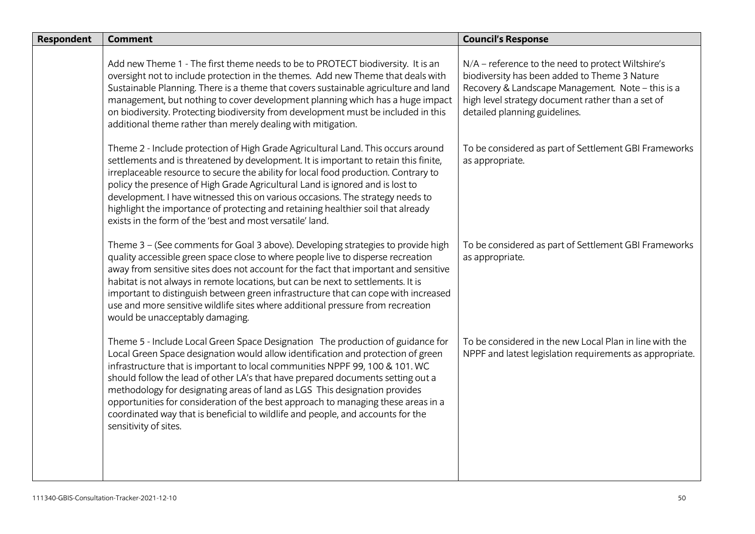| <b>Respondent</b> | <b>Comment</b>                                                                                                                                                                                                                                                                                                                                                                                                                                                                                                                                                                                                       | <b>Council's Response</b>                                                                                                                                                                                                                      |
|-------------------|----------------------------------------------------------------------------------------------------------------------------------------------------------------------------------------------------------------------------------------------------------------------------------------------------------------------------------------------------------------------------------------------------------------------------------------------------------------------------------------------------------------------------------------------------------------------------------------------------------------------|------------------------------------------------------------------------------------------------------------------------------------------------------------------------------------------------------------------------------------------------|
|                   | Add new Theme 1 - The first theme needs to be to PROTECT biodiversity. It is an<br>oversight not to include protection in the themes. Add new Theme that deals with<br>Sustainable Planning. There is a theme that covers sustainable agriculture and land<br>management, but nothing to cover development planning which has a huge impact<br>on biodiversity. Protecting biodiversity from development must be included in this<br>additional theme rather than merely dealing with mitigation.                                                                                                                    | N/A - reference to the need to protect Wiltshire's<br>biodiversity has been added to Theme 3 Nature<br>Recovery & Landscape Management. Note - this is a<br>high level strategy document rather than a set of<br>detailed planning guidelines. |
|                   | Theme 2 - Include protection of High Grade Agricultural Land. This occurs around<br>settlements and is threatened by development. It is important to retain this finite,<br>irreplaceable resource to secure the ability for local food production. Contrary to<br>policy the presence of High Grade Agricultural Land is ignored and is lost to<br>development. I have witnessed this on various occasions. The strategy needs to<br>highlight the importance of protecting and retaining healthier soil that already<br>exists in the form of the 'best and most versatile' land.                                  | To be considered as part of Settlement GBI Frameworks<br>as appropriate.                                                                                                                                                                       |
|                   | Theme 3 - (See comments for Goal 3 above). Developing strategies to provide high<br>quality accessible green space close to where people live to disperse recreation<br>away from sensitive sites does not account for the fact that important and sensitive<br>habitat is not always in remote locations, but can be next to settlements. It is<br>important to distinguish between green infrastructure that can cope with increased<br>use and more sensitive wildlife sites where additional pressure from recreation<br>would be unacceptably damaging.                                                         | To be considered as part of Settlement GBI Frameworks<br>as appropriate.                                                                                                                                                                       |
|                   | Theme 5 - Include Local Green Space Designation The production of guidance for<br>Local Green Space designation would allow identification and protection of green<br>infrastructure that is important to local communities NPPF 99, 100 & 101. WC<br>should follow the lead of other LA's that have prepared documents setting out a<br>methodology for designating areas of land as LGS This designation provides<br>opportunities for consideration of the best approach to managing these areas in a<br>coordinated way that is beneficial to wildlife and people, and accounts for the<br>sensitivity of sites. | To be considered in the new Local Plan in line with the<br>NPPF and latest legislation requirements as appropriate.                                                                                                                            |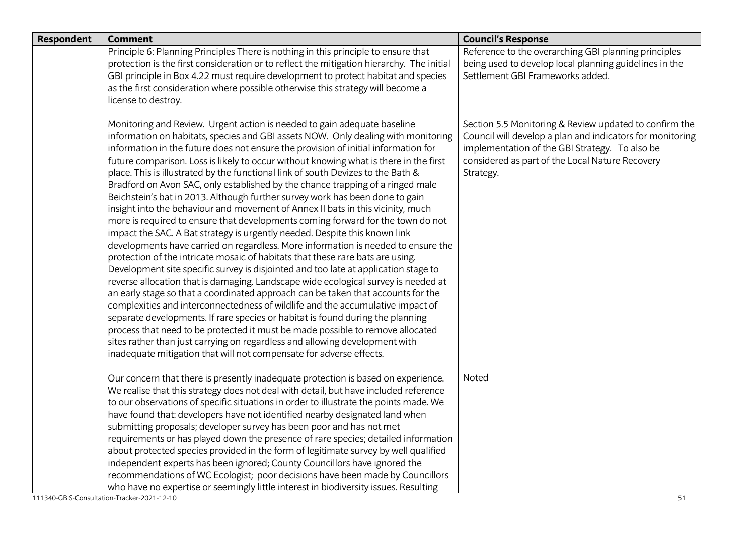| <b>Respondent</b> | <b>Comment</b>                                                                                                                                                                                                                                                                                                                                                                                                                                                                                                                                                                                                                                                                                                                                                                                                                                                                                                                                                                                                                                                                                                                                                                                                                                                                                                                                                                                                                                                                                                                                                                                                                                                                                             | <b>Council's Response</b>                                                                                                                                                                                                             |
|-------------------|------------------------------------------------------------------------------------------------------------------------------------------------------------------------------------------------------------------------------------------------------------------------------------------------------------------------------------------------------------------------------------------------------------------------------------------------------------------------------------------------------------------------------------------------------------------------------------------------------------------------------------------------------------------------------------------------------------------------------------------------------------------------------------------------------------------------------------------------------------------------------------------------------------------------------------------------------------------------------------------------------------------------------------------------------------------------------------------------------------------------------------------------------------------------------------------------------------------------------------------------------------------------------------------------------------------------------------------------------------------------------------------------------------------------------------------------------------------------------------------------------------------------------------------------------------------------------------------------------------------------------------------------------------------------------------------------------------|---------------------------------------------------------------------------------------------------------------------------------------------------------------------------------------------------------------------------------------|
|                   | Principle 6: Planning Principles There is nothing in this principle to ensure that<br>protection is the first consideration or to reflect the mitigation hierarchy. The initial<br>GBI principle in Box 4.22 must require development to protect habitat and species<br>as the first consideration where possible otherwise this strategy will become a<br>license to destroy.                                                                                                                                                                                                                                                                                                                                                                                                                                                                                                                                                                                                                                                                                                                                                                                                                                                                                                                                                                                                                                                                                                                                                                                                                                                                                                                             | Reference to the overarching GBI planning principles<br>being used to develop local planning guidelines in the<br>Settlement GBI Frameworks added.                                                                                    |
|                   | Monitoring and Review. Urgent action is needed to gain adequate baseline<br>information on habitats, species and GBI assets NOW. Only dealing with monitoring<br>information in the future does not ensure the provision of initial information for<br>future comparison. Loss is likely to occur without knowing what is there in the first<br>place. This is illustrated by the functional link of south Devizes to the Bath &<br>Bradford on Avon SAC, only established by the chance trapping of a ringed male<br>Beichstein's bat in 2013. Although further survey work has been done to gain<br>insight into the behaviour and movement of Annex II bats in this vicinity, much<br>more is required to ensure that developments coming forward for the town do not<br>impact the SAC. A Bat strategy is urgently needed. Despite this known link<br>developments have carried on regardless. More information is needed to ensure the<br>protection of the intricate mosaic of habitats that these rare bats are using.<br>Development site specific survey is disjointed and too late at application stage to<br>reverse allocation that is damaging. Landscape wide ecological survey is needed at<br>an early stage so that a coordinated approach can be taken that accounts for the<br>complexities and interconnectedness of wildlife and the accumulative impact of<br>separate developments. If rare species or habitat is found during the planning<br>process that need to be protected it must be made possible to remove allocated<br>sites rather than just carrying on regardless and allowing development with<br>inadequate mitigation that will not compensate for adverse effects. | Section 5.5 Monitoring & Review updated to confirm the<br>Council will develop a plan and indicators for monitoring<br>implementation of the GBI Strategy. To also be<br>considered as part of the Local Nature Recovery<br>Strategy. |
|                   | Our concern that there is presently inadequate protection is based on experience.<br>We realise that this strategy does not deal with detail, but have included reference<br>to our observations of specific situations in order to illustrate the points made. We<br>have found that: developers have not identified nearby designated land when<br>submitting proposals; developer survey has been poor and has not met<br>requirements or has played down the presence of rare species; detailed information<br>about protected species provided in the form of legitimate survey by well qualified<br>independent experts has been ignored; County Councillors have ignored the<br>recommendations of WC Ecologist; poor decisions have been made by Councillors<br>who have no expertise or seemingly little interest in biodiversity issues. Resulting                                                                                                                                                                                                                                                                                                                                                                                                                                                                                                                                                                                                                                                                                                                                                                                                                                               | Noted                                                                                                                                                                                                                                 |
|                   | 111340-GBIS-Consultation-Tracker-2021-12-10                                                                                                                                                                                                                                                                                                                                                                                                                                                                                                                                                                                                                                                                                                                                                                                                                                                                                                                                                                                                                                                                                                                                                                                                                                                                                                                                                                                                                                                                                                                                                                                                                                                                | 51                                                                                                                                                                                                                                    |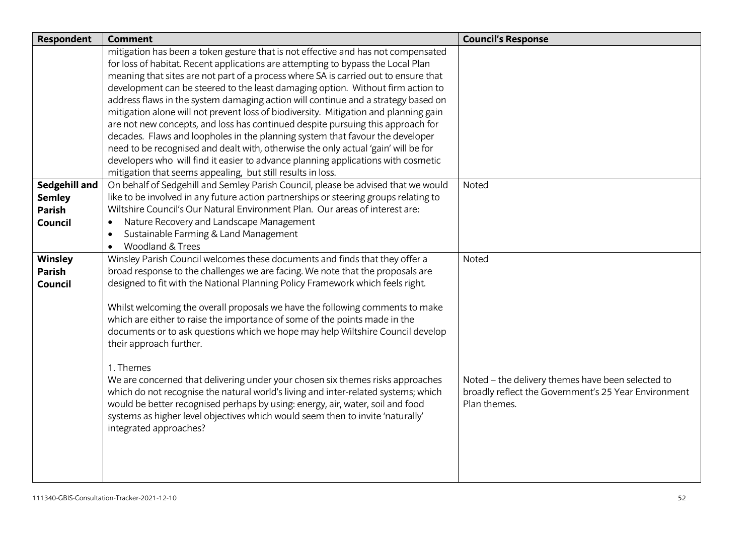| Respondent                     | <b>Comment</b>                                                                                                                                                       | <b>Council's Response</b>                            |
|--------------------------------|----------------------------------------------------------------------------------------------------------------------------------------------------------------------|------------------------------------------------------|
|                                | mitigation has been a token gesture that is not effective and has not compensated                                                                                    |                                                      |
|                                | for loss of habitat. Recent applications are attempting to bypass the Local Plan                                                                                     |                                                      |
|                                | meaning that sites are not part of a process where SA is carried out to ensure that                                                                                  |                                                      |
|                                | development can be steered to the least damaging option. Without firm action to                                                                                      |                                                      |
|                                | address flaws in the system damaging action will continue and a strategy based on                                                                                    |                                                      |
|                                | mitigation alone will not prevent loss of biodiversity. Mitigation and planning gain                                                                                 |                                                      |
|                                | are not new concepts, and loss has continued despite pursuing this approach for                                                                                      |                                                      |
|                                | decades. Flaws and loopholes in the planning system that favour the developer                                                                                        |                                                      |
|                                | need to be recognised and dealt with, otherwise the only actual 'gain' will be for                                                                                   |                                                      |
|                                | developers who will find it easier to advance planning applications with cosmetic                                                                                    |                                                      |
|                                | mitigation that seems appealing, but still results in loss.                                                                                                          |                                                      |
| Sedgehill and                  | On behalf of Sedgehill and Semley Parish Council, please be advised that we would                                                                                    | Noted                                                |
| <b>Semley</b><br><b>Parish</b> | like to be involved in any future action partnerships or steering groups relating to<br>Wiltshire Council's Our Natural Environment Plan. Our areas of interest are: |                                                      |
|                                | Nature Recovery and Landscape Management<br>$\bullet$                                                                                                                |                                                      |
| Council                        | Sustainable Farming & Land Management<br>$\bullet$                                                                                                                   |                                                      |
|                                | Woodland & Trees<br>$\bullet$                                                                                                                                        |                                                      |
| Winsley                        | Winsley Parish Council welcomes these documents and finds that they offer a                                                                                          | Noted                                                |
| <b>Parish</b>                  | broad response to the challenges we are facing. We note that the proposals are                                                                                       |                                                      |
| Council                        | designed to fit with the National Planning Policy Framework which feels right.                                                                                       |                                                      |
|                                |                                                                                                                                                                      |                                                      |
|                                | Whilst welcoming the overall proposals we have the following comments to make                                                                                        |                                                      |
|                                | which are either to raise the importance of some of the points made in the                                                                                           |                                                      |
|                                | documents or to ask questions which we hope may help Wiltshire Council develop                                                                                       |                                                      |
|                                | their approach further.                                                                                                                                              |                                                      |
|                                |                                                                                                                                                                      |                                                      |
|                                | 1. Themes                                                                                                                                                            |                                                      |
|                                | We are concerned that delivering under your chosen six themes risks approaches                                                                                       | Noted - the delivery themes have been selected to    |
|                                | which do not recognise the natural world's living and inter-related systems; which                                                                                   | broadly reflect the Government's 25 Year Environment |
|                                | would be better recognised perhaps by using: energy, air, water, soil and food                                                                                       | Plan themes.                                         |
|                                | systems as higher level objectives which would seem then to invite 'naturally'                                                                                       |                                                      |
|                                | integrated approaches?                                                                                                                                               |                                                      |
|                                |                                                                                                                                                                      |                                                      |
|                                |                                                                                                                                                                      |                                                      |
|                                |                                                                                                                                                                      |                                                      |
|                                |                                                                                                                                                                      |                                                      |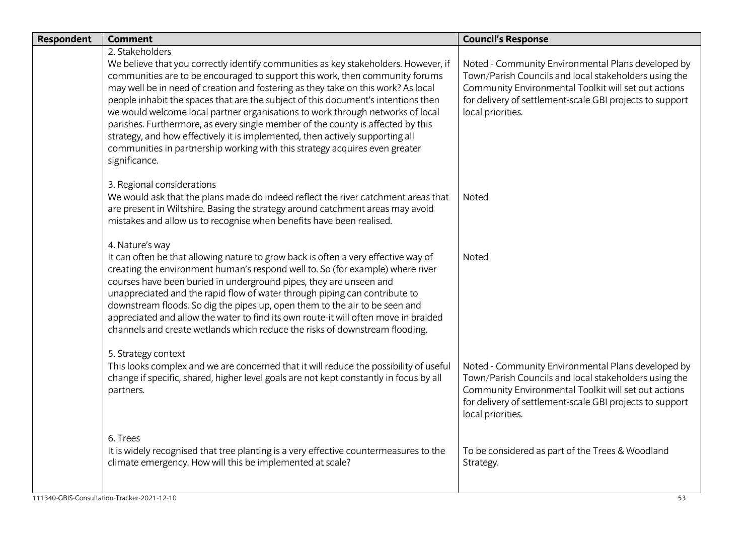| <b>Respondent</b> | <b>Comment</b>                                                                                                                                                                                                                                                                                                                                                                                                                                                                                                                                                                                                                                                                                                         | <b>Council's Response</b>                                                                                                                                                                                                                            |
|-------------------|------------------------------------------------------------------------------------------------------------------------------------------------------------------------------------------------------------------------------------------------------------------------------------------------------------------------------------------------------------------------------------------------------------------------------------------------------------------------------------------------------------------------------------------------------------------------------------------------------------------------------------------------------------------------------------------------------------------------|------------------------------------------------------------------------------------------------------------------------------------------------------------------------------------------------------------------------------------------------------|
|                   | 2. Stakeholders<br>We believe that you correctly identify communities as key stakeholders. However, if<br>communities are to be encouraged to support this work, then community forums<br>may well be in need of creation and fostering as they take on this work? As local<br>people inhabit the spaces that are the subject of this document's intentions then<br>we would welcome local partner organisations to work through networks of local<br>parishes. Furthermore, as every single member of the county is affected by this<br>strategy, and how effectively it is implemented, then actively supporting all<br>communities in partnership working with this strategy acquires even greater<br>significance. | Noted - Community Environmental Plans developed by<br>Town/Parish Councils and local stakeholders using the<br>Community Environmental Toolkit will set out actions<br>for delivery of settlement-scale GBI projects to support<br>local priorities. |
|                   | 3. Regional considerations<br>We would ask that the plans made do indeed reflect the river catchment areas that<br>are present in Wiltshire. Basing the strategy around catchment areas may avoid<br>mistakes and allow us to recognise when benefits have been realised.                                                                                                                                                                                                                                                                                                                                                                                                                                              | Noted                                                                                                                                                                                                                                                |
|                   | 4. Nature's way<br>It can often be that allowing nature to grow back is often a very effective way of<br>creating the environment human's respond well to. So (for example) where river<br>courses have been buried in underground pipes, they are unseen and<br>unappreciated and the rapid flow of water through piping can contribute to<br>downstream floods. So dig the pipes up, open them to the air to be seen and<br>appreciated and allow the water to find its own route-it will often move in braided<br>channels and create wetlands which reduce the risks of downstream flooding.                                                                                                                       | Noted                                                                                                                                                                                                                                                |
|                   | 5. Strategy context<br>This looks complex and we are concerned that it will reduce the possibility of useful<br>change if specific, shared, higher level goals are not kept constantly in focus by all<br>partners.                                                                                                                                                                                                                                                                                                                                                                                                                                                                                                    | Noted - Community Environmental Plans developed by<br>Town/Parish Councils and local stakeholders using the<br>Community Environmental Toolkit will set out actions<br>for delivery of settlement-scale GBI projects to support<br>local priorities. |
|                   | 6. Trees<br>It is widely recognised that tree planting is a very effective countermeasures to the<br>climate emergency. How will this be implemented at scale?                                                                                                                                                                                                                                                                                                                                                                                                                                                                                                                                                         | To be considered as part of the Trees & Woodland<br>Strategy.                                                                                                                                                                                        |
|                   | 111340-GBIS-Consultation-Tracker-2021-12-10                                                                                                                                                                                                                                                                                                                                                                                                                                                                                                                                                                                                                                                                            | 53                                                                                                                                                                                                                                                   |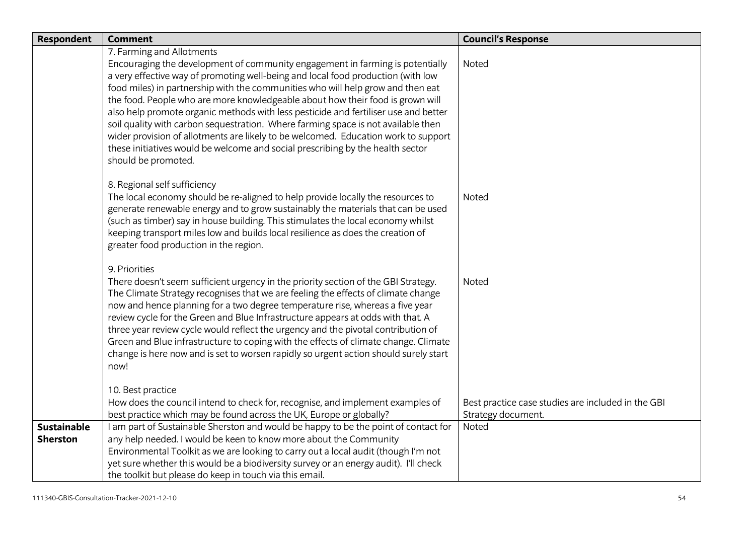| <b>Respondent</b>                     | <b>Comment</b>                                                                                                                                                                                                                                                                                                                                                                                                                                                                                                                                                                                                                                                                                                                                 | <b>Council's Response</b>                                                |
|---------------------------------------|------------------------------------------------------------------------------------------------------------------------------------------------------------------------------------------------------------------------------------------------------------------------------------------------------------------------------------------------------------------------------------------------------------------------------------------------------------------------------------------------------------------------------------------------------------------------------------------------------------------------------------------------------------------------------------------------------------------------------------------------|--------------------------------------------------------------------------|
|                                       | 7. Farming and Allotments<br>Encouraging the development of community engagement in farming is potentially<br>a very effective way of promoting well-being and local food production (with low<br>food miles) in partnership with the communities who will help grow and then eat<br>the food. People who are more knowledgeable about how their food is grown will<br>also help promote organic methods with less pesticide and fertiliser use and better<br>soil quality with carbon sequestration. Where farming space is not available then<br>wider provision of allotments are likely to be welcomed. Education work to support<br>these initiatives would be welcome and social prescribing by the health sector<br>should be promoted. | Noted                                                                    |
|                                       | 8. Regional self sufficiency<br>The local economy should be re-aligned to help provide locally the resources to<br>generate renewable energy and to grow sustainably the materials that can be used<br>(such as timber) say in house building. This stimulates the local economy whilst<br>keeping transport miles low and builds local resilience as does the creation of<br>greater food production in the region.                                                                                                                                                                                                                                                                                                                           | <b>Noted</b>                                                             |
|                                       | 9. Priorities<br>There doesn't seem sufficient urgency in the priority section of the GBI Strategy.<br>The Climate Strategy recognises that we are feeling the effects of climate change<br>now and hence planning for a two degree temperature rise, whereas a five year<br>review cycle for the Green and Blue Infrastructure appears at odds with that. A<br>three year review cycle would reflect the urgency and the pivotal contribution of<br>Green and Blue infrastructure to coping with the effects of climate change. Climate<br>change is here now and is set to worsen rapidly so urgent action should surely start<br>now!                                                                                                       | Noted                                                                    |
|                                       | 10. Best practice<br>How does the council intend to check for, recognise, and implement examples of<br>best practice which may be found across the UK, Europe or globally?                                                                                                                                                                                                                                                                                                                                                                                                                                                                                                                                                                     | Best practice case studies are included in the GBI<br>Strategy document. |
| <b>Sustainable</b><br><b>Sherston</b> | I am part of Sustainable Sherston and would be happy to be the point of contact for<br>any help needed. I would be keen to know more about the Community<br>Environmental Toolkit as we are looking to carry out a local audit (though I'm not<br>yet sure whether this would be a biodiversity survey or an energy audit). I'll check<br>the toolkit but please do keep in touch via this email.                                                                                                                                                                                                                                                                                                                                              | Noted                                                                    |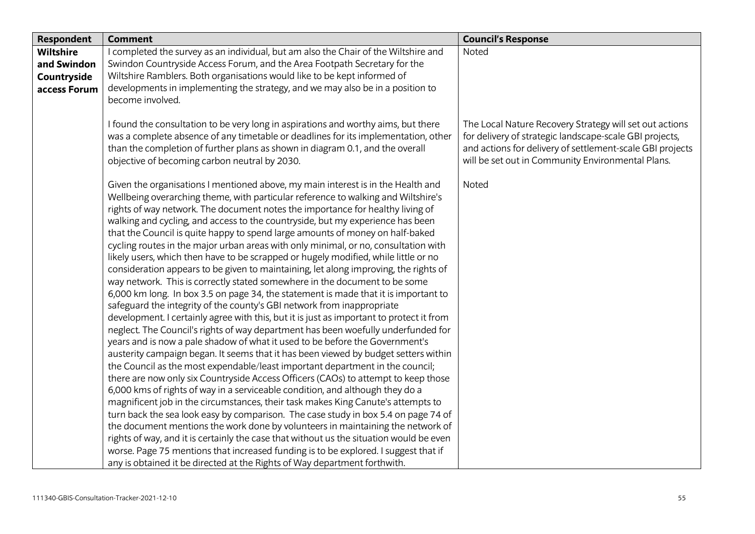| Respondent   | <b>Comment</b>                                                                                                                                                                                                                                                                                                                                                                                                                                                                                                                                                                                                                                                                                                                                                                                                                                                                                                                                                                                                                                                                                                                                                                                                                                                                                                                                                                                                                                                                                                                                                                                                                                      | <b>Council's Response</b>                                                                                                                                                                                                            |
|--------------|-----------------------------------------------------------------------------------------------------------------------------------------------------------------------------------------------------------------------------------------------------------------------------------------------------------------------------------------------------------------------------------------------------------------------------------------------------------------------------------------------------------------------------------------------------------------------------------------------------------------------------------------------------------------------------------------------------------------------------------------------------------------------------------------------------------------------------------------------------------------------------------------------------------------------------------------------------------------------------------------------------------------------------------------------------------------------------------------------------------------------------------------------------------------------------------------------------------------------------------------------------------------------------------------------------------------------------------------------------------------------------------------------------------------------------------------------------------------------------------------------------------------------------------------------------------------------------------------------------------------------------------------------------|--------------------------------------------------------------------------------------------------------------------------------------------------------------------------------------------------------------------------------------|
| Wiltshire    | I completed the survey as an individual, but am also the Chair of the Wiltshire and                                                                                                                                                                                                                                                                                                                                                                                                                                                                                                                                                                                                                                                                                                                                                                                                                                                                                                                                                                                                                                                                                                                                                                                                                                                                                                                                                                                                                                                                                                                                                                 | Noted                                                                                                                                                                                                                                |
| and Swindon  | Swindon Countryside Access Forum, and the Area Footpath Secretary for the                                                                                                                                                                                                                                                                                                                                                                                                                                                                                                                                                                                                                                                                                                                                                                                                                                                                                                                                                                                                                                                                                                                                                                                                                                                                                                                                                                                                                                                                                                                                                                           |                                                                                                                                                                                                                                      |
| Countryside  | Wiltshire Ramblers. Both organisations would like to be kept informed of                                                                                                                                                                                                                                                                                                                                                                                                                                                                                                                                                                                                                                                                                                                                                                                                                                                                                                                                                                                                                                                                                                                                                                                                                                                                                                                                                                                                                                                                                                                                                                            |                                                                                                                                                                                                                                      |
| access Forum | developments in implementing the strategy, and we may also be in a position to                                                                                                                                                                                                                                                                                                                                                                                                                                                                                                                                                                                                                                                                                                                                                                                                                                                                                                                                                                                                                                                                                                                                                                                                                                                                                                                                                                                                                                                                                                                                                                      |                                                                                                                                                                                                                                      |
|              | become involved.                                                                                                                                                                                                                                                                                                                                                                                                                                                                                                                                                                                                                                                                                                                                                                                                                                                                                                                                                                                                                                                                                                                                                                                                                                                                                                                                                                                                                                                                                                                                                                                                                                    |                                                                                                                                                                                                                                      |
|              | I found the consultation to be very long in aspirations and worthy aims, but there<br>was a complete absence of any timetable or deadlines for its implementation, other<br>than the completion of further plans as shown in diagram 0.1, and the overall<br>objective of becoming carbon neutral by 2030.                                                                                                                                                                                                                                                                                                                                                                                                                                                                                                                                                                                                                                                                                                                                                                                                                                                                                                                                                                                                                                                                                                                                                                                                                                                                                                                                          | The Local Nature Recovery Strategy will set out actions<br>for delivery of strategic landscape-scale GBI projects,<br>and actions for delivery of settlement-scale GBI projects<br>will be set out in Community Environmental Plans. |
|              | Given the organisations I mentioned above, my main interest is in the Health and<br>Wellbeing overarching theme, with particular reference to walking and Wiltshire's<br>rights of way network. The document notes the importance for healthy living of<br>walking and cycling, and access to the countryside, but my experience has been<br>that the Council is quite happy to spend large amounts of money on half-baked<br>cycling routes in the major urban areas with only minimal, or no, consultation with<br>likely users, which then have to be scrapped or hugely modified, while little or no<br>consideration appears to be given to maintaining, let along improving, the rights of<br>way network. This is correctly stated somewhere in the document to be some<br>6,000 km long. In box 3.5 on page 34, the statement is made that it is important to<br>safeguard the integrity of the county's GBI network from inappropriate<br>development. I certainly agree with this, but it is just as important to protect it from<br>neglect. The Council's rights of way department has been woefully underfunded for<br>years and is now a pale shadow of what it used to be before the Government's<br>austerity campaign began. It seems that it has been viewed by budget setters within<br>the Council as the most expendable/least important department in the council;<br>there are now only six Countryside Access Officers (CAOs) to attempt to keep those<br>6,000 kms of rights of way in a serviceable condition, and although they do a<br>magnificent job in the circumstances, their task makes King Canute's attempts to | Noted                                                                                                                                                                                                                                |
|              | turn back the sea look easy by comparison. The case study in box 5.4 on page 74 of<br>the document mentions the work done by volunteers in maintaining the network of                                                                                                                                                                                                                                                                                                                                                                                                                                                                                                                                                                                                                                                                                                                                                                                                                                                                                                                                                                                                                                                                                                                                                                                                                                                                                                                                                                                                                                                                               |                                                                                                                                                                                                                                      |
|              | rights of way, and it is certainly the case that without us the situation would be even                                                                                                                                                                                                                                                                                                                                                                                                                                                                                                                                                                                                                                                                                                                                                                                                                                                                                                                                                                                                                                                                                                                                                                                                                                                                                                                                                                                                                                                                                                                                                             |                                                                                                                                                                                                                                      |
|              | worse. Page 75 mentions that increased funding is to be explored. I suggest that if                                                                                                                                                                                                                                                                                                                                                                                                                                                                                                                                                                                                                                                                                                                                                                                                                                                                                                                                                                                                                                                                                                                                                                                                                                                                                                                                                                                                                                                                                                                                                                 |                                                                                                                                                                                                                                      |
|              | any is obtained it be directed at the Rights of Way department forthwith.                                                                                                                                                                                                                                                                                                                                                                                                                                                                                                                                                                                                                                                                                                                                                                                                                                                                                                                                                                                                                                                                                                                                                                                                                                                                                                                                                                                                                                                                                                                                                                           |                                                                                                                                                                                                                                      |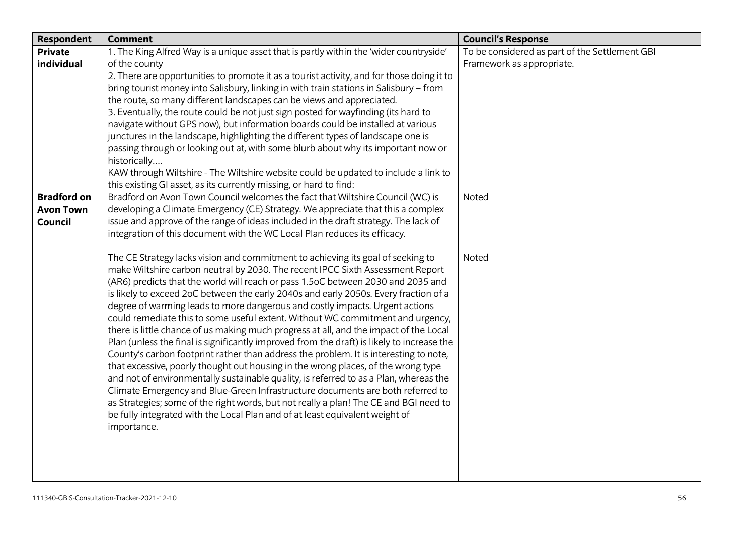| Respondent         | <b>Comment</b>                                                                                                                                            | <b>Council's Response</b>                      |
|--------------------|-----------------------------------------------------------------------------------------------------------------------------------------------------------|------------------------------------------------|
| <b>Private</b>     | 1. The King Alfred Way is a unique asset that is partly within the 'wider countryside'                                                                    | To be considered as part of the Settlement GBI |
| individual         | of the county                                                                                                                                             | Framework as appropriate.                      |
|                    | 2. There are opportunities to promote it as a tourist activity, and for those doing it to                                                                 |                                                |
|                    | bring tourist money into Salisbury, linking in with train stations in Salisbury - from                                                                    |                                                |
|                    | the route, so many different landscapes can be views and appreciated.                                                                                     |                                                |
|                    | 3. Eventually, the route could be not just sign posted for wayfinding (its hard to                                                                        |                                                |
|                    | navigate without GPS now), but information boards could be installed at various                                                                           |                                                |
|                    | junctures in the landscape, highlighting the different types of landscape one is                                                                          |                                                |
|                    | passing through or looking out at, with some blurb about why its important now or                                                                         |                                                |
|                    | historically                                                                                                                                              |                                                |
|                    | KAW through Wiltshire - The Wiltshire website could be updated to include a link to<br>this existing GI asset, as its currently missing, or hard to find: |                                                |
| <b>Bradford on</b> | Bradford on Avon Town Council welcomes the fact that Wiltshire Council (WC) is                                                                            | Noted                                          |
| <b>Avon Town</b>   | developing a Climate Emergency (CE) Strategy. We appreciate that this a complex                                                                           |                                                |
| Council            | issue and approve of the range of ideas included in the draft strategy. The lack of                                                                       |                                                |
|                    | integration of this document with the WC Local Plan reduces its efficacy.                                                                                 |                                                |
|                    |                                                                                                                                                           |                                                |
|                    | The CE Strategy lacks vision and commitment to achieving its goal of seeking to                                                                           | Noted                                          |
|                    | make Wiltshire carbon neutral by 2030. The recent IPCC Sixth Assessment Report                                                                            |                                                |
|                    | (AR6) predicts that the world will reach or pass 1.5oC between 2030 and 2035 and                                                                          |                                                |
|                    | is likely to exceed 2oC between the early 2040s and early 2050s. Every fraction of a                                                                      |                                                |
|                    | degree of warming leads to more dangerous and costly impacts. Urgent actions                                                                              |                                                |
|                    | could remediate this to some useful extent. Without WC commitment and urgency,                                                                            |                                                |
|                    | there is little chance of us making much progress at all, and the impact of the Local                                                                     |                                                |
|                    | Plan (unless the final is significantly improved from the draft) is likely to increase the                                                                |                                                |
|                    | County's carbon footprint rather than address the problem. It is interesting to note,                                                                     |                                                |
|                    | that excessive, poorly thought out housing in the wrong places, of the wrong type                                                                         |                                                |
|                    | and not of environmentally sustainable quality, is referred to as a Plan, whereas the                                                                     |                                                |
|                    | Climate Emergency and Blue-Green Infrastructure documents are both referred to                                                                            |                                                |
|                    | as Strategies; some of the right words, but not really a plan! The CE and BGI need to                                                                     |                                                |
|                    | be fully integrated with the Local Plan and of at least equivalent weight of                                                                              |                                                |
|                    | importance.                                                                                                                                               |                                                |
|                    |                                                                                                                                                           |                                                |
|                    |                                                                                                                                                           |                                                |
|                    |                                                                                                                                                           |                                                |
|                    |                                                                                                                                                           |                                                |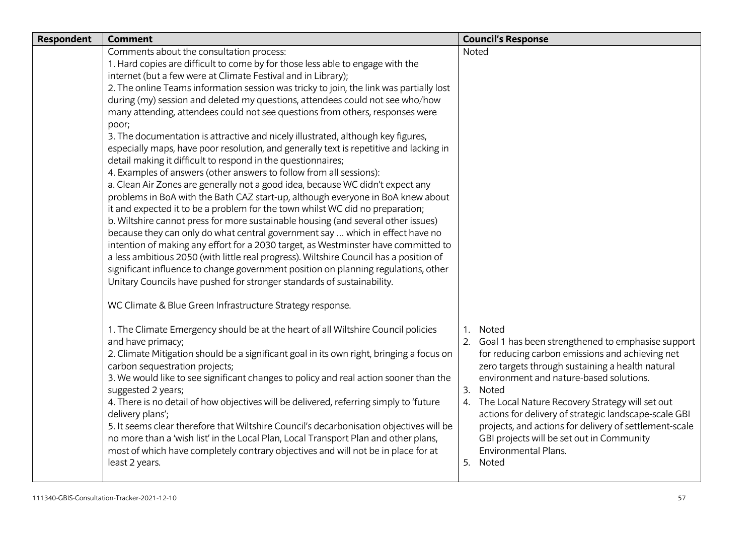| Respondent | <b>Comment</b>                                                                           | <b>Council's Response</b>                              |
|------------|------------------------------------------------------------------------------------------|--------------------------------------------------------|
|            | Comments about the consultation process:                                                 | Noted                                                  |
|            | 1. Hard copies are difficult to come by for those less able to engage with the           |                                                        |
|            | internet (but a few were at Climate Festival and in Library);                            |                                                        |
|            | 2. The online Teams information session was tricky to join, the link was partially lost  |                                                        |
|            | during (my) session and deleted my questions, attendees could not see who/how            |                                                        |
|            | many attending, attendees could not see questions from others, responses were            |                                                        |
|            | poor;                                                                                    |                                                        |
|            | 3. The documentation is attractive and nicely illustrated, although key figures,         |                                                        |
|            | especially maps, have poor resolution, and generally text is repetitive and lacking in   |                                                        |
|            | detail making it difficult to respond in the questionnaires;                             |                                                        |
|            | 4. Examples of answers (other answers to follow from all sessions):                      |                                                        |
|            | a. Clean Air Zones are generally not a good idea, because WC didn't expect any           |                                                        |
|            | problems in BoA with the Bath CAZ start-up, although everyone in BoA knew about          |                                                        |
|            | it and expected it to be a problem for the town whilst WC did no preparation;            |                                                        |
|            | b. Wiltshire cannot press for more sustainable housing (and several other issues)        |                                                        |
|            | because they can only do what central government say  which in effect have no            |                                                        |
|            | intention of making any effort for a 2030 target, as Westminster have committed to       |                                                        |
|            | a less ambitious 2050 (with little real progress). Wiltshire Council has a position of   |                                                        |
|            | significant influence to change government position on planning regulations, other       |                                                        |
|            | Unitary Councils have pushed for stronger standards of sustainability.                   |                                                        |
|            | WC Climate & Blue Green Infrastructure Strategy response.                                |                                                        |
|            | 1. The Climate Emergency should be at the heart of all Wiltshire Council policies        | 1. Noted                                               |
|            | and have primacy;                                                                        | 2. Goal 1 has been strengthened to emphasise support   |
|            | 2. Climate Mitigation should be a significant goal in its own right, bringing a focus on | for reducing carbon emissions and achieving net        |
|            | carbon sequestration projects;                                                           | zero targets through sustaining a health natural       |
|            | 3. We would like to see significant changes to policy and real action sooner than the    | environment and nature-based solutions.                |
|            | suggested 2 years;                                                                       | 3. Noted                                               |
|            | 4. There is no detail of how objectives will be delivered, referring simply to 'future   | 4. The Local Nature Recovery Strategy will set out     |
|            | delivery plans';                                                                         | actions for delivery of strategic landscape-scale GBI  |
|            | 5. It seems clear therefore that Wiltshire Council's decarbonisation objectives will be  | projects, and actions for delivery of settlement-scale |
|            | no more than a 'wish list' in the Local Plan, Local Transport Plan and other plans,      | GBI projects will be set out in Community              |
|            | most of which have completely contrary objectives and will not be in place for at        | Environmental Plans.                                   |
|            | least 2 years.                                                                           | 5. Noted                                               |
|            |                                                                                          |                                                        |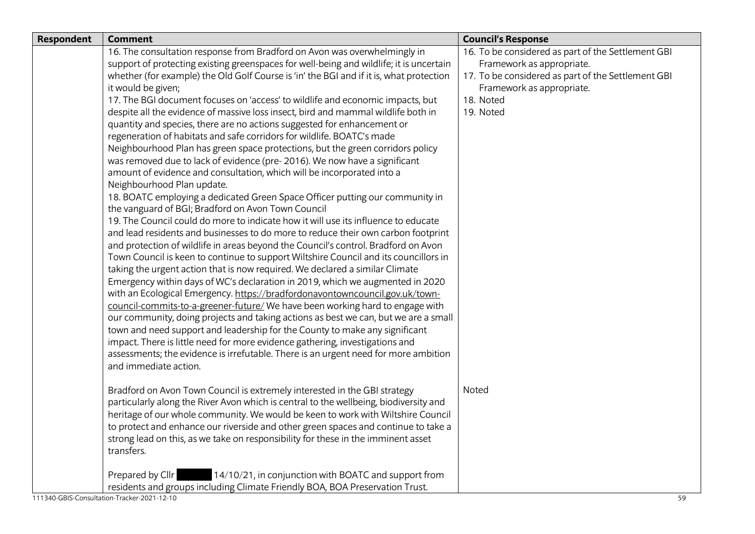| <b>Respondent</b> | <b>Comment</b>                                                                          | <b>Council's Response</b>                          |
|-------------------|-----------------------------------------------------------------------------------------|----------------------------------------------------|
|                   | 16. The consultation response from Bradford on Avon was overwhelmingly in               | 16. To be considered as part of the Settlement GBI |
|                   | support of protecting existing greenspaces for well-being and wildlife; it is uncertain | Framework as appropriate.                          |
|                   | whether (for example) the Old Golf Course is 'in' the BGI and if it is, what protection | 17. To be considered as part of the Settlement GBI |
|                   | it would be given;                                                                      | Framework as appropriate.                          |
|                   | 17. The BGI document focuses on 'access' to wildlife and economic impacts, but          | 18. Noted                                          |
|                   | despite all the evidence of massive loss insect, bird and mammal wildlife both in       | 19. Noted                                          |
|                   | quantity and species, there are no actions suggested for enhancement or                 |                                                    |
|                   | regeneration of habitats and safe corridors for wildlife. BOATC's made                  |                                                    |
|                   | Neighbourhood Plan has green space protections, but the green corridors policy          |                                                    |
|                   | was removed due to lack of evidence (pre-2016). We now have a significant               |                                                    |
|                   | amount of evidence and consultation, which will be incorporated into a                  |                                                    |
|                   | Neighbourhood Plan update.                                                              |                                                    |
|                   | 18. BOATC employing a dedicated Green Space Officer putting our community in            |                                                    |
|                   | the vanguard of BGI; Bradford on Avon Town Council                                      |                                                    |
|                   | 19. The Council could do more to indicate how it will use its influence to educate      |                                                    |
|                   | and lead residents and businesses to do more to reduce their own carbon footprint       |                                                    |
|                   | and protection of wildlife in areas beyond the Council's control. Bradford on Avon      |                                                    |
|                   | Town Council is keen to continue to support Wiltshire Council and its councillors in    |                                                    |
|                   | taking the urgent action that is now required. We declared a similar Climate            |                                                    |
|                   | Emergency within days of WC's declaration in 2019, which we augmented in 2020           |                                                    |
|                   | with an Ecological Emergency. https://bradfordonavontowncouncil.gov.uk/town-            |                                                    |
|                   | council-commits-to-a-greener-future/ We have been working hard to engage with           |                                                    |
|                   | our community, doing projects and taking actions as best we can, but we are a small     |                                                    |
|                   | town and need support and leadership for the County to make any significant             |                                                    |
|                   | impact. There is little need for more evidence gathering, investigations and            |                                                    |
|                   | assessments; the evidence is irrefutable. There is an urgent need for more ambition     |                                                    |
|                   | and immediate action.                                                                   |                                                    |
|                   | Bradford on Avon Town Council is extremely interested in the GBI strategy               | Noted                                              |
|                   | particularly along the River Avon which is central to the wellbeing, biodiversity and   |                                                    |
|                   | heritage of our whole community. We would be keen to work with Wiltshire Council        |                                                    |
|                   | to protect and enhance our riverside and other green spaces and continue to take a      |                                                    |
|                   | strong lead on this, as we take on responsibility for these in the imminent asset       |                                                    |
|                   | transfers.                                                                              |                                                    |
|                   | 14/10/21, in conjunction with BOATC and support from<br>Prepared by Cllr                |                                                    |
|                   | residents and groups including Climate Friendly BOA, BOA Preservation Trust.            |                                                    |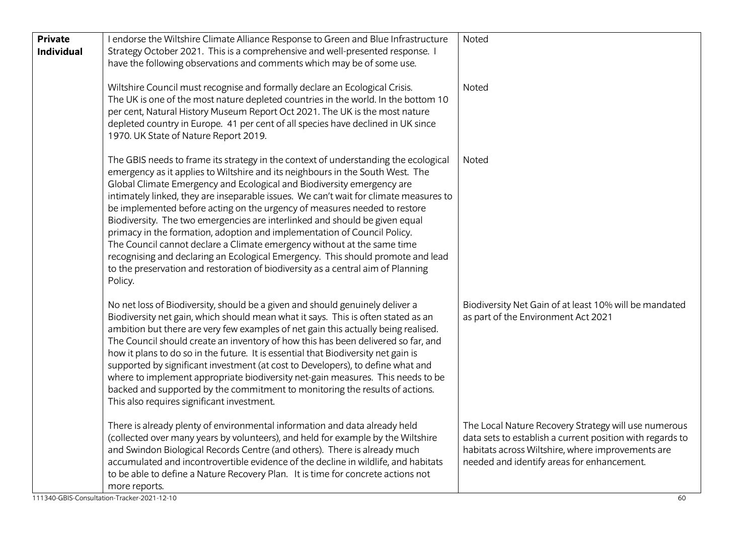| Wiltshire Council must recognise and formally declare an Ecological Crisis.<br>Noted<br>The UK is one of the most nature depleted countries in the world. In the bottom 10<br>per cent, Natural History Museum Report Oct 2021. The UK is the most nature<br>depleted country in Europe. 41 per cent of all species have declined in UK since<br>1970. UK State of Nature Report 2019.<br>Noted<br>The GBIS needs to frame its strategy in the context of understanding the ecological<br>emergency as it applies to Wiltshire and its neighbours in the South West. The<br>Global Climate Emergency and Ecological and Biodiversity emergency are<br>intimately linked, they are inseparable issues. We can't wait for climate measures to<br>be implemented before acting on the urgency of measures needed to restore<br>Biodiversity. The two emergencies are interlinked and should be given equal<br>primacy in the formation, adoption and implementation of Council Policy.<br>The Council cannot declare a Climate emergency without at the same time<br>recognising and declaring an Ecological Emergency. This should promote and lead<br>to the preservation and restoration of biodiversity as a central aim of Planning<br>Policy.<br>No net loss of Biodiversity, should be a given and should genuinely deliver a<br>Biodiversity Net Gain of at least 10% will be mandated<br>Biodiversity net gain, which should mean what it says. This is often stated as an<br>as part of the Environment Act 2021<br>ambition but there are very few examples of net gain this actually being realised.<br>The Council should create an inventory of how this has been delivered so far, and<br>how it plans to do so in the future. It is essential that Biodiversity net gain is<br>supported by significant investment (at cost to Developers), to define what and<br>where to implement appropriate biodiversity net-gain measures. This needs to be<br>backed and supported by the commitment to monitoring the results of actions.<br>This also requires significant investment.<br>There is already plenty of environmental information and data already held<br>The Local Nature Recovery Strategy will use numerous<br>(collected over many years by volunteers), and held for example by the Wiltshire<br>data sets to establish a current position with regards to<br>habitats across Wiltshire, where improvements are<br>and Swindon Biological Records Centre (and others). There is already much<br>accumulated and incontrovertible evidence of the decline in wildlife, and habitats<br>needed and identify areas for enhancement. | <b>Private</b><br><b>Individual</b> | I endorse the Wiltshire Climate Alliance Response to Green and Blue Infrastructure<br>Strategy October 2021. This is a comprehensive and well-presented response. I<br>have the following observations and comments which may be of some use. | Noted |
|-----------------------------------------------------------------------------------------------------------------------------------------------------------------------------------------------------------------------------------------------------------------------------------------------------------------------------------------------------------------------------------------------------------------------------------------------------------------------------------------------------------------------------------------------------------------------------------------------------------------------------------------------------------------------------------------------------------------------------------------------------------------------------------------------------------------------------------------------------------------------------------------------------------------------------------------------------------------------------------------------------------------------------------------------------------------------------------------------------------------------------------------------------------------------------------------------------------------------------------------------------------------------------------------------------------------------------------------------------------------------------------------------------------------------------------------------------------------------------------------------------------------------------------------------------------------------------------------------------------------------------------------------------------------------------------------------------------------------------------------------------------------------------------------------------------------------------------------------------------------------------------------------------------------------------------------------------------------------------------------------------------------------------------------------------------------------------------------------------------------------------------------------------------------------------------------------------------------------------------------------------------------------------------------------------------------------------------------------------------------------------------------------------------------------------------------------------------------------------------------------------------------------------------------------------------------------------------------------------------------------------------------------------------|-------------------------------------|-----------------------------------------------------------------------------------------------------------------------------------------------------------------------------------------------------------------------------------------------|-------|
|                                                                                                                                                                                                                                                                                                                                                                                                                                                                                                                                                                                                                                                                                                                                                                                                                                                                                                                                                                                                                                                                                                                                                                                                                                                                                                                                                                                                                                                                                                                                                                                                                                                                                                                                                                                                                                                                                                                                                                                                                                                                                                                                                                                                                                                                                                                                                                                                                                                                                                                                                                                                                                                           |                                     |                                                                                                                                                                                                                                               |       |
|                                                                                                                                                                                                                                                                                                                                                                                                                                                                                                                                                                                                                                                                                                                                                                                                                                                                                                                                                                                                                                                                                                                                                                                                                                                                                                                                                                                                                                                                                                                                                                                                                                                                                                                                                                                                                                                                                                                                                                                                                                                                                                                                                                                                                                                                                                                                                                                                                                                                                                                                                                                                                                                           |                                     |                                                                                                                                                                                                                                               |       |
|                                                                                                                                                                                                                                                                                                                                                                                                                                                                                                                                                                                                                                                                                                                                                                                                                                                                                                                                                                                                                                                                                                                                                                                                                                                                                                                                                                                                                                                                                                                                                                                                                                                                                                                                                                                                                                                                                                                                                                                                                                                                                                                                                                                                                                                                                                                                                                                                                                                                                                                                                                                                                                                           |                                     |                                                                                                                                                                                                                                               |       |
| to be able to define a Nature Recovery Plan. It is time for concrete actions not<br>more reports.<br>111340-GBIS-Consultation-Tracker-2021-12-10<br>60                                                                                                                                                                                                                                                                                                                                                                                                                                                                                                                                                                                                                                                                                                                                                                                                                                                                                                                                                                                                                                                                                                                                                                                                                                                                                                                                                                                                                                                                                                                                                                                                                                                                                                                                                                                                                                                                                                                                                                                                                                                                                                                                                                                                                                                                                                                                                                                                                                                                                                    |                                     |                                                                                                                                                                                                                                               |       |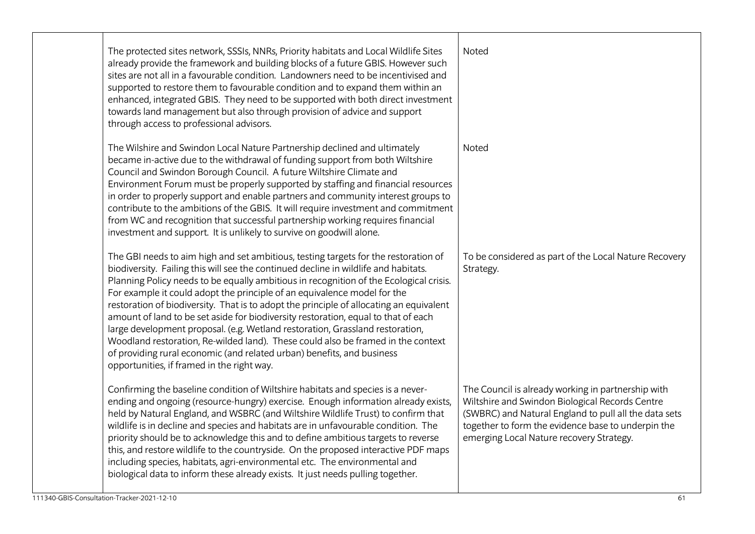| The protected sites network, SSSIs, NNRs, Priority habitats and Local Wildlife Sites<br>already provide the framework and building blocks of a future GBIS. However such<br>sites are not all in a favourable condition. Landowners need to be incentivised and<br>supported to restore them to favourable condition and to expand them within an<br>enhanced, integrated GBIS. They need to be supported with both direct investment<br>towards land management but also through provision of advice and support<br>through access to professional advisors.                                                                                                                                                                                                                                                                  | Noted                                                                                                                                                                                                                                                            |
|--------------------------------------------------------------------------------------------------------------------------------------------------------------------------------------------------------------------------------------------------------------------------------------------------------------------------------------------------------------------------------------------------------------------------------------------------------------------------------------------------------------------------------------------------------------------------------------------------------------------------------------------------------------------------------------------------------------------------------------------------------------------------------------------------------------------------------|------------------------------------------------------------------------------------------------------------------------------------------------------------------------------------------------------------------------------------------------------------------|
| The Wilshire and Swindon Local Nature Partnership declined and ultimately<br>became in-active due to the withdrawal of funding support from both Wiltshire<br>Council and Swindon Borough Council. A future Wiltshire Climate and<br>Environment Forum must be properly supported by staffing and financial resources<br>in order to properly support and enable partners and community interest groups to<br>contribute to the ambitions of the GBIS. It will require investment and commitment<br>from WC and recognition that successful partnership working requires financial<br>investment and support. It is unlikely to survive on goodwill alone.                                                                                                                                                                     | Noted                                                                                                                                                                                                                                                            |
| The GBI needs to aim high and set ambitious, testing targets for the restoration of<br>biodiversity. Failing this will see the continued decline in wildlife and habitats.<br>Planning Policy needs to be equally ambitious in recognition of the Ecological crisis.<br>For example it could adopt the principle of an equivalence model for the<br>restoration of biodiversity. That is to adopt the principle of allocating an equivalent<br>amount of land to be set aside for biodiversity restoration, equal to that of each<br>large development proposal. (e.g. Wetland restoration, Grassland restoration,<br>Woodland restoration, Re-wilded land). These could also be framed in the context<br>of providing rural economic (and related urban) benefits, and business<br>opportunities, if framed in the right way. | To be considered as part of the Local Nature Recovery<br>Strategy.                                                                                                                                                                                               |
| Confirming the baseline condition of Wiltshire habitats and species is a never-<br>ending and ongoing (resource-hungry) exercise. Enough information already exists,<br>held by Natural England, and WSBRC (and Wiltshire Wildlife Trust) to confirm that<br>wildlife is in decline and species and habitats are in unfavourable condition. The<br>priority should be to acknowledge this and to define ambitious targets to reverse<br>this, and restore wildlife to the countryside. On the proposed interactive PDF maps<br>including species, habitats, agri-environmental etc. The environmental and<br>biological data to inform these already exists. It just needs pulling together.                                                                                                                                   | The Council is already working in partnership with<br>Wiltshire and Swindon Biological Records Centre<br>(SWBRC) and Natural England to pull all the data sets<br>together to form the evidence base to underpin the<br>emerging Local Nature recovery Strategy. |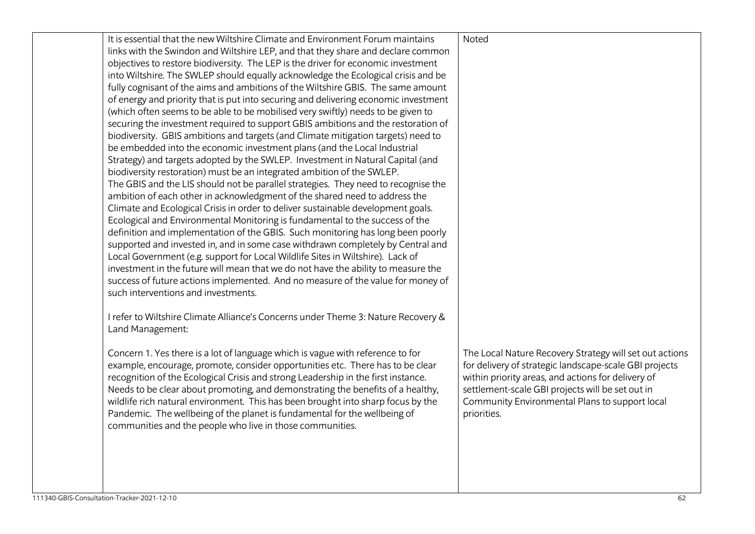| It is essential that the new Wiltshire Climate and Environment Forum maintains<br>links with the Swindon and Wiltshire LEP, and that they share and declare common<br>objectives to restore biodiversity. The LEP is the driver for economic investment<br>into Wiltshire. The SWLEP should equally acknowledge the Ecological crisis and be<br>fully cognisant of the aims and ambitions of the Wiltshire GBIS. The same amount<br>of energy and priority that is put into securing and delivering economic investment<br>(which often seems to be able to be mobilised very swiftly) needs to be given to<br>securing the investment required to support GBIS ambitions and the restoration of<br>biodiversity. GBIS ambitions and targets (and Climate mitigation targets) need to<br>be embedded into the economic investment plans (and the Local Industrial<br>Strategy) and targets adopted by the SWLEP. Investment in Natural Capital (and<br>biodiversity restoration) must be an integrated ambition of the SWLEP.<br>The GBIS and the LIS should not be parallel strategies. They need to recognise the<br>ambition of each other in acknowledgment of the shared need to address the<br>Climate and Ecological Crisis in order to deliver sustainable development goals.<br>Ecological and Environmental Monitoring is fundamental to the success of the<br>definition and implementation of the GBIS. Such monitoring has long been poorly<br>supported and invested in, and in some case withdrawn completely by Central and<br>Local Government (e.g. support for Local Wildlife Sites in Wiltshire). Lack of<br>investment in the future will mean that we do not have the ability to measure the<br>success of future actions implemented. And no measure of the value for money of<br>such interventions and investments.<br>I refer to Wiltshire Climate Alliance's Concerns under Theme 3: Nature Recovery &<br>Land Management: | Noted                                                                                                                                                                                                                                                                                        |
|-------------------------------------------------------------------------------------------------------------------------------------------------------------------------------------------------------------------------------------------------------------------------------------------------------------------------------------------------------------------------------------------------------------------------------------------------------------------------------------------------------------------------------------------------------------------------------------------------------------------------------------------------------------------------------------------------------------------------------------------------------------------------------------------------------------------------------------------------------------------------------------------------------------------------------------------------------------------------------------------------------------------------------------------------------------------------------------------------------------------------------------------------------------------------------------------------------------------------------------------------------------------------------------------------------------------------------------------------------------------------------------------------------------------------------------------------------------------------------------------------------------------------------------------------------------------------------------------------------------------------------------------------------------------------------------------------------------------------------------------------------------------------------------------------------------------------------------------------------------------------------------------------------------------------------------------------------|----------------------------------------------------------------------------------------------------------------------------------------------------------------------------------------------------------------------------------------------------------------------------------------------|
| Concern 1. Yes there is a lot of language which is vague with reference to for<br>example, encourage, promote, consider opportunities etc. There has to be clear<br>recognition of the Ecological Crisis and strong Leadership in the first instance.<br>Needs to be clear about promoting, and demonstrating the benefits of a healthy,<br>wildlife rich natural environment. This has been brought into sharp focus by the<br>Pandemic. The wellbeing of the planet is fundamental for the wellbeing of<br>communities and the people who live in those communities.                                                                                                                                                                                                                                                                                                                                                                                                                                                                                                                                                                                                                                                                                                                                                                                                                                                                                                                                                                                                                                                                                                                                                                                                                                                                                                                                                                                | The Local Nature Recovery Strategy will set out actions<br>for delivery of strategic landscape-scale GBI projects<br>within priority areas, and actions for delivery of<br>settlement-scale GBI projects will be set out in<br>Community Environmental Plans to support local<br>priorities. |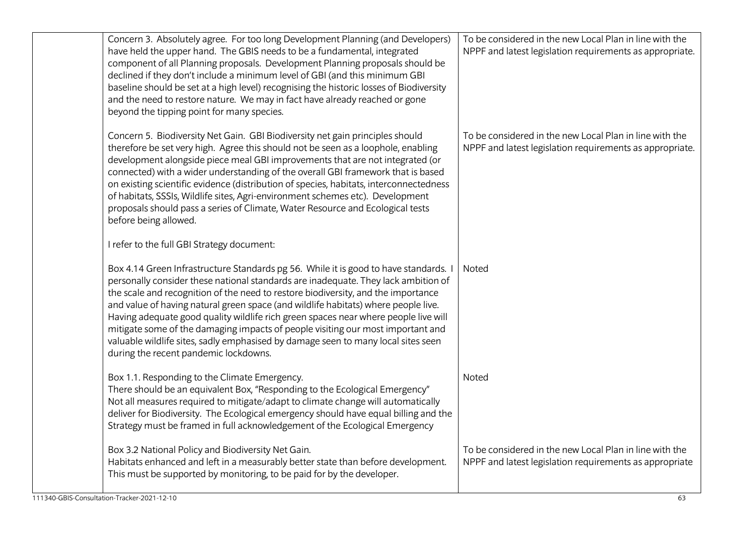| Concern 3. Absolutely agree. For too long Development Planning (and Developers)<br>have held the upper hand. The GBIS needs to be a fundamental, integrated<br>component of all Planning proposals. Development Planning proposals should be<br>declined if they don't include a minimum level of GBI (and this minimum GBI<br>baseline should be set at a high level) recognising the historic losses of Biodiversity<br>and the need to restore nature. We may in fact have already reached or gone<br>beyond the tipping point for many species.                                                                                                           | To be considered in the new Local Plan in line with the<br>NPPF and latest legislation requirements as appropriate. |
|---------------------------------------------------------------------------------------------------------------------------------------------------------------------------------------------------------------------------------------------------------------------------------------------------------------------------------------------------------------------------------------------------------------------------------------------------------------------------------------------------------------------------------------------------------------------------------------------------------------------------------------------------------------|---------------------------------------------------------------------------------------------------------------------|
| Concern 5. Biodiversity Net Gain. GBI Biodiversity net gain principles should<br>therefore be set very high. Agree this should not be seen as a loophole, enabling<br>development alongside piece meal GBI improvements that are not integrated (or<br>connected) with a wider understanding of the overall GBI framework that is based<br>on existing scientific evidence (distribution of species, habitats, interconnectedness<br>of habitats, SSSIs, Wildlife sites, Agri-environment schemes etc). Development<br>proposals should pass a series of Climate, Water Resource and Ecological tests<br>before being allowed.                                | To be considered in the new Local Plan in line with the<br>NPPF and latest legislation requirements as appropriate. |
| I refer to the full GBI Strategy document:                                                                                                                                                                                                                                                                                                                                                                                                                                                                                                                                                                                                                    |                                                                                                                     |
| Box 4.14 Green Infrastructure Standards pg 56. While it is good to have standards. I<br>personally consider these national standards are inadequate. They lack ambition of<br>the scale and recognition of the need to restore biodiversity, and the importance<br>and value of having natural green space (and wildlife habitats) where people live.<br>Having adequate good quality wildlife rich green spaces near where people live will<br>mitigate some of the damaging impacts of people visiting our most important and<br>valuable wildlife sites, sadly emphasised by damage seen to many local sites seen<br>during the recent pandemic lockdowns. | Noted                                                                                                               |
| Box 1.1. Responding to the Climate Emergency.<br>There should be an equivalent Box, "Responding to the Ecological Emergency"<br>Not all measures required to mitigate/adapt to climate change will automatically<br>deliver for Biodiversity. The Ecological emergency should have equal billing and the<br>Strategy must be framed in full acknowledgement of the Ecological Emergency                                                                                                                                                                                                                                                                       | Noted                                                                                                               |
| Box 3.2 National Policy and Biodiversity Net Gain.<br>Habitats enhanced and left in a measurably better state than before development.<br>This must be supported by monitoring, to be paid for by the developer.                                                                                                                                                                                                                                                                                                                                                                                                                                              | To be considered in the new Local Plan in line with the<br>NPPF and latest legislation requirements as appropriate  |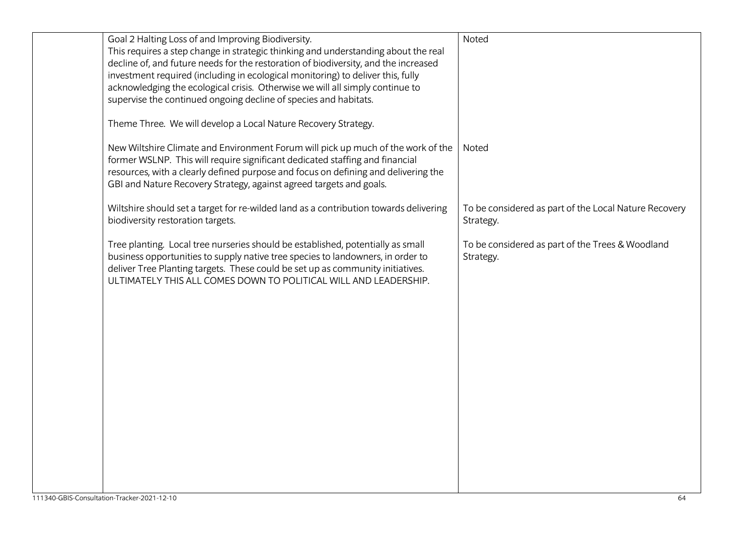| Goal 2 Halting Loss of and Improving Biodiversity.                                    | Noted                                                 |
|---------------------------------------------------------------------------------------|-------------------------------------------------------|
| This requires a step change in strategic thinking and understanding about the real    |                                                       |
| decline of, and future needs for the restoration of biodiversity, and the increased   |                                                       |
|                                                                                       |                                                       |
| investment required (including in ecological monitoring) to deliver this, fully       |                                                       |
| acknowledging the ecological crisis. Otherwise we will all simply continue to         |                                                       |
| supervise the continued ongoing decline of species and habitats.                      |                                                       |
|                                                                                       |                                                       |
| Theme Three. We will develop a Local Nature Recovery Strategy.                        |                                                       |
|                                                                                       |                                                       |
| New Wiltshire Climate and Environment Forum will pick up much of the work of the      | Noted                                                 |
| former WSLNP. This will require significant dedicated staffing and financial          |                                                       |
| resources, with a clearly defined purpose and focus on defining and delivering the    |                                                       |
|                                                                                       |                                                       |
| GBI and Nature Recovery Strategy, against agreed targets and goals.                   |                                                       |
|                                                                                       |                                                       |
| Wiltshire should set a target for re-wilded land as a contribution towards delivering | To be considered as part of the Local Nature Recovery |
| biodiversity restoration targets.                                                     | Strategy.                                             |
|                                                                                       |                                                       |
| Tree planting. Local tree nurseries should be established, potentially as small       | To be considered as part of the Trees & Woodland      |
| business opportunities to supply native tree species to landowners, in order to       | Strategy.                                             |
| deliver Tree Planting targets. These could be set up as community initiatives.        |                                                       |
| ULTIMATELY THIS ALL COMES DOWN TO POLITICAL WILL AND LEADERSHIP.                      |                                                       |
|                                                                                       |                                                       |
|                                                                                       |                                                       |
|                                                                                       |                                                       |
|                                                                                       |                                                       |
|                                                                                       |                                                       |
|                                                                                       |                                                       |
|                                                                                       |                                                       |
|                                                                                       |                                                       |
|                                                                                       |                                                       |
|                                                                                       |                                                       |
|                                                                                       |                                                       |
|                                                                                       |                                                       |
|                                                                                       |                                                       |
|                                                                                       |                                                       |
|                                                                                       |                                                       |
|                                                                                       |                                                       |
|                                                                                       |                                                       |
|                                                                                       |                                                       |
|                                                                                       |                                                       |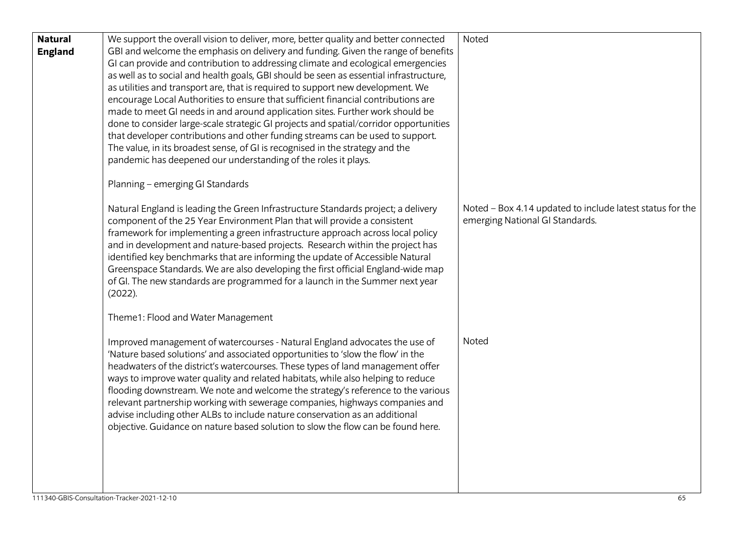| <b>Natural</b> | We support the overall vision to deliver, more, better quality and better connected    | Noted                                                     |
|----------------|----------------------------------------------------------------------------------------|-----------------------------------------------------------|
| <b>England</b> | GBI and welcome the emphasis on delivery and funding. Given the range of benefits      |                                                           |
|                | GI can provide and contribution to addressing climate and ecological emergencies       |                                                           |
|                | as well as to social and health goals, GBI should be seen as essential infrastructure, |                                                           |
|                | as utilities and transport are, that is required to support new development. We        |                                                           |
|                | encourage Local Authorities to ensure that sufficient financial contributions are      |                                                           |
|                | made to meet GI needs in and around application sites. Further work should be          |                                                           |
|                | done to consider large-scale strategic GI projects and spatial/corridor opportunities  |                                                           |
|                | that developer contributions and other funding streams can be used to support.         |                                                           |
|                | The value, in its broadest sense, of GI is recognised in the strategy and the          |                                                           |
|                | pandemic has deepened our understanding of the roles it plays.                         |                                                           |
|                |                                                                                        |                                                           |
|                | Planning - emerging GI Standards                                                       |                                                           |
|                | Natural England is leading the Green Infrastructure Standards project; a delivery      | Noted - Box 4.14 updated to include latest status for the |
|                | component of the 25 Year Environment Plan that will provide a consistent               | emerging National GI Standards.                           |
|                | framework for implementing a green infrastructure approach across local policy         |                                                           |
|                | and in development and nature-based projects. Research within the project has          |                                                           |
|                | identified key benchmarks that are informing the update of Accessible Natural          |                                                           |
|                | Greenspace Standards. We are also developing the first official England-wide map       |                                                           |
|                | of GI. The new standards are programmed for a launch in the Summer next year           |                                                           |
|                | (2022).                                                                                |                                                           |
|                |                                                                                        |                                                           |
|                | Theme1: Flood and Water Management                                                     |                                                           |
|                | Improved management of watercourses - Natural England advocates the use of             | Noted                                                     |
|                | 'Nature based solutions' and associated opportunities to 'slow the flow' in the        |                                                           |
|                | headwaters of the district's watercourses. These types of land management offer        |                                                           |
|                | ways to improve water quality and related habitats, while also helping to reduce       |                                                           |
|                | flooding downstream. We note and welcome the strategy's reference to the various       |                                                           |
|                | relevant partnership working with sewerage companies, highways companies and           |                                                           |
|                | advise including other ALBs to include nature conservation as an additional            |                                                           |
|                | objective. Guidance on nature based solution to slow the flow can be found here.       |                                                           |
|                |                                                                                        |                                                           |
|                |                                                                                        |                                                           |
|                |                                                                                        |                                                           |
|                |                                                                                        |                                                           |
|                |                                                                                        |                                                           |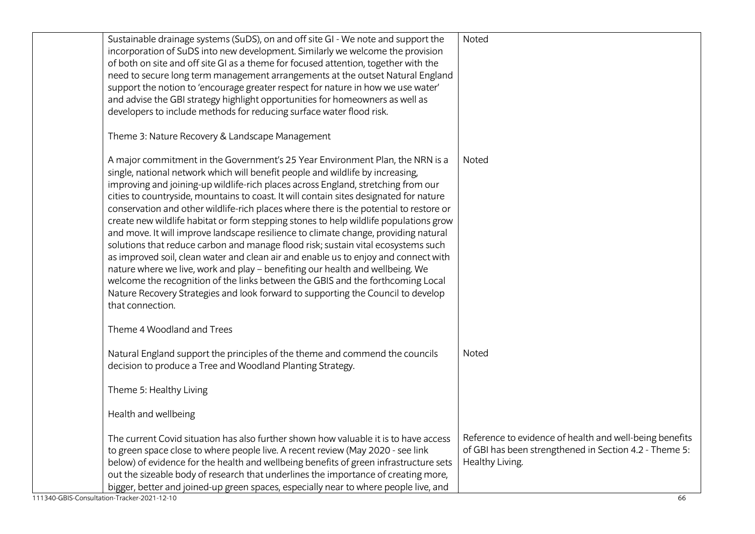| Sustainable drainage systems (SuDS), on and off site GI - We note and support the<br>incorporation of SuDS into new development. Similarly we welcome the provision          | Noted                                                   |
|------------------------------------------------------------------------------------------------------------------------------------------------------------------------------|---------------------------------------------------------|
| of both on site and off site GI as a theme for focused attention, together with the                                                                                          |                                                         |
| need to secure long term management arrangements at the outset Natural England                                                                                               |                                                         |
| support the notion to 'encourage greater respect for nature in how we use water'                                                                                             |                                                         |
| and advise the GBI strategy highlight opportunities for homeowners as well as                                                                                                |                                                         |
| developers to include methods for reducing surface water flood risk.                                                                                                         |                                                         |
| Theme 3: Nature Recovery & Landscape Management                                                                                                                              |                                                         |
| A major commitment in the Government's 25 Year Environment Plan, the NRN is a                                                                                                | Noted                                                   |
| single, national network which will benefit people and wildlife by increasing,                                                                                               |                                                         |
| improving and joining-up wildlife-rich places across England, stretching from our                                                                                            |                                                         |
| cities to countryside, mountains to coast. It will contain sites designated for nature                                                                                       |                                                         |
| conservation and other wildlife-rich places where there is the potential to restore or                                                                                       |                                                         |
| create new wildlife habitat or form stepping stones to help wildlife populations grow<br>and move. It will improve landscape resilience to climate change, providing natural |                                                         |
| solutions that reduce carbon and manage flood risk; sustain vital ecosystems such                                                                                            |                                                         |
| as improved soil, clean water and clean air and enable us to enjoy and connect with                                                                                          |                                                         |
| nature where we live, work and play - benefiting our health and wellbeing. We                                                                                                |                                                         |
| welcome the recognition of the links between the GBIS and the forthcoming Local                                                                                              |                                                         |
| Nature Recovery Strategies and look forward to supporting the Council to develop                                                                                             |                                                         |
| that connection.                                                                                                                                                             |                                                         |
| Theme 4 Woodland and Trees                                                                                                                                                   |                                                         |
| Natural England support the principles of the theme and commend the councils                                                                                                 | Noted                                                   |
| decision to produce a Tree and Woodland Planting Strategy.                                                                                                                   |                                                         |
|                                                                                                                                                                              |                                                         |
| Theme 5: Healthy Living                                                                                                                                                      |                                                         |
| Health and wellbeing                                                                                                                                                         |                                                         |
| The current Covid situation has also further shown how valuable it is to have access                                                                                         | Reference to evidence of health and well-being benefits |
| to green space close to where people live. A recent review (May 2020 - see link                                                                                              | of GBI has been strengthened in Section 4.2 - Theme 5:  |
| below) of evidence for the health and wellbeing benefits of green infrastructure sets                                                                                        | Healthy Living.                                         |
| out the sizeable body of research that underlines the importance of creating more,                                                                                           |                                                         |
| bigger, better and joined-up green spaces, especially near to where people live, and<br>111340-GBIS-Consultation-Tracker-2021-12-10                                          |                                                         |
|                                                                                                                                                                              | 66                                                      |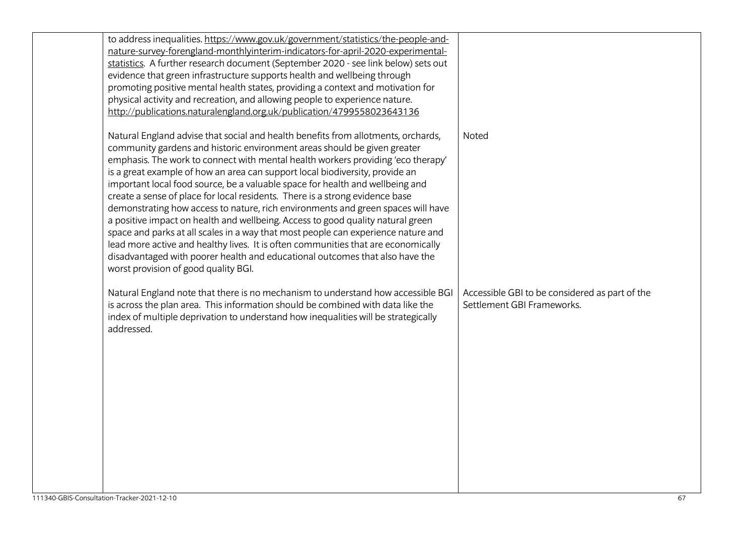| to address inequalities. https://www.gov.uk/government/statistics/the-people-and-<br>nature-survey-forengland-monthlyinterim-indicators-for-april-2020-experimental-<br>statistics. A further research document (September 2020 - see link below) sets out<br>evidence that green infrastructure supports health and wellbeing through<br>promoting positive mental health states, providing a context and motivation for<br>physical activity and recreation, and allowing people to experience nature.<br>http://publications.naturalengland.org.uk/publication/4799558023643136                                                                                                                                                                                                                                                                                                                                                                                          |                                                                              |
|-----------------------------------------------------------------------------------------------------------------------------------------------------------------------------------------------------------------------------------------------------------------------------------------------------------------------------------------------------------------------------------------------------------------------------------------------------------------------------------------------------------------------------------------------------------------------------------------------------------------------------------------------------------------------------------------------------------------------------------------------------------------------------------------------------------------------------------------------------------------------------------------------------------------------------------------------------------------------------|------------------------------------------------------------------------------|
| Natural England advise that social and health benefits from allotments, orchards,<br>community gardens and historic environment areas should be given greater<br>emphasis. The work to connect with mental health workers providing 'eco therapy'<br>is a great example of how an area can support local biodiversity, provide an<br>important local food source, be a valuable space for health and wellbeing and<br>create a sense of place for local residents. There is a strong evidence base<br>demonstrating how access to nature, rich environments and green spaces will have<br>a positive impact on health and wellbeing. Access to good quality natural green<br>space and parks at all scales in a way that most people can experience nature and<br>lead more active and healthy lives. It is often communities that are economically<br>disadvantaged with poorer health and educational outcomes that also have the<br>worst provision of good quality BGI. | Noted                                                                        |
| Natural England note that there is no mechanism to understand how accessible BGI<br>is across the plan area. This information should be combined with data like the<br>index of multiple deprivation to understand how inequalities will be strategically<br>addressed.                                                                                                                                                                                                                                                                                                                                                                                                                                                                                                                                                                                                                                                                                                     | Accessible GBI to be considered as part of the<br>Settlement GBI Frameworks. |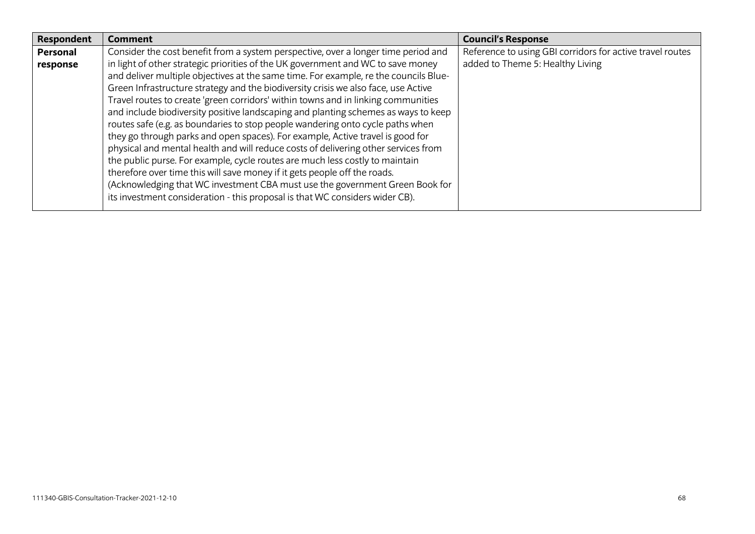| Respondent | <b>Comment</b>                                                                       | <b>Council's Response</b>                                 |
|------------|--------------------------------------------------------------------------------------|-----------------------------------------------------------|
| Personal   | Consider the cost benefit from a system perspective, over a longer time period and   | Reference to using GBI corridors for active travel routes |
| response   | in light of other strategic priorities of the UK government and WC to save money     | added to Theme 5: Healthy Living                          |
|            | and deliver multiple objectives at the same time. For example, re the councils Blue- |                                                           |
|            | Green Infrastructure strategy and the biodiversity crisis we also face, use Active   |                                                           |
|            | Travel routes to create 'green corridors' within towns and in linking communities    |                                                           |
|            | and include biodiversity positive landscaping and planting schemes as ways to keep   |                                                           |
|            | routes safe (e.g. as boundaries to stop people wandering onto cycle paths when       |                                                           |
|            | they go through parks and open spaces). For example, Active travel is good for       |                                                           |
|            | physical and mental health and will reduce costs of delivering other services from   |                                                           |
|            | the public purse. For example, cycle routes are much less costly to maintain         |                                                           |
|            | therefore over time this will save money if it gets people off the roads.            |                                                           |
|            | (Acknowledging that WC investment CBA must use the government Green Book for         |                                                           |
|            | its investment consideration - this proposal is that WC considers wider CB).         |                                                           |
|            |                                                                                      |                                                           |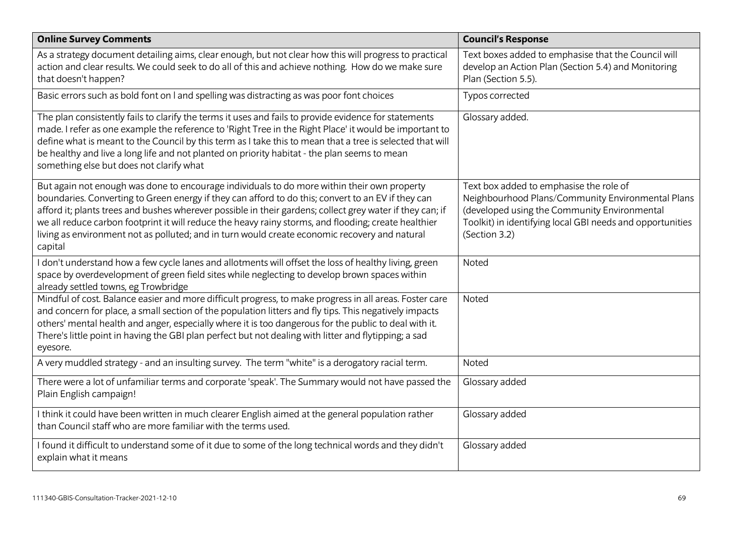| <b>Online Survey Comments</b>                                                                                                                                                                                                                                                                                                                                                                                                                                                                                                      | <b>Council's Response</b>                                                                                                                                                                                                  |
|------------------------------------------------------------------------------------------------------------------------------------------------------------------------------------------------------------------------------------------------------------------------------------------------------------------------------------------------------------------------------------------------------------------------------------------------------------------------------------------------------------------------------------|----------------------------------------------------------------------------------------------------------------------------------------------------------------------------------------------------------------------------|
| As a strategy document detailing aims, clear enough, but not clear how this will progress to practical<br>action and clear results. We could seek to do all of this and achieve nothing. How do we make sure<br>that doesn't happen?                                                                                                                                                                                                                                                                                               | Text boxes added to emphasise that the Council will<br>develop an Action Plan (Section 5.4) and Monitoring<br>Plan (Section 5.5).                                                                                          |
| Basic errors such as bold font on I and spelling was distracting as was poor font choices                                                                                                                                                                                                                                                                                                                                                                                                                                          | Typos corrected                                                                                                                                                                                                            |
| The plan consistently fails to clarify the terms it uses and fails to provide evidence for statements<br>made. I refer as one example the reference to 'Right Tree in the Right Place' it would be important to<br>define what is meant to the Council by this term as I take this to mean that a tree is selected that will<br>be healthy and live a long life and not planted on priority habitat - the plan seems to mean<br>something else but does not clarify what                                                           | Glossary added.                                                                                                                                                                                                            |
| But again not enough was done to encourage individuals to do more within their own property<br>boundaries. Converting to Green energy if they can afford to do this; convert to an EV if they can<br>afford it; plants trees and bushes wherever possible in their gardens; collect grey water if they can; if<br>we all reduce carbon footprint it will reduce the heavy rainy storms, and flooding; create healthier<br>living as environment not as polluted; and in turn would create economic recovery and natural<br>capital | Text box added to emphasise the role of<br>Neighbourhood Plans/Community Environmental Plans<br>(developed using the Community Environmental<br>Toolkit) in identifying local GBI needs and opportunities<br>(Section 3.2) |
| I don't understand how a few cycle lanes and allotments will offset the loss of healthy living, green<br>space by overdevelopment of green field sites while neglecting to develop brown spaces within<br>already settled towns, eg Trowbridge                                                                                                                                                                                                                                                                                     | Noted                                                                                                                                                                                                                      |
| Mindful of cost. Balance easier and more difficult progress, to make progress in all areas. Foster care<br>and concern for place, a small section of the population litters and fly tips. This negatively impacts<br>others' mental health and anger, especially where it is too dangerous for the public to deal with it.<br>There's little point in having the GBI plan perfect but not dealing with litter and flytipping; a sad<br>eyesore.                                                                                    | Noted                                                                                                                                                                                                                      |
| A very muddled strategy - and an insulting survey. The term "white" is a derogatory racial term.                                                                                                                                                                                                                                                                                                                                                                                                                                   | Noted                                                                                                                                                                                                                      |
| There were a lot of unfamiliar terms and corporate 'speak'. The Summary would not have passed the<br>Plain English campaign!                                                                                                                                                                                                                                                                                                                                                                                                       | Glossary added                                                                                                                                                                                                             |
| I think it could have been written in much clearer English aimed at the general population rather<br>than Council staff who are more familiar with the terms used.                                                                                                                                                                                                                                                                                                                                                                 | Glossary added                                                                                                                                                                                                             |
| I found it difficult to understand some of it due to some of the long technical words and they didn't<br>explain what it means                                                                                                                                                                                                                                                                                                                                                                                                     | Glossary added                                                                                                                                                                                                             |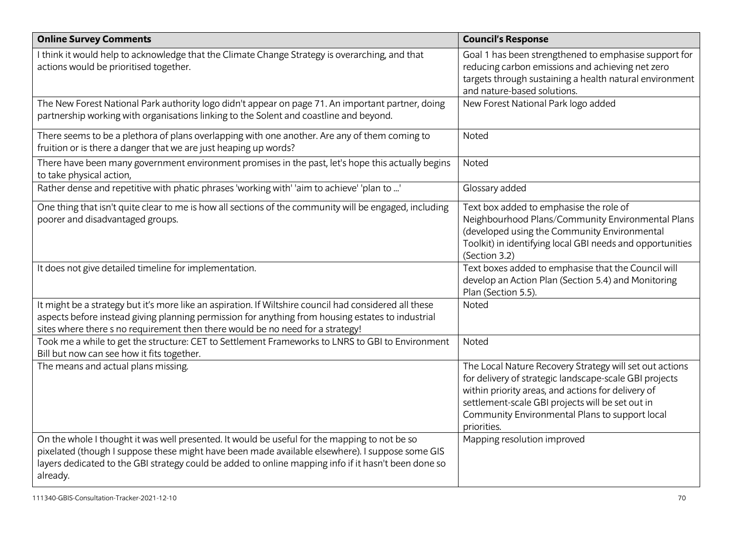| <b>Online Survey Comments</b>                                                                                                                                                                                                                                                                                        | <b>Council's Response</b>                                                                                                                                                                                                                                                                    |
|----------------------------------------------------------------------------------------------------------------------------------------------------------------------------------------------------------------------------------------------------------------------------------------------------------------------|----------------------------------------------------------------------------------------------------------------------------------------------------------------------------------------------------------------------------------------------------------------------------------------------|
| I think it would help to acknowledge that the Climate Change Strategy is overarching, and that<br>actions would be prioritised together.                                                                                                                                                                             | Goal 1 has been strengthened to emphasise support for<br>reducing carbon emissions and achieving net zero<br>targets through sustaining a health natural environment<br>and nature-based solutions.                                                                                          |
| The New Forest National Park authority logo didn't appear on page 71. An important partner, doing<br>partnership working with organisations linking to the Solent and coastline and beyond.                                                                                                                          | New Forest National Park logo added                                                                                                                                                                                                                                                          |
| There seems to be a plethora of plans overlapping with one another. Are any of them coming to<br>fruition or is there a danger that we are just heaping up words?                                                                                                                                                    | Noted                                                                                                                                                                                                                                                                                        |
| There have been many government environment promises in the past, let's hope this actually begins<br>to take physical action,                                                                                                                                                                                        | Noted                                                                                                                                                                                                                                                                                        |
| Rather dense and repetitive with phatic phrases 'working with' 'aim to achieve' 'plan to '                                                                                                                                                                                                                           | Glossary added                                                                                                                                                                                                                                                                               |
| One thing that isn't quite clear to me is how all sections of the community will be engaged, including<br>poorer and disadvantaged groups.                                                                                                                                                                           | Text box added to emphasise the role of<br>Neighbourhood Plans/Community Environmental Plans<br>(developed using the Community Environmental<br>Toolkit) in identifying local GBI needs and opportunities<br>(Section 3.2)                                                                   |
| It does not give detailed timeline for implementation.                                                                                                                                                                                                                                                               | Text boxes added to emphasise that the Council will<br>develop an Action Plan (Section 5.4) and Monitoring<br>Plan (Section 5.5).                                                                                                                                                            |
| It might be a strategy but it's more like an aspiration. If Wiltshire council had considered all these<br>aspects before instead giving planning permission for anything from housing estates to industrial<br>sites where there s no requirement then there would be no need for a strategy!                        | Noted                                                                                                                                                                                                                                                                                        |
| Took me a while to get the structure: CET to Settlement Frameworks to LNRS to GBI to Environment<br>Bill but now can see how it fits together.                                                                                                                                                                       | Noted                                                                                                                                                                                                                                                                                        |
| The means and actual plans missing.                                                                                                                                                                                                                                                                                  | The Local Nature Recovery Strategy will set out actions<br>for delivery of strategic landscape-scale GBI projects<br>within priority areas, and actions for delivery of<br>settlement-scale GBI projects will be set out in<br>Community Environmental Plans to support local<br>priorities. |
| On the whole I thought it was well presented. It would be useful for the mapping to not be so<br>pixelated (though I suppose these might have been made available elsewhere). I suppose some GIS<br>layers dedicated to the GBI strategy could be added to online mapping info if it hasn't been done so<br>already. | Mapping resolution improved                                                                                                                                                                                                                                                                  |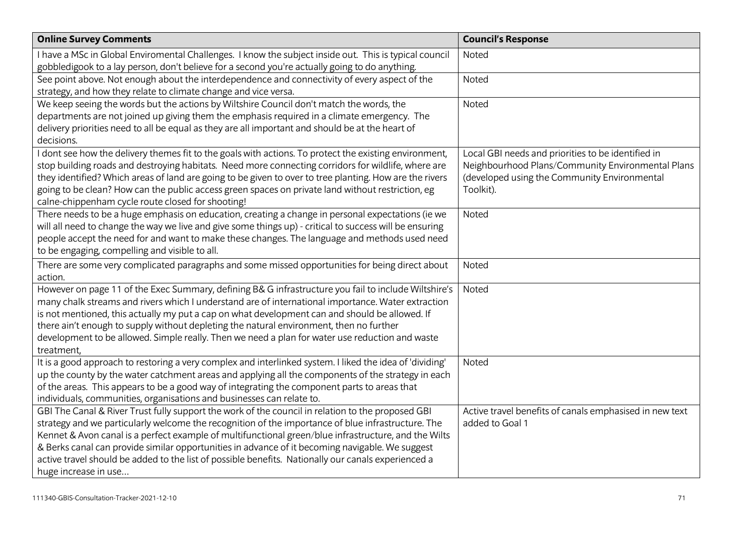| <b>Online Survey Comments</b>                                                                            | <b>Council's Response</b>                               |
|----------------------------------------------------------------------------------------------------------|---------------------------------------------------------|
| I have a MSc in Global Enviromental Challenges. I know the subject inside out. This is typical council   | Noted                                                   |
| gobbledigook to a lay person, don't believe for a second you're actually going to do anything.           |                                                         |
| See point above. Not enough about the interdependence and connectivity of every aspect of the            | Noted                                                   |
| strategy, and how they relate to climate change and vice versa.                                          |                                                         |
| We keep seeing the words but the actions by Wiltshire Council don't match the words, the                 | Noted                                                   |
| departments are not joined up giving them the emphasis required in a climate emergency. The              |                                                         |
| delivery priorities need to all be equal as they are all important and should be at the heart of         |                                                         |
| decisions.                                                                                               |                                                         |
| I dont see how the delivery themes fit to the goals with actions. To protect the existing environment,   | Local GBI needs and priorities to be identified in      |
| stop building roads and destroying habitats. Need more connecting corridors for wildlife, where are      | Neighbourhood Plans/Community Environmental Plans       |
| they identified? Which areas of land are going to be given to over to tree planting. How are the rivers  | (developed using the Community Environmental            |
| going to be clean? How can the public access green spaces on private land without restriction, eg        | Toolkit).                                               |
| calne-chippenham cycle route closed for shooting!                                                        |                                                         |
| There needs to be a huge emphasis on education, creating a change in personal expectations (ie we        | Noted                                                   |
| will all need to change the way we live and give some things up) - critical to success will be ensuring  |                                                         |
| people accept the need for and want to make these changes. The language and methods used need            |                                                         |
| to be engaging, compelling and visible to all.                                                           |                                                         |
| There are some very complicated paragraphs and some missed opportunities for being direct about          | Noted                                                   |
| action.                                                                                                  |                                                         |
| However on page 11 of the Exec Summary, defining B& G infrastructure you fail to include Wiltshire's     | Noted                                                   |
| many chalk streams and rivers which I understand are of international importance. Water extraction       |                                                         |
| is not mentioned, this actually my put a cap on what development can and should be allowed. If           |                                                         |
| there ain't enough to supply without depleting the natural environment, then no further                  |                                                         |
| development to be allowed. Simple really. Then we need a plan for water use reduction and waste          |                                                         |
| treatment,                                                                                               |                                                         |
| It is a good approach to restoring a very complex and interlinked system. I liked the idea of 'dividing' | Noted                                                   |
| up the county by the water catchment areas and applying all the components of the strategy in each       |                                                         |
| of the areas. This appears to be a good way of integrating the component parts to areas that             |                                                         |
| individuals, communities, organisations and businesses can relate to.                                    |                                                         |
| GBI The Canal & River Trust fully support the work of the council in relation to the proposed GBI        | Active travel benefits of canals emphasised in new text |
| strategy and we particularly welcome the recognition of the importance of blue infrastructure. The       | added to Goal 1                                         |
| Kennet & Avon canal is a perfect example of multifunctional green/blue infrastructure, and the Wilts     |                                                         |
| & Berks canal can provide similar opportunities in advance of it becoming navigable. We suggest          |                                                         |
| active travel should be added to the list of possible benefits. Nationally our canals experienced a      |                                                         |
| huge increase in use                                                                                     |                                                         |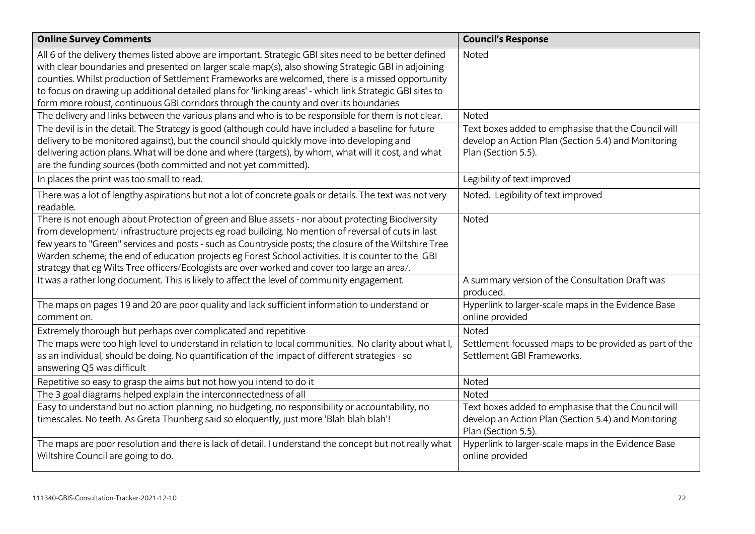| <b>Online Survey Comments</b>                                                                            | <b>Council's Response</b>                              |
|----------------------------------------------------------------------------------------------------------|--------------------------------------------------------|
| All 6 of the delivery themes listed above are important. Strategic GBI sites need to be better defined   | Noted                                                  |
| with clear boundaries and presented on larger scale map(s), also showing Strategic GBI in adjoining      |                                                        |
| counties. Whilst production of Settlement Frameworks are welcomed, there is a missed opportunity         |                                                        |
| to focus on drawing up additional detailed plans for 'linking areas' - which link Strategic GBI sites to |                                                        |
| form more robust, continuous GBI corridors through the county and over its boundaries                    |                                                        |
| The delivery and links between the various plans and who is to be responsible for them is not clear.     | Noted                                                  |
| The devil is in the detail. The Strategy is good (although could have included a baseline for future     | Text boxes added to emphasise that the Council will    |
| delivery to be monitored against), but the council should quickly move into developing and               | develop an Action Plan (Section 5.4) and Monitoring    |
| delivering action plans. What will be done and where (targets), by whom, what will it cost, and what     | Plan (Section 5.5).                                    |
| are the funding sources (both committed and not yet committed).                                          |                                                        |
| In places the print was too small to read.                                                               | Legibility of text improved                            |
| There was a lot of lengthy aspirations but not a lot of concrete goals or details. The text was not very | Noted. Legibility of text improved                     |
| readable.                                                                                                |                                                        |
| There is not enough about Protection of green and Blue assets - nor about protecting Biodiversity        | <b>Noted</b>                                           |
| from development/infrastructure projects eg road building. No mention of reversal of cuts in last        |                                                        |
| few years to "Green" services and posts - such as Countryside posts; the closure of the Wiltshire Tree   |                                                        |
| Warden scheme; the end of education projects eg Forest School activities. It is counter to the GBI       |                                                        |
| strategy that eg Wilts Tree officers/Ecologists are over worked and cover too large an area/.            |                                                        |
| It was a rather long document. This is likely to affect the level of community engagement.               | A summary version of the Consultation Draft was        |
|                                                                                                          | produced.                                              |
| The maps on pages 19 and 20 are poor quality and lack sufficient information to understand or            | Hyperlink to larger-scale maps in the Evidence Base    |
| comment on.                                                                                              | online provided                                        |
| Extremely thorough but perhaps over complicated and repetitive                                           | Noted                                                  |
| The maps were too high level to understand in relation to local communities. No clarity about what I,    | Settlement-focussed maps to be provided as part of the |
| as an individual, should be doing. No quantification of the impact of different strategies - so          | Settlement GBI Frameworks.                             |
| answering Q5 was difficult                                                                               |                                                        |
| Repetitive so easy to grasp the aims but not how you intend to do it                                     | Noted                                                  |
| The 3 goal diagrams helped explain the interconnectedness of all                                         | Noted                                                  |
| Easy to understand but no action planning, no budgeting, no responsibility or accountability, no         | Text boxes added to emphasise that the Council will    |
| timescales. No teeth. As Greta Thunberg said so eloquently, just more 'Blah blah blah'!                  | develop an Action Plan (Section 5.4) and Monitoring    |
|                                                                                                          | Plan (Section 5.5).                                    |
| The maps are poor resolution and there is lack of detail. I understand the concept but not really what   | Hyperlink to larger-scale maps in the Evidence Base    |
| Wiltshire Council are going to do.                                                                       | online provided                                        |
|                                                                                                          |                                                        |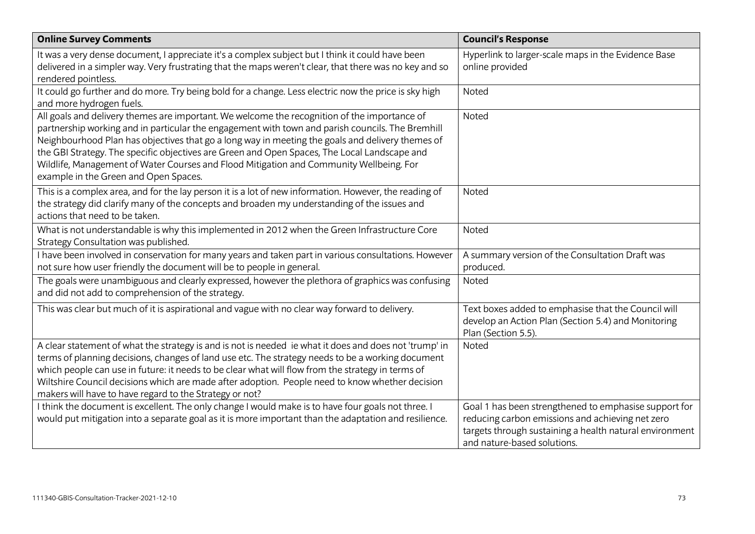| <b>Online Survey Comments</b>                                                                                                                                                                                                                                                                                                                                                                                                                                                                                                            | <b>Council's Response</b>                                                                                                                                                                           |
|------------------------------------------------------------------------------------------------------------------------------------------------------------------------------------------------------------------------------------------------------------------------------------------------------------------------------------------------------------------------------------------------------------------------------------------------------------------------------------------------------------------------------------------|-----------------------------------------------------------------------------------------------------------------------------------------------------------------------------------------------------|
| It was a very dense document, I appreciate it's a complex subject but I think it could have been<br>delivered in a simpler way. Very frustrating that the maps weren't clear, that there was no key and so<br>rendered pointless.                                                                                                                                                                                                                                                                                                        | Hyperlink to larger-scale maps in the Evidence Base<br>online provided                                                                                                                              |
| It could go further and do more. Try being bold for a change. Less electric now the price is sky high<br>and more hydrogen fuels.                                                                                                                                                                                                                                                                                                                                                                                                        | Noted                                                                                                                                                                                               |
| All goals and delivery themes are important. We welcome the recognition of the importance of<br>partnership working and in particular the engagement with town and parish councils. The Bremhill<br>Neighbourhood Plan has objectives that go a long way in meeting the goals and delivery themes of<br>the GBI Strategy. The specific objectives are Green and Open Spaces, The Local Landscape and<br>Wildlife, Management of Water Courses and Flood Mitigation and Community Wellbeing. For<br>example in the Green and Open Spaces. | Noted                                                                                                                                                                                               |
| This is a complex area, and for the lay person it is a lot of new information. However, the reading of<br>the strategy did clarify many of the concepts and broaden my understanding of the issues and<br>actions that need to be taken.                                                                                                                                                                                                                                                                                                 | Noted                                                                                                                                                                                               |
| What is not understandable is why this implemented in 2012 when the Green Infrastructure Core<br>Strategy Consultation was published.                                                                                                                                                                                                                                                                                                                                                                                                    | Noted                                                                                                                                                                                               |
| I have been involved in conservation for many years and taken part in various consultations. However<br>not sure how user friendly the document will be to people in general.                                                                                                                                                                                                                                                                                                                                                            | A summary version of the Consultation Draft was<br>produced.                                                                                                                                        |
| The goals were unambiguous and clearly expressed, however the plethora of graphics was confusing<br>and did not add to comprehension of the strategy.                                                                                                                                                                                                                                                                                                                                                                                    | Noted                                                                                                                                                                                               |
| This was clear but much of it is aspirational and vague with no clear way forward to delivery.                                                                                                                                                                                                                                                                                                                                                                                                                                           | Text boxes added to emphasise that the Council will<br>develop an Action Plan (Section 5.4) and Monitoring<br>Plan (Section 5.5).                                                                   |
| A clear statement of what the strategy is and is not is needed ie what it does and does not 'trump' in<br>terms of planning decisions, changes of land use etc. The strategy needs to be a working document<br>which people can use in future: it needs to be clear what will flow from the strategy in terms of<br>Wiltshire Council decisions which are made after adoption. People need to know whether decision<br>makers will have to have regard to the Strategy or not?                                                           | Noted                                                                                                                                                                                               |
| I think the document is excellent. The only change I would make is to have four goals not three. I<br>would put mitigation into a separate goal as it is more important than the adaptation and resilience.                                                                                                                                                                                                                                                                                                                              | Goal 1 has been strengthened to emphasise support for<br>reducing carbon emissions and achieving net zero<br>targets through sustaining a health natural environment<br>and nature-based solutions. |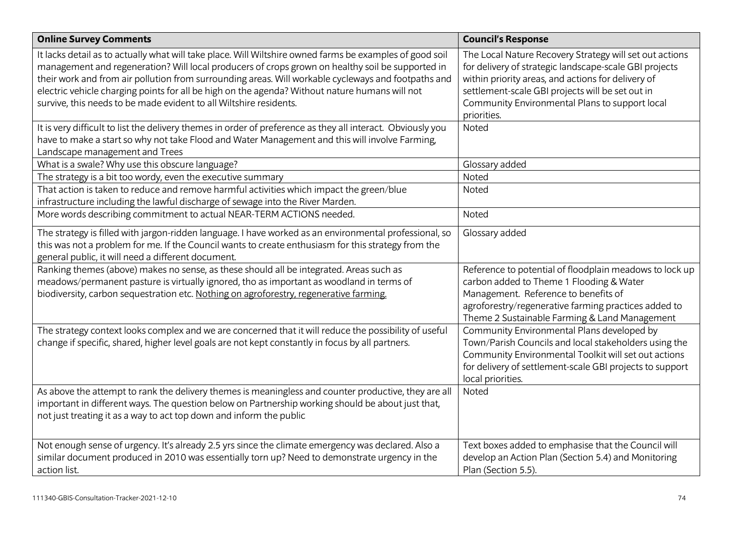| <b>Online Survey Comments</b>                                                                                                                                                                                                                                                                                                                                                                                                                                                               | <b>Council's Response</b>                                                                                                                                                                                                                                                                    |
|---------------------------------------------------------------------------------------------------------------------------------------------------------------------------------------------------------------------------------------------------------------------------------------------------------------------------------------------------------------------------------------------------------------------------------------------------------------------------------------------|----------------------------------------------------------------------------------------------------------------------------------------------------------------------------------------------------------------------------------------------------------------------------------------------|
| It lacks detail as to actually what will take place. Will Wiltshire owned farms be examples of good soil<br>management and regeneration? Will local producers of crops grown on healthy soil be supported in<br>their work and from air pollution from surrounding areas. Will workable cycleways and footpaths and<br>electric vehicle charging points for all be high on the agenda? Without nature humans will not<br>survive, this needs to be made evident to all Wiltshire residents. | The Local Nature Recovery Strategy will set out actions<br>for delivery of strategic landscape-scale GBI projects<br>within priority areas, and actions for delivery of<br>settlement-scale GBI projects will be set out in<br>Community Environmental Plans to support local<br>priorities. |
| It is very difficult to list the delivery themes in order of preference as they all interact. Obviously you<br>have to make a start so why not take Flood and Water Management and this will involve Farming,<br>Landscape management and Trees                                                                                                                                                                                                                                             | Noted                                                                                                                                                                                                                                                                                        |
| What is a swale? Why use this obscure language?                                                                                                                                                                                                                                                                                                                                                                                                                                             | Glossary added                                                                                                                                                                                                                                                                               |
| The strategy is a bit too wordy, even the executive summary                                                                                                                                                                                                                                                                                                                                                                                                                                 | Noted                                                                                                                                                                                                                                                                                        |
| That action is taken to reduce and remove harmful activities which impact the green/blue<br>infrastructure including the lawful discharge of sewage into the River Marden.                                                                                                                                                                                                                                                                                                                  | Noted                                                                                                                                                                                                                                                                                        |
| More words describing commitment to actual NEAR-TERM ACTIONS needed.                                                                                                                                                                                                                                                                                                                                                                                                                        | Noted                                                                                                                                                                                                                                                                                        |
| The strategy is filled with jargon-ridden language. I have worked as an environmental professional, so<br>this was not a problem for me. If the Council wants to create enthusiasm for this strategy from the<br>general public, it will need a different document.                                                                                                                                                                                                                         | Glossary added                                                                                                                                                                                                                                                                               |
| Ranking themes (above) makes no sense, as these should all be integrated. Areas such as<br>meadows/permanent pasture is virtually ignored, tho as important as woodland in terms of<br>biodiversity, carbon sequestration etc. Nothing on agroforestry, regenerative farming.                                                                                                                                                                                                               | Reference to potential of floodplain meadows to lock up<br>carbon added to Theme 1 Flooding & Water<br>Management. Reference to benefits of<br>agroforestry/regenerative farming practices added to<br>Theme 2 Sustainable Farming & Land Management                                         |
| The strategy context looks complex and we are concerned that it will reduce the possibility of useful<br>change if specific, shared, higher level goals are not kept constantly in focus by all partners.                                                                                                                                                                                                                                                                                   | Community Environmental Plans developed by<br>Town/Parish Councils and local stakeholders using the<br>Community Environmental Toolkit will set out actions<br>for delivery of settlement-scale GBI projects to support<br>local priorities.                                                 |
| As above the attempt to rank the delivery themes is meaningless and counter productive, they are all<br>important in different ways. The question below on Partnership working should be about just that,<br>not just treating it as a way to act top down and inform the public                                                                                                                                                                                                            | Noted                                                                                                                                                                                                                                                                                        |
| Not enough sense of urgency. It's already 2.5 yrs since the climate emergency was declared. Also a<br>similar document produced in 2010 was essentially torn up? Need to demonstrate urgency in the<br>action list.                                                                                                                                                                                                                                                                         | Text boxes added to emphasise that the Council will<br>develop an Action Plan (Section 5.4) and Monitoring<br>Plan (Section 5.5).                                                                                                                                                            |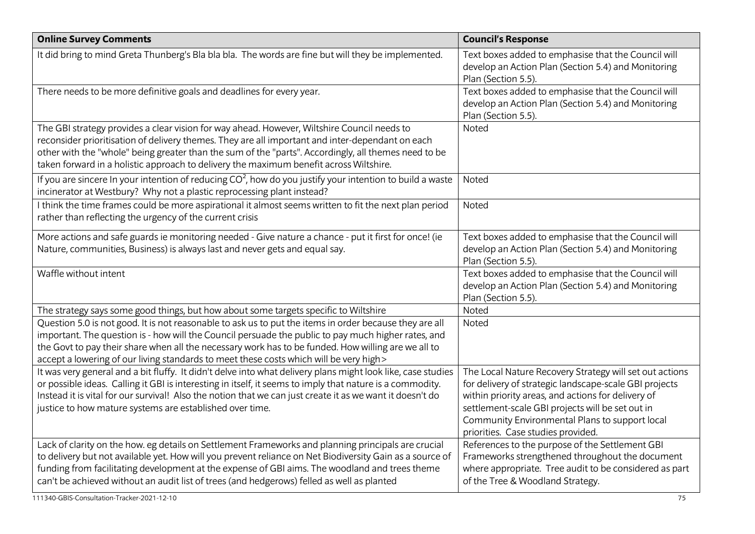| <b>Online Survey Comments</b>                                                                                                                                                                                                                                                                                                                                                                                    | <b>Council's Response</b>                                                                                                                                                                                                                                                                                           |
|------------------------------------------------------------------------------------------------------------------------------------------------------------------------------------------------------------------------------------------------------------------------------------------------------------------------------------------------------------------------------------------------------------------|---------------------------------------------------------------------------------------------------------------------------------------------------------------------------------------------------------------------------------------------------------------------------------------------------------------------|
| It did bring to mind Greta Thunberg's Bla bla bla. The words are fine but will they be implemented.                                                                                                                                                                                                                                                                                                              | Text boxes added to emphasise that the Council will<br>develop an Action Plan (Section 5.4) and Monitoring<br>Plan (Section 5.5).                                                                                                                                                                                   |
| There needs to be more definitive goals and deadlines for every year.                                                                                                                                                                                                                                                                                                                                            | Text boxes added to emphasise that the Council will<br>develop an Action Plan (Section 5.4) and Monitoring<br>Plan (Section 5.5).                                                                                                                                                                                   |
| The GBI strategy provides a clear vision for way ahead. However, Wiltshire Council needs to<br>reconsider prioritisation of delivery themes. They are all important and inter-dependant on each<br>other with the "whole" being greater than the sum of the "parts". Accordingly, all themes need to be<br>taken forward in a holistic approach to delivery the maximum benefit across Wiltshire.                | Noted                                                                                                                                                                                                                                                                                                               |
| If you are sincere In your intention of reducing $CO2$ , how do you justify your intention to build a waste<br>incinerator at Westbury? Why not a plastic reprocessing plant instead?                                                                                                                                                                                                                            | Noted                                                                                                                                                                                                                                                                                                               |
| I think the time frames could be more aspirational it almost seems written to fit the next plan period<br>rather than reflecting the urgency of the current crisis                                                                                                                                                                                                                                               | Noted                                                                                                                                                                                                                                                                                                               |
| More actions and safe guards ie monitoring needed - Give nature a chance - put it first for once! (ie<br>Nature, communities, Business) is always last and never gets and equal say.                                                                                                                                                                                                                             | Text boxes added to emphasise that the Council will<br>develop an Action Plan (Section 5.4) and Monitoring<br>Plan (Section 5.5).                                                                                                                                                                                   |
| Waffle without intent                                                                                                                                                                                                                                                                                                                                                                                            | Text boxes added to emphasise that the Council will<br>develop an Action Plan (Section 5.4) and Monitoring<br>Plan (Section 5.5).                                                                                                                                                                                   |
| The strategy says some good things, but how about some targets specific to Wiltshire                                                                                                                                                                                                                                                                                                                             | Noted                                                                                                                                                                                                                                                                                                               |
| Question 5.0 is not good. It is not reasonable to ask us to put the items in order because they are all<br>important. The question is - how will the Council persuade the public to pay much higher rates, and<br>the Govt to pay their share when all the necessary work has to be funded. How willing are we all to<br>accept a lowering of our living standards to meet these costs which will be very high > | Noted                                                                                                                                                                                                                                                                                                               |
| It was very general and a bit fluffy. It didn't delve into what delivery plans might look like, case studies<br>or possible ideas. Calling it GBI is interesting in itself, it seems to imply that nature is a commodity.<br>Instead it is vital for our survival! Also the notion that we can just create it as we want it doesn't do<br>justice to how mature systems are established over time.               | The Local Nature Recovery Strategy will set out actions<br>for delivery of strategic landscape-scale GBI projects<br>within priority areas, and actions for delivery of<br>settlement-scale GBI projects will be set out in<br>Community Environmental Plans to support local<br>priorities. Case studies provided. |
| Lack of clarity on the how. eg details on Settlement Frameworks and planning principals are crucial<br>to delivery but not available yet. How will you prevent reliance on Net Biodiversity Gain as a source of<br>funding from facilitating development at the expense of GBI aims. The woodland and trees theme<br>can't be achieved without an audit list of trees (and hedgerows) felled as well as planted  | References to the purpose of the Settlement GBI<br>Frameworks strengthened throughout the document<br>where appropriate. Tree audit to be considered as part<br>of the Tree & Woodland Strategy.                                                                                                                    |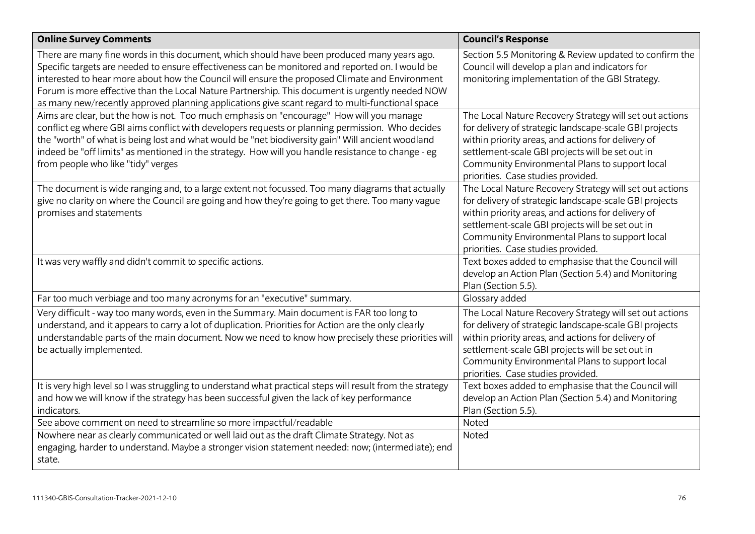| <b>Online Survey Comments</b>                                                                                                                                                                                                                                                                                                                                                                                                                                                                           | <b>Council's Response</b>                                                                                                                                                                                                                                                                                           |
|---------------------------------------------------------------------------------------------------------------------------------------------------------------------------------------------------------------------------------------------------------------------------------------------------------------------------------------------------------------------------------------------------------------------------------------------------------------------------------------------------------|---------------------------------------------------------------------------------------------------------------------------------------------------------------------------------------------------------------------------------------------------------------------------------------------------------------------|
| There are many fine words in this document, which should have been produced many years ago.<br>Specific targets are needed to ensure effectiveness can be monitored and reported on. I would be<br>interested to hear more about how the Council will ensure the proposed Climate and Environment<br>Forum is more effective than the Local Nature Partnership. This document is urgently needed NOW<br>as many new/recently approved planning applications give scant regard to multi-functional space | Section 5.5 Monitoring & Review updated to confirm the<br>Council will develop a plan and indicators for<br>monitoring implementation of the GBI Strategy.                                                                                                                                                          |
| Aims are clear, but the how is not. Too much emphasis on "encourage" How will you manage<br>conflict eg where GBI aims conflict with developers requests or planning permission. Who decides<br>the "worth" of what is being lost and what would be "net biodiversity gain" Will ancient woodland<br>indeed be "off limits" as mentioned in the strategy. How will you handle resistance to change - eg<br>from people who like "tidy" verges                                                           | The Local Nature Recovery Strategy will set out actions<br>for delivery of strategic landscape-scale GBI projects<br>within priority areas, and actions for delivery of<br>settlement-scale GBI projects will be set out in<br>Community Environmental Plans to support local<br>priorities. Case studies provided. |
| The document is wide ranging and, to a large extent not focussed. Too many diagrams that actually<br>give no clarity on where the Council are going and how they're going to get there. Too many vague<br>promises and statements                                                                                                                                                                                                                                                                       | The Local Nature Recovery Strategy will set out actions<br>for delivery of strategic landscape-scale GBI projects<br>within priority areas, and actions for delivery of<br>settlement-scale GBI projects will be set out in<br>Community Environmental Plans to support local<br>priorities. Case studies provided. |
| It was very waffly and didn't commit to specific actions.                                                                                                                                                                                                                                                                                                                                                                                                                                               | Text boxes added to emphasise that the Council will<br>develop an Action Plan (Section 5.4) and Monitoring<br>Plan (Section 5.5).                                                                                                                                                                                   |
| Far too much verbiage and too many acronyms for an "executive" summary.                                                                                                                                                                                                                                                                                                                                                                                                                                 | Glossary added                                                                                                                                                                                                                                                                                                      |
| Very difficult - way too many words, even in the Summary. Main document is FAR too long to<br>understand, and it appears to carry a lot of duplication. Priorities for Action are the only clearly<br>understandable parts of the main document. Now we need to know how precisely these priorities will<br>be actually implemented.                                                                                                                                                                    | The Local Nature Recovery Strategy will set out actions<br>for delivery of strategic landscape-scale GBI projects<br>within priority areas, and actions for delivery of<br>settlement-scale GBI projects will be set out in<br>Community Environmental Plans to support local<br>priorities. Case studies provided. |
| It is very high level so I was struggling to understand what practical steps will result from the strategy<br>and how we will know if the strategy has been successful given the lack of key performance<br>indicators.                                                                                                                                                                                                                                                                                 | Text boxes added to emphasise that the Council will<br>develop an Action Plan (Section 5.4) and Monitoring<br>Plan (Section 5.5).                                                                                                                                                                                   |
| See above comment on need to streamline so more impactful/readable                                                                                                                                                                                                                                                                                                                                                                                                                                      | Noted                                                                                                                                                                                                                                                                                                               |
| Nowhere near as clearly communicated or well laid out as the draft Climate Strategy. Not as<br>engaging, harder to understand. Maybe a stronger vision statement needed: now; (intermediate); end<br>state.                                                                                                                                                                                                                                                                                             | Noted                                                                                                                                                                                                                                                                                                               |